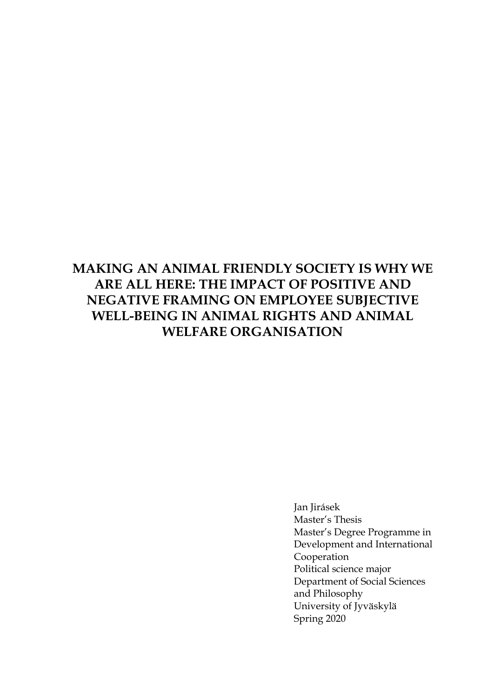## **MAKING AN ANIMAL FRIENDLY SOCIETY IS WHY WE ARE ALL HERE: THE IMPACT OF POSITIVE AND NEGATIVE FRAMING ON EMPLOYEE SUBJECTIVE WELL-BEING IN ANIMAL RIGHTS AND ANIMAL WELFARE ORGANISATION**

Jan Jirásek Master's Thesis Master's Degree Programme in Development and International Cooperation Political science major Department of Social Sciences and Philosophy University of Jyväskylä Spring 2020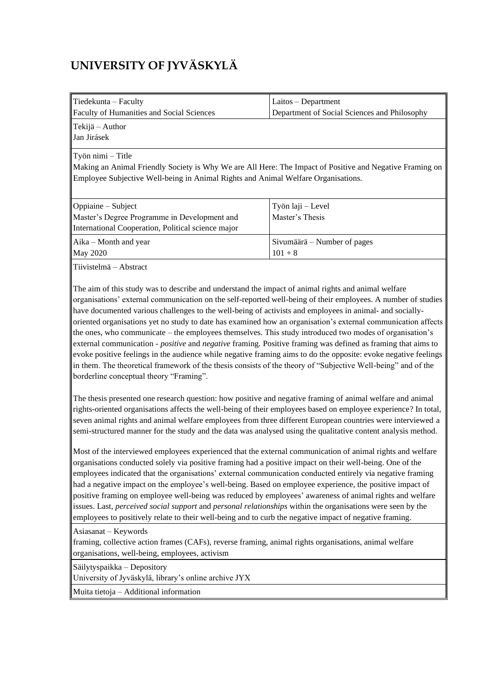# **UNIVERSITY OF JYVÄSKYLÄ**

| Tiedekunta - Faculty<br>Faculty of Humanities and Social Sciences                                                                                                                                                                                                                                                                                                                                                                                                                                                                                                                                                                                                                                                                                                                                                                                                                                                                                                         | Laitos - Department<br>Department of Social Sciences and Philosophy |  |  |  |
|---------------------------------------------------------------------------------------------------------------------------------------------------------------------------------------------------------------------------------------------------------------------------------------------------------------------------------------------------------------------------------------------------------------------------------------------------------------------------------------------------------------------------------------------------------------------------------------------------------------------------------------------------------------------------------------------------------------------------------------------------------------------------------------------------------------------------------------------------------------------------------------------------------------------------------------------------------------------------|---------------------------------------------------------------------|--|--|--|
| Tekijä - Author                                                                                                                                                                                                                                                                                                                                                                                                                                                                                                                                                                                                                                                                                                                                                                                                                                                                                                                                                           |                                                                     |  |  |  |
| Jan Jirásek                                                                                                                                                                                                                                                                                                                                                                                                                                                                                                                                                                                                                                                                                                                                                                                                                                                                                                                                                               |                                                                     |  |  |  |
| Työn nimi - Title<br>Making an Animal Friendly Society is Why We are All Here: The Impact of Positive and Negative Framing on<br>Employee Subjective Well-being in Animal Rights and Animal Welfare Organisations.                                                                                                                                                                                                                                                                                                                                                                                                                                                                                                                                                                                                                                                                                                                                                        |                                                                     |  |  |  |
| Oppiaine - Subject<br>Master's Degree Programme in Development and<br>International Cooperation, Political science major                                                                                                                                                                                                                                                                                                                                                                                                                                                                                                                                                                                                                                                                                                                                                                                                                                                  | Työn laji - Level<br>Master's Thesis                                |  |  |  |
| Aika - Month and year<br>May 2020                                                                                                                                                                                                                                                                                                                                                                                                                                                                                                                                                                                                                                                                                                                                                                                                                                                                                                                                         | Sivumäärä - Number of pages<br>$101 + 8$                            |  |  |  |
| Tiivistelmä - Abstract                                                                                                                                                                                                                                                                                                                                                                                                                                                                                                                                                                                                                                                                                                                                                                                                                                                                                                                                                    |                                                                     |  |  |  |
| The aim of this study was to describe and understand the impact of animal rights and animal welfare<br>organisations' external communication on the self-reported well-being of their employees. A number of studies<br>have documented various challenges to the well-being of activists and employees in animal- and socially-<br>oriented organisations yet no study to date has examined how an organisation's external communication affects<br>the ones, who communicate – the employees themselves. This study introduced two modes of organisation's<br>external communication - <i>positive</i> and <i>negative</i> framing. Positive framing was defined as framing that aims to<br>evoke positive feelings in the audience while negative framing aims to do the opposite: evoke negative feelings<br>in them. The theoretical framework of the thesis consists of the theory of "Subjective Well-being" and of the<br>borderline conceptual theory "Framing". |                                                                     |  |  |  |
| The thesis presented one research question: how positive and negative framing of animal welfare and animal<br>rights-oriented organisations affects the well-being of their employees based on employee experience? In total,<br>seven animal rights and animal welfare employees from three different European countries were interviewed a<br>semi-structured manner for the study and the data was analysed using the qualitative content analysis method.                                                                                                                                                                                                                                                                                                                                                                                                                                                                                                             |                                                                     |  |  |  |
| Most of the interviewed employees experienced that the external communication of animal rights and welfare<br>organisations conducted solely via positive framing had a positive impact on their well-being. One of the<br>employees indicated that the organisations' external communication conducted entirely via negative framing<br>had a negative impact on the employee's well-being. Based on employee experience, the positive impact of<br>positive framing on employee well-being was reduced by employees' awareness of animal rights and welfare<br>issues. Last, perceived social support and personal relationships within the organisations were seen by the<br>employees to positively relate to their well-being and to curb the negative impact of negative framing.                                                                                                                                                                                   |                                                                     |  |  |  |
| Asiasanat – Keywords<br>framing, collective action frames (CAFs), reverse framing, animal rights organisations, animal welfare<br>organisations, well-being, employees, activism                                                                                                                                                                                                                                                                                                                                                                                                                                                                                                                                                                                                                                                                                                                                                                                          |                                                                     |  |  |  |
| Säilytyspaikka - Depository<br>University of Jyväskylä, library's online archive JYX                                                                                                                                                                                                                                                                                                                                                                                                                                                                                                                                                                                                                                                                                                                                                                                                                                                                                      |                                                                     |  |  |  |
| Muita tietoja – Additional information                                                                                                                                                                                                                                                                                                                                                                                                                                                                                                                                                                                                                                                                                                                                                                                                                                                                                                                                    |                                                                     |  |  |  |
|                                                                                                                                                                                                                                                                                                                                                                                                                                                                                                                                                                                                                                                                                                                                                                                                                                                                                                                                                                           |                                                                     |  |  |  |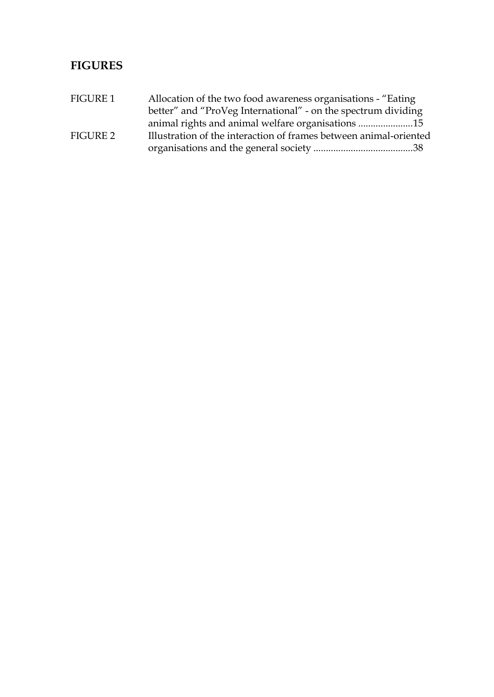## **FIGURES**

| <b>FIGURE 1</b> | Allocation of the two food awareness organisations - "Eating      |
|-----------------|-------------------------------------------------------------------|
|                 | better" and "ProVeg International" - on the spectrum dividing     |
|                 | animal rights and animal welfare organisations 15                 |
| FIGURE 2        | Illustration of the interaction of frames between animal-oriented |
|                 |                                                                   |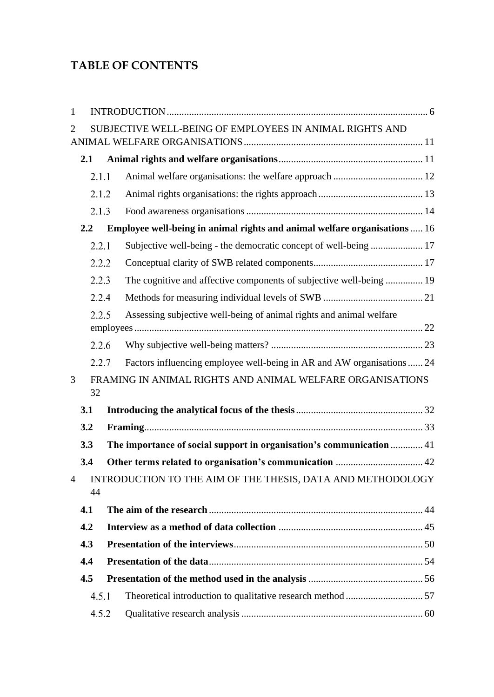## **TABLE OF CONTENTS**

| 1                                                                                   |       |       |                                                                           |  |  |
|-------------------------------------------------------------------------------------|-------|-------|---------------------------------------------------------------------------|--|--|
| 2                                                                                   |       |       | SUBJECTIVE WELL-BEING OF EMPLOYEES IN ANIMAL RIGHTS AND                   |  |  |
|                                                                                     | 2.1   |       |                                                                           |  |  |
|                                                                                     |       | 2.1.1 |                                                                           |  |  |
|                                                                                     |       | 2.1.2 |                                                                           |  |  |
|                                                                                     |       | 2.1.3 |                                                                           |  |  |
|                                                                                     | 2.2   |       | Employee well-being in animal rights and animal welfare organisations  16 |  |  |
|                                                                                     | 2.2.1 |       |                                                                           |  |  |
|                                                                                     |       | 2.2.2 |                                                                           |  |  |
|                                                                                     |       | 2.2.3 | The cognitive and affective components of subjective well-being  19       |  |  |
|                                                                                     |       | 2.2.4 |                                                                           |  |  |
|                                                                                     |       | 2.2.5 | Assessing subjective well-being of animal rights and animal welfare       |  |  |
|                                                                                     |       | 2.2.6 |                                                                           |  |  |
|                                                                                     |       | 2.2.7 | Factors influencing employee well-being in AR and AW organisations  24    |  |  |
| 3                                                                                   | 32    |       | FRAMING IN ANIMAL RIGHTS AND ANIMAL WELFARE ORGANISATIONS                 |  |  |
|                                                                                     | 3.1   |       |                                                                           |  |  |
|                                                                                     | 3.2   |       |                                                                           |  |  |
|                                                                                     | 3.3   |       | The importance of social support in organisation's communication  41      |  |  |
|                                                                                     | 3.4   |       |                                                                           |  |  |
| $\overline{4}$<br>INTRODUCTION TO THE AIM OF THE THESIS, DATA AND METHODOLOGY<br>44 |       |       |                                                                           |  |  |
|                                                                                     | 4.1   |       |                                                                           |  |  |
|                                                                                     | 4.2   |       |                                                                           |  |  |
|                                                                                     | 4.3   |       |                                                                           |  |  |
|                                                                                     | 4.4   |       |                                                                           |  |  |
|                                                                                     | 4.5   |       |                                                                           |  |  |
|                                                                                     | 4.5.1 |       |                                                                           |  |  |
|                                                                                     |       | 4.5.2 |                                                                           |  |  |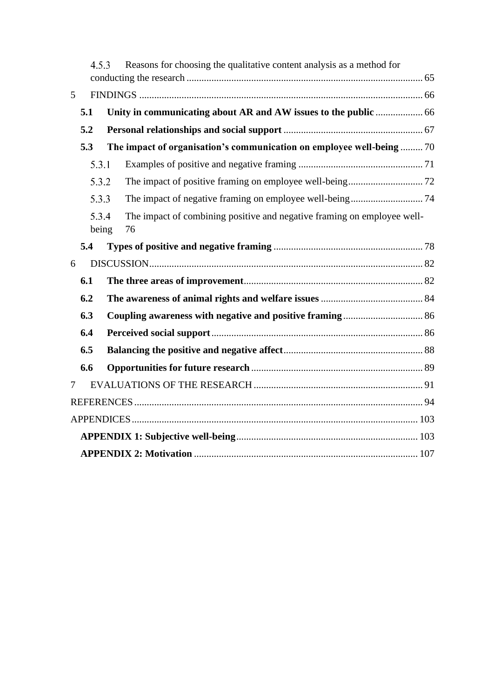| 4.5.3 |                | Reasons for choosing the qualitative content analysis as a method for |                                                                               |  |  |  |
|-------|----------------|-----------------------------------------------------------------------|-------------------------------------------------------------------------------|--|--|--|
|       |                |                                                                       |                                                                               |  |  |  |
| 5     |                |                                                                       |                                                                               |  |  |  |
|       | 5.1            |                                                                       |                                                                               |  |  |  |
|       | 5.2            |                                                                       |                                                                               |  |  |  |
|       | 5.3            |                                                                       | The impact of organisation's communication on employee well-being  70         |  |  |  |
|       |                | 5.3.1                                                                 |                                                                               |  |  |  |
|       |                | 5.3.2                                                                 |                                                                               |  |  |  |
|       |                | 5.3.3                                                                 |                                                                               |  |  |  |
|       | 5.3.4<br>being |                                                                       | The impact of combining positive and negative framing on employee well-<br>76 |  |  |  |
|       | 5.4            |                                                                       |                                                                               |  |  |  |
| 6     |                |                                                                       |                                                                               |  |  |  |
|       | 6.1            |                                                                       |                                                                               |  |  |  |
|       | 6.2            |                                                                       |                                                                               |  |  |  |
|       | 6.3            |                                                                       |                                                                               |  |  |  |
|       | 6.4            |                                                                       |                                                                               |  |  |  |
| 6.5   |                |                                                                       |                                                                               |  |  |  |
|       | 6.6            |                                                                       |                                                                               |  |  |  |
| 7     |                |                                                                       |                                                                               |  |  |  |
|       |                |                                                                       |                                                                               |  |  |  |
|       |                |                                                                       |                                                                               |  |  |  |
|       |                |                                                                       |                                                                               |  |  |  |
|       |                |                                                                       |                                                                               |  |  |  |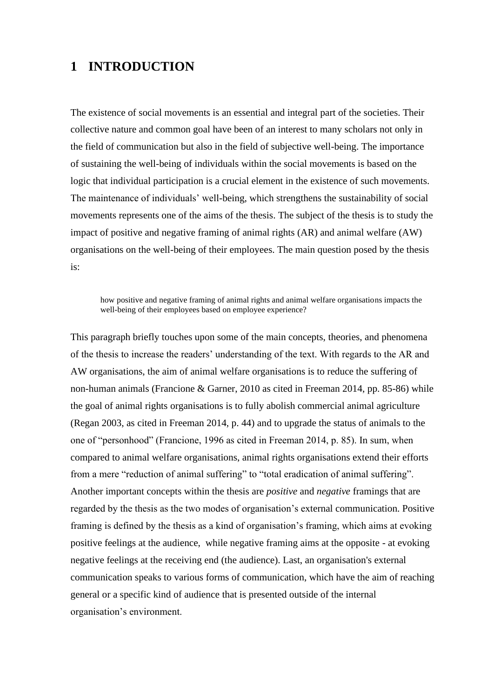### <span id="page-5-0"></span>**1 INTRODUCTION**

The existence of social movements is an essential and integral part of the societies. Their collective nature and common goal have been of an interest to many scholars not only in the field of communication but also in the field of subjective well-being. The importance of sustaining the well-being of individuals within the social movements is based on the logic that individual participation is a crucial element in the existence of such movements. The maintenance of individuals' well-being, which strengthens the sustainability of social movements represents one of the aims of the thesis. The subject of the thesis is to study the impact of positive and negative framing of animal rights (AR) and animal welfare (AW) organisations on the well-being of their employees. The main question posed by the thesis is:

how positive and negative framing of animal rights and animal welfare organisations impacts the well-being of their employees based on employee experience?

This paragraph briefly touches upon some of the main concepts, theories, and phenomena of the thesis to increase the readers' understanding of the text. With regards to the AR and AW organisations, the aim of animal welfare organisations is to reduce the suffering of non-human animals (Francione & Garner, 2010 as cited in Freeman 2014, pp. 85-86) while the goal of animal rights organisations is to fully abolish commercial animal agriculture (Regan 2003, as cited in Freeman 2014, p. 44) and to upgrade the status of animals to the one of "personhood" (Francione, 1996 as cited in Freeman 2014, p. 85). In sum, when compared to animal welfare organisations, animal rights organisations extend their efforts from a mere "reduction of animal suffering" to "total eradication of animal suffering". Another important concepts within the thesis are *positive* and *negative* framings that are regarded by the thesis as the two modes of organisation's external communication. Positive framing is defined by the thesis as a kind of organisation's framing, which aims at evoking positive feelings at the audience, while negative framing aims at the opposite - at evoking negative feelings at the receiving end (the audience). Last, an organisation's external communication speaks to various forms of communication, which have the aim of reaching general or a specific kind of audience that is presented outside of the internal organisation's environment.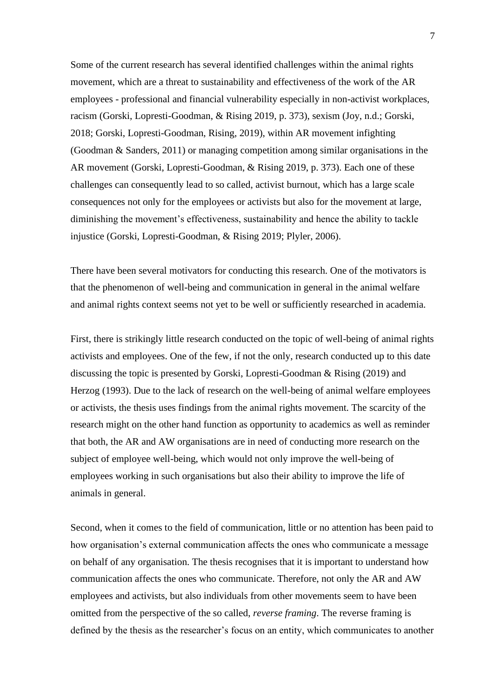Some of the current research has several identified challenges within the animal rights movement, which are a threat to sustainability and effectiveness of the work of the AR employees - professional and financial vulnerability especially in non-activist workplaces, racism (Gorski, Lopresti-Goodman, & Rising 2019, p. 373), sexism (Joy, n.d.; Gorski, 2018; Gorski, Lopresti-Goodman, Rising, 2019), within AR movement infighting (Goodman & Sanders, 2011) or managing competition among similar organisations in the AR movement (Gorski, Lopresti-Goodman, & Rising 2019, p. 373). Each one of these challenges can consequently lead to so called, activist burnout, which has a large scale consequences not only for the employees or activists but also for the movement at large, diminishing the movement's effectiveness, sustainability and hence the ability to tackle injustice (Gorski, Lopresti-Goodman, & Rising 2019; Plyler, 2006).

There have been several motivators for conducting this research. One of the motivators is that the phenomenon of well-being and communication in general in the animal welfare and animal rights context seems not yet to be well or sufficiently researched in academia.

First, there is strikingly little research conducted on the topic of well-being of animal rights activists and employees. One of the few, if not the only, research conducted up to this date discussing the topic is presented by Gorski, Lopresti-Goodman & Rising (2019) and Herzog (1993). Due to the lack of research on the well-being of animal welfare employees or activists, the thesis uses findings from the animal rights movement. The scarcity of the research might on the other hand function as opportunity to academics as well as reminder that both, the AR and AW organisations are in need of conducting more research on the subject of employee well-being, which would not only improve the well-being of employees working in such organisations but also their ability to improve the life of animals in general.

Second, when it comes to the field of communication, little or no attention has been paid to how organisation's external communication affects the ones who communicate a message on behalf of any organisation. The thesis recognises that it is important to understand how communication affects the ones who communicate. Therefore, not only the AR and AW employees and activists, but also individuals from other movements seem to have been omitted from the perspective of the so called, *reverse framing*. The reverse framing is defined by the thesis as the researcher's focus on an entity, which communicates to another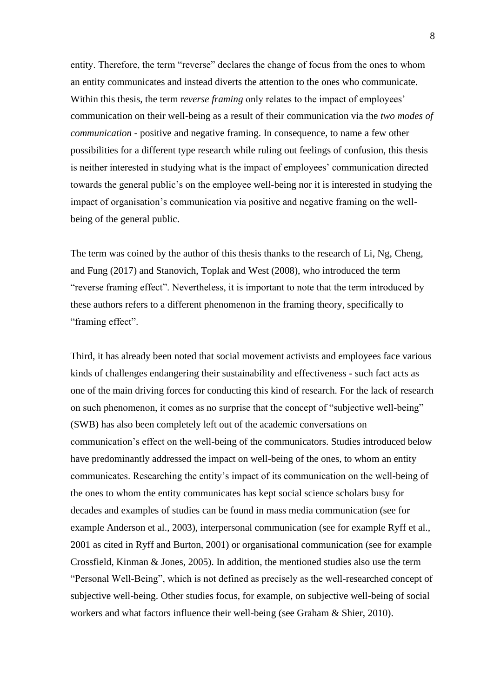entity. Therefore, the term "reverse" declares the change of focus from the ones to whom an entity communicates and instead diverts the attention to the ones who communicate. Within this thesis, the term r*everse framing* only relates to the impact of employees' communication on their well-being as a result of their communication via the *two modes of communication* - positive and negative framing. In consequence, to name a few other possibilities for a different type research while ruling out feelings of confusion, this thesis is neither interested in studying what is the impact of employees' communication directed towards the general public's on the employee well-being nor it is interested in studying the impact of organisation's communication via positive and negative framing on the wellbeing of the general public.

The term was coined by the author of this thesis thanks to the research of Li, Ng, Cheng, and Fung (2017) and Stanovich, Toplak and West (2008), who introduced the term "reverse framing effect". Nevertheless, it is important to note that the term introduced by these authors refers to a different phenomenon in the framing theory, specifically to "framing effect".

Third, it has already been noted that social movement activists and employees face various kinds of challenges endangering their sustainability and effectiveness - such fact acts as one of the main driving forces for conducting this kind of research. For the lack of research on such phenomenon, it comes as no surprise that the concept of "subjective well-being" (SWB) has also been completely left out of the academic conversations on communication's effect on the well-being of the communicators. Studies introduced below have predominantly addressed the impact on well-being of the ones, to whom an entity communicates. Researching the entity's impact of its communication on the well-being of the ones to whom the entity communicates has kept social science scholars busy for decades and examples of studies can be found in mass media communication (see for example Anderson et al., 2003), interpersonal communication (see for example Ryff et al., 2001 as cited in Ryff and Burton, 2001) or organisational communication (see for example Crossfield, Kinman & Jones, 2005). In addition, the mentioned studies also use the term "Personal Well-Being", which is not defined as precisely as the well-researched concept of subjective well-being. Other studies focus, for example, on subjective well-being of social workers and what factors influence their well-being (see Graham & Shier, 2010).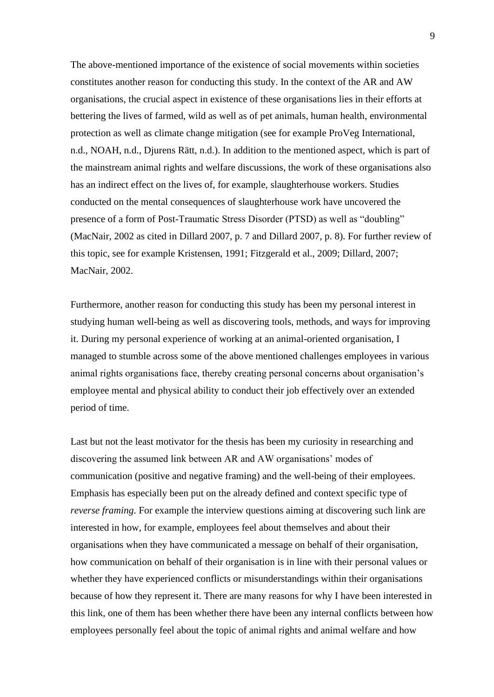The above-mentioned importance of the existence of social movements within societies constitutes another reason for conducting this study. In the context of the AR and AW organisations, the crucial aspect in existence of these organisations lies in their efforts at bettering the lives of farmed, wild as well as of pet animals, human health, environmental protection as well as climate change mitigation (see for example ProVeg International, n.d., NOAH, n.d., Djurens Rätt, n.d.). In addition to the mentioned aspect, which is part of the mainstream animal rights and welfare discussions, the work of these organisations also has an indirect effect on the lives of, for example, slaughterhouse workers. Studies conducted on the mental consequences of slaughterhouse work have uncovered the presence of a form of Post-Traumatic Stress Disorder (PTSD) as well as "doubling" (MacNair, 2002 as cited in Dillard 2007, p. 7 and Dillard 2007, p. 8). For further review of this topic, see for example Kristensen, 1991; Fitzgerald et al., 2009; Dillard, 2007; MacNair, 2002.

Furthermore, another reason for conducting this study has been my personal interest in studying human well-being as well as discovering tools, methods, and ways for improving it. During my personal experience of working at an animal-oriented organisation, I managed to stumble across some of the above mentioned challenges employees in various animal rights organisations face, thereby creating personal concerns about organisation's employee mental and physical ability to conduct their job effectively over an extended period of time.

Last but not the least motivator for the thesis has been my curiosity in researching and discovering the assumed link between AR and AW organisations' modes of communication (positive and negative framing) and the well-being of their employees. Emphasis has especially been put on the already defined and context specific type of *reverse framing*. For example the interview questions aiming at discovering such link are interested in how, for example, employees feel about themselves and about their organisations when they have communicated a message on behalf of their organisation, how communication on behalf of their organisation is in line with their personal values or whether they have experienced conflicts or misunderstandings within their organisations because of how they represent it. There are many reasons for why I have been interested in this link, one of them has been whether there have been any internal conflicts between how employees personally feel about the topic of animal rights and animal welfare and how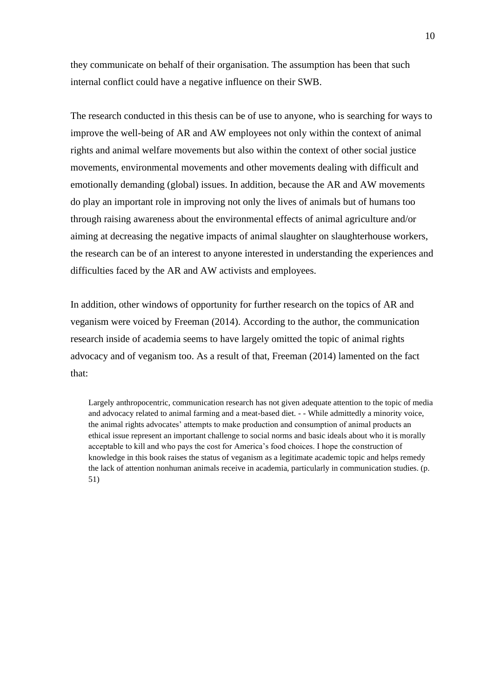they communicate on behalf of their organisation. The assumption has been that such internal conflict could have a negative influence on their SWB.

The research conducted in this thesis can be of use to anyone, who is searching for ways to improve the well-being of AR and AW employees not only within the context of animal rights and animal welfare movements but also within the context of other social justice movements, environmental movements and other movements dealing with difficult and emotionally demanding (global) issues. In addition, because the AR and AW movements do play an important role in improving not only the lives of animals but of humans too through raising awareness about the environmental effects of animal agriculture and/or aiming at decreasing the negative impacts of animal slaughter on slaughterhouse workers, the research can be of an interest to anyone interested in understanding the experiences and difficulties faced by the AR and AW activists and employees.

In addition, other windows of opportunity for further research on the topics of AR and veganism were voiced by Freeman (2014). According to the author, the communication research inside of academia seems to have largely omitted the topic of animal rights advocacy and of veganism too. As a result of that, Freeman (2014) lamented on the fact that:

Largely anthropocentric, communication research has not given adequate attention to the topic of media and advocacy related to animal farming and a meat-based diet. - - While admittedly a minority voice, the animal rights advocates' attempts to make production and consumption of animal products an ethical issue represent an important challenge to social norms and basic ideals about who it is morally acceptable to kill and who pays the cost for America's food choices. I hope the construction of knowledge in this book raises the status of veganism as a legitimate academic topic and helps remedy the lack of attention nonhuman animals receive in academia, particularly in communication studies. (p. 51)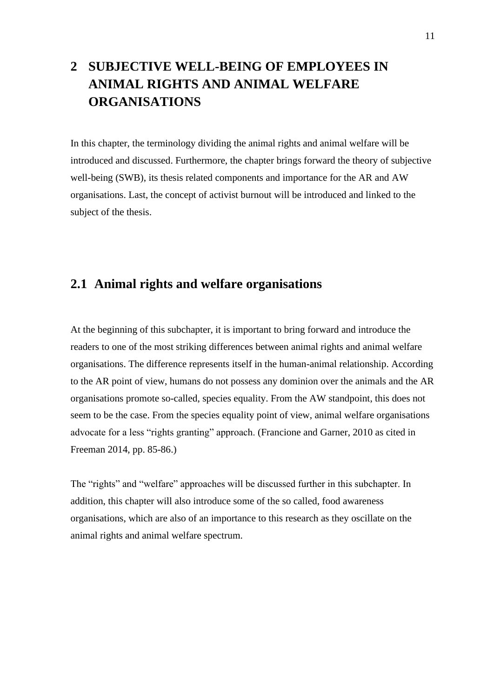## <span id="page-10-0"></span>**2 SUBJECTIVE WELL-BEING OF EMPLOYEES IN ANIMAL RIGHTS AND ANIMAL WELFARE ORGANISATIONS**

In this chapter, the terminology dividing the animal rights and animal welfare will be introduced and discussed. Furthermore, the chapter brings forward the theory of subjective well-being (SWB), its thesis related components and importance for the AR and AW organisations. Last, the concept of activist burnout will be introduced and linked to the subject of the thesis.

### <span id="page-10-1"></span>**2.1 Animal rights and welfare organisations**

At the beginning of this subchapter, it is important to bring forward and introduce the readers to one of the most striking differences between animal rights and animal welfare organisations. The difference represents itself in the human-animal relationship. According to the AR point of view, humans do not possess any dominion over the animals and the AR organisations promote so-called, species equality. From the AW standpoint, this does not seem to be the case. From the species equality point of view, animal welfare organisations advocate for a less "rights granting" approach. (Francione and Garner, 2010 as cited in Freeman 2014, pp. 85-86.)

The "rights" and "welfare" approaches will be discussed further in this subchapter. In addition, this chapter will also introduce some of the so called, food awareness organisations, which are also of an importance to this research as they oscillate on the animal rights and animal welfare spectrum.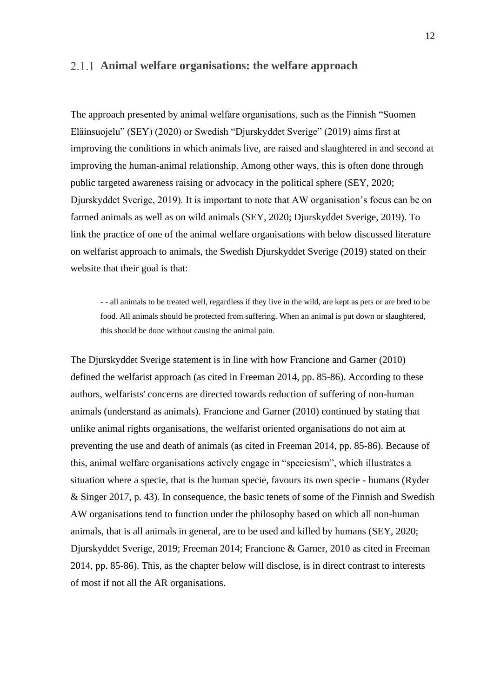#### <span id="page-11-0"></span>**Animal welfare organisations: the welfare approach**

The approach presented by animal welfare organisations, such as the Finnish "Suomen Eläinsuojelu" (SEY) (2020) or Swedish "Djurskyddet Sverige" (2019) aims first at improving the conditions in which animals live, are raised and slaughtered in and second at improving the human-animal relationship. Among other ways, this is often done through public targeted awareness raising or advocacy in the political sphere (SEY, 2020; Djurskyddet Sverige, 2019). It is important to note that AW organisation's focus can be on farmed animals as well as on wild animals (SEY, 2020; Djurskyddet Sverige, 2019). To link the practice of one of the animal welfare organisations with below discussed literature on welfarist approach to animals, the Swedish Djurskyddet Sverige (2019) stated on their website that their goal is that:

- - all animals to be treated well, regardless if they live in the wild, are kept as pets or are bred to be food. All animals should be protected from suffering. When an animal is put down or slaughtered, this should be done without causing the animal pain.

The Djurskyddet Sverige statement is in line with how Francione and Garner (2010) defined the welfarist approach (as cited in Freeman 2014, pp. 85-86). According to these authors, welfarists' concerns are directed towards reduction of suffering of non-human animals (understand as animals). Francione and Garner (2010) continued by stating that unlike animal rights organisations, the welfarist oriented organisations do not aim at preventing the use and death of animals (as cited in Freeman 2014, pp. 85-86). Because of this, animal welfare organisations actively engage in "speciesism", which illustrates a situation where a specie, that is the human specie, favours its own specie - humans (Ryder & Singer 2017, p. 43). In consequence, the basic tenets of some of the Finnish and Swedish AW organisations tend to function under the philosophy based on which all non-human animals, that is all animals in general, are to be used and killed by humans (SEY, 2020; Djurskyddet Sverige, 2019; Freeman 2014; Francione & Garner, 2010 as cited in Freeman 2014, pp. 85-86). This, as the chapter below will disclose, is in direct contrast to interests of most if not all the AR organisations.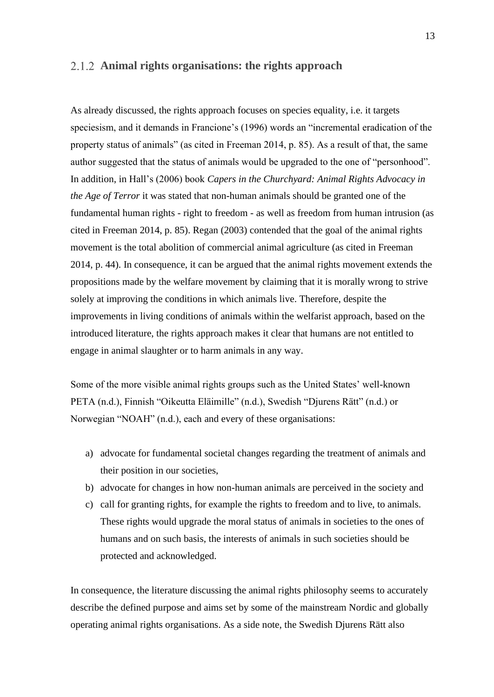#### <span id="page-12-0"></span>**Animal rights organisations: the rights approach**

As already discussed, the rights approach focuses on species equality, i.e. it targets speciesism, and it demands in Francione's (1996) words an "incremental eradication of the property status of animals" (as cited in Freeman 2014, p. 85). As a result of that, the same author suggested that the status of animals would be upgraded to the one of "personhood". In addition, in Hall's (2006) book *Capers in the Churchyard: Animal Rights Advocacy in the Age of Terror* it was stated that non-human animals should be granted one of the fundamental human rights - right to freedom - as well as freedom from human intrusion (as cited in Freeman 2014, p. 85). Regan (2003) contended that the goal of the animal rights movement is the total abolition of commercial animal agriculture (as cited in Freeman 2014, p. 44). In consequence, it can be argued that the animal rights movement extends the propositions made by the welfare movement by claiming that it is morally wrong to strive solely at improving the conditions in which animals live. Therefore, despite the improvements in living conditions of animals within the welfarist approach, based on the introduced literature, the rights approach makes it clear that humans are not entitled to engage in animal slaughter or to harm animals in any way.

Some of the more visible animal rights groups such as the United States' well-known PETA (n.d.), Finnish "Oikeutta Eläimille" (n.d.), Swedish "Djurens Rätt" (n.d.) or Norwegian "NOAH" (n.d.), each and every of these organisations:

- a) advocate for fundamental societal changes regarding the treatment of animals and their position in our societies,
- b) advocate for changes in how non-human animals are perceived in the society and
- c) call for granting rights, for example the rights to freedom and to live, to animals. These rights would upgrade the moral status of animals in societies to the ones of humans and on such basis, the interests of animals in such societies should be protected and acknowledged.

In consequence, the literature discussing the animal rights philosophy seems to accurately describe the defined purpose and aims set by some of the mainstream Nordic and globally operating animal rights organisations. As a side note, the Swedish Djurens Rätt also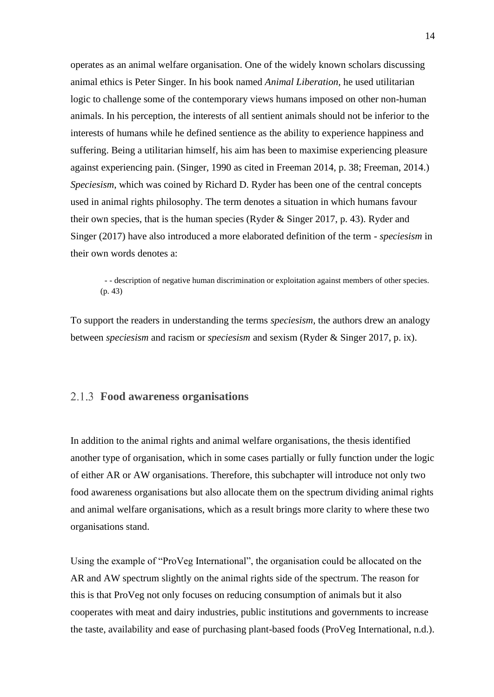operates as an animal welfare organisation. One of the widely known scholars discussing animal ethics is Peter Singer. In his book named *Animal Liberation,* he used utilitarian logic to challenge some of the contemporary views humans imposed on other non-human animals. In his perception, the interests of all sentient animals should not be inferior to the interests of humans while he defined sentience as the ability to experience happiness and suffering. Being a utilitarian himself, his aim has been to maximise experiencing pleasure against experiencing pain. (Singer, 1990 as cited in Freeman 2014, p. 38; Freeman, 2014.) *Speciesism*, which was coined by Richard D. Ryder has been one of the central concepts used in animal rights philosophy. The term denotes a situation in which humans favour their own species, that is the human species (Ryder & Singer 2017, p. 43). Ryder and Singer (2017) have also introduced a more elaborated definition of the term - *speciesism* in their own words denotes a:

 - - description of negative human discrimination or exploitation against members of other species. (p. 43)

To support the readers in understanding the terms *speciesism,* the authors drew an analogy between *speciesism* and racism or *speciesism* and sexism (Ryder & Singer 2017, p. ix).

### <span id="page-13-0"></span>**Food awareness organisations**

In addition to the animal rights and animal welfare organisations, the thesis identified another type of organisation, which in some cases partially or fully function under the logic of either AR or AW organisations. Therefore, this subchapter will introduce not only two food awareness organisations but also allocate them on the spectrum dividing animal rights and animal welfare organisations, which as a result brings more clarity to where these two organisations stand.

Using the example of "ProVeg International", the organisation could be allocated on the AR and AW spectrum slightly on the animal rights side of the spectrum. The reason for this is that ProVeg not only focuses on reducing consumption of animals but it also cooperates with meat and dairy industries, public institutions and governments to increase the taste, availability and ease of purchasing plant-based foods (ProVeg International, n.d.).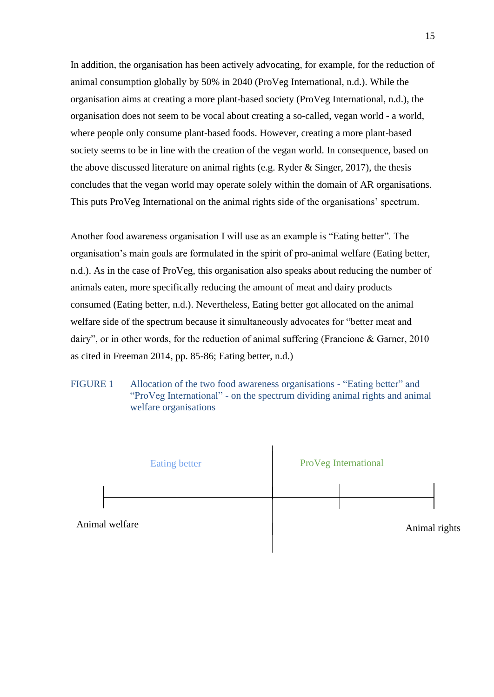In addition, the organisation has been actively advocating, for example, for the reduction of animal consumption globally by 50% in 2040 (ProVeg International, n.d.). While the organisation aims at creating a more plant-based society (ProVeg International, n.d.), the organisation does not seem to be vocal about creating a so-called, vegan world - a world, where people only consume plant-based foods. However, creating a more plant-based society seems to be in line with the creation of the vegan world. In consequence, based on the above discussed literature on animal rights (e.g. Ryder  $\&$  Singer, 2017), the thesis concludes that the vegan world may operate solely within the domain of AR organisations. This puts ProVeg International on the animal rights side of the organisations' spectrum.

Another food awareness organisation I will use as an example is "Eating better". The organisation's main goals are formulated in the spirit of pro-animal welfare (Eating better, n.d.). As in the case of ProVeg, this organisation also speaks about reducing the number of animals eaten, more specifically reducing the amount of meat and dairy products consumed (Eating better, n.d.). Nevertheless, Eating better got allocated on the animal welfare side of the spectrum because it simultaneously advocates for "better meat and dairy", or in other words, for the reduction of animal suffering (Francione & Garner, 2010 as cited in Freeman 2014, pp. 85-86; Eating better, n.d.)

<span id="page-14-0"></span>FIGURE 1 Allocation of the two food awareness organisations - "Eating better" and "ProVeg International" - on the spectrum dividing animal rights and animal welfare organisations

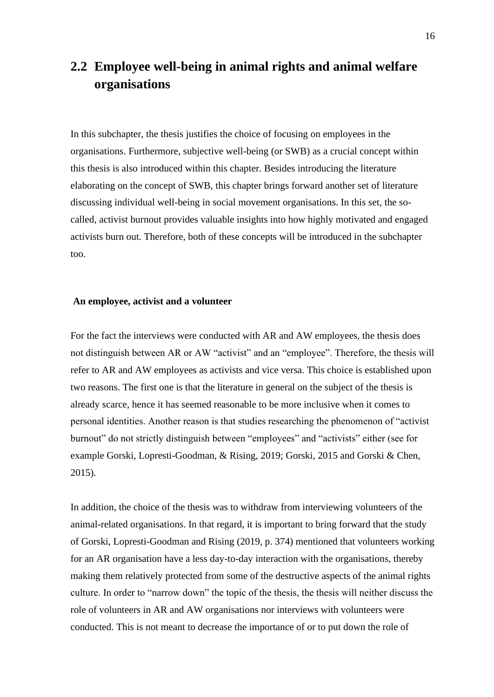## <span id="page-15-0"></span>**2.2 Employee well-being in animal rights and animal welfare organisations**

In this subchapter, the thesis justifies the choice of focusing on employees in the organisations. Furthermore, subjective well-being (or SWB) as a crucial concept within this thesis is also introduced within this chapter. Besides introducing the literature elaborating on the concept of SWB, this chapter brings forward another set of literature discussing individual well-being in social movement organisations. In this set, the socalled, activist burnout provides valuable insights into how highly motivated and engaged activists burn out. Therefore, both of these concepts will be introduced in the subchapter too.

#### **An employee, activist and a volunteer**

For the fact the interviews were conducted with AR and AW employees, the thesis does not distinguish between AR or AW "activist" and an "employee". Therefore, the thesis will refer to AR and AW employees as activists and vice versa. This choice is established upon two reasons. The first one is that the literature in general on the subject of the thesis is already scarce, hence it has seemed reasonable to be more inclusive when it comes to personal identities. Another reason is that studies researching the phenomenon of "activist burnout" do not strictly distinguish between "employees" and "activists" either (see for example Gorski, Lopresti-Goodman, & Rising, 2019; Gorski, 2015 and Gorski & Chen, 2015).

In addition, the choice of the thesis was to withdraw from interviewing volunteers of the animal-related organisations. In that regard, it is important to bring forward that the study of Gorski, Lopresti-Goodman and Rising (2019, p. 374) mentioned that volunteers working for an AR organisation have a less day-to-day interaction with the organisations, thereby making them relatively protected from some of the destructive aspects of the animal rights culture. In order to "narrow down" the topic of the thesis, the thesis will neither discuss the role of volunteers in AR and AW organisations nor interviews with volunteers were conducted. This is not meant to decrease the importance of or to put down the role of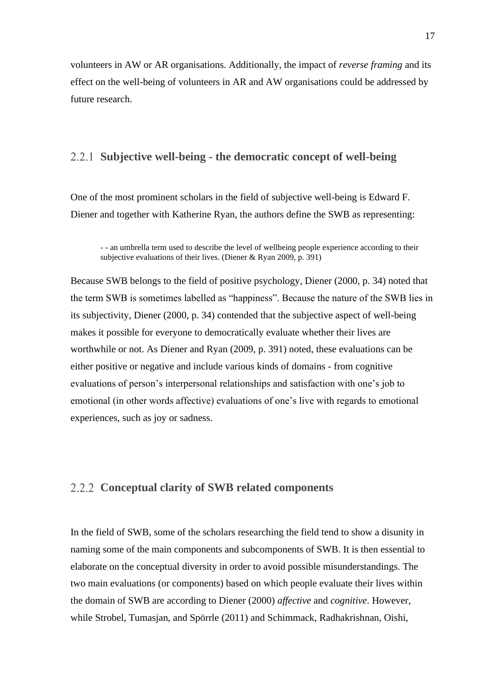volunteers in AW or AR organisations. Additionally, the impact of *reverse framing* and its effect on the well-being of volunteers in AR and AW organisations could be addressed by future research.

#### <span id="page-16-0"></span>**Subjective well-being - the democratic concept of well-being**

One of the most prominent scholars in the field of subjective well-being is Edward F. Diener and together with Katherine Ryan, the authors define the SWB as representing:

- - an umbrella term used to describe the level of wellbeing people experience according to their subjective evaluations of their lives. (Diener & Ryan 2009, p. 391)

Because SWB belongs to the field of positive psychology, Diener (2000, p. 34) noted that the term SWB is sometimes labelled as "happiness". Because the nature of the SWB lies in its subjectivity, Diener (2000, p. 34) contended that the subjective aspect of well-being makes it possible for everyone to democratically evaluate whether their lives are worthwhile or not. As Diener and Ryan (2009, p. 391) noted, these evaluations can be either positive or negative and include various kinds of domains - from cognitive evaluations of person's interpersonal relationships and satisfaction with one's job to emotional (in other words affective) evaluations of one's live with regards to emotional experiences, such as joy or sadness.

### <span id="page-16-1"></span>**Conceptual clarity of SWB related components**

In the field of SWB, some of the scholars researching the field tend to show a disunity in naming some of the main components and subcomponents of SWB. It is then essential to elaborate on the conceptual diversity in order to avoid possible misunderstandings. The two main evaluations (or components) based on which people evaluate their lives within the domain of SWB are according to Diener (2000) *affective* and *cognitive*. However, while Strobel, Tumasjan, and Spörrle (2011) and Schimmack, Radhakrishnan, Oishi,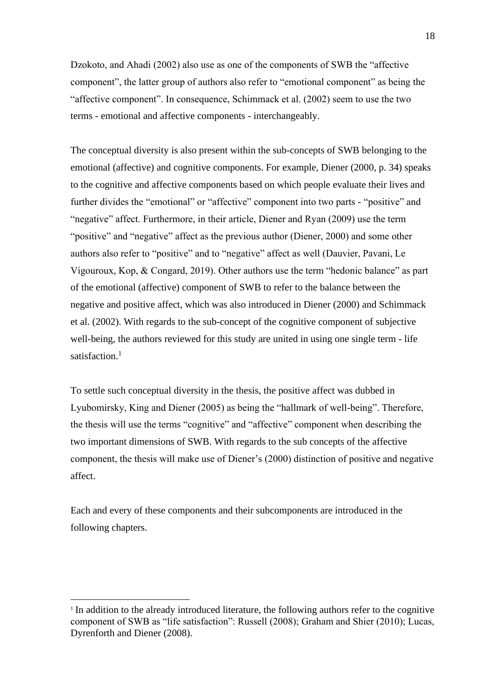Dzokoto, and Ahadi (2002) also use as one of the components of SWB the "affective component", the latter group of authors also refer to "emotional component" as being the "affective component". In consequence, Schimmack et al. (2002) seem to use the two terms - emotional and affective components - interchangeably.

The conceptual diversity is also present within the sub-concepts of SWB belonging to the emotional (affective) and cognitive components. For example, Diener (2000, p. 34) speaks to the cognitive and affective components based on which people evaluate their lives and further divides the "emotional" or "affective" component into two parts - "positive" and "negative" affect. Furthermore, in their article, Diener and Ryan (2009) use the term "positive" and "negative" affect as the previous author (Diener, 2000) and some other authors also refer to "positive" and to "negative" affect as well (Dauvier, Pavani, Le Vigouroux, Kop, & Congard, 2019). Other authors use the term "hedonic balance" as part of the emotional (affective) component of SWB to refer to the balance between the negative and positive affect, which was also introduced in Diener (2000) and Schimmack et al. (2002). With regards to the sub-concept of the cognitive component of subjective well-being, the authors reviewed for this study are united in using one single term - life satisfaction.<sup>1</sup>

To settle such conceptual diversity in the thesis, the positive affect was dubbed in Lyubomirsky, King and Diener (2005) as being the "hallmark of well-being". Therefore, the thesis will use the terms "cognitive" and "affective" component when describing the two important dimensions of SWB. With regards to the sub concepts of the affective component, the thesis will make use of Diener's (2000) distinction of positive and negative affect.

Each and every of these components and their subcomponents are introduced in the following chapters.

<sup>&</sup>lt;sup>1</sup> In addition to the already introduced literature, the following authors refer to the cognitive component of SWB as "life satisfaction": Russell (2008); Graham and Shier (2010); Lucas, Dyrenforth and Diener (2008).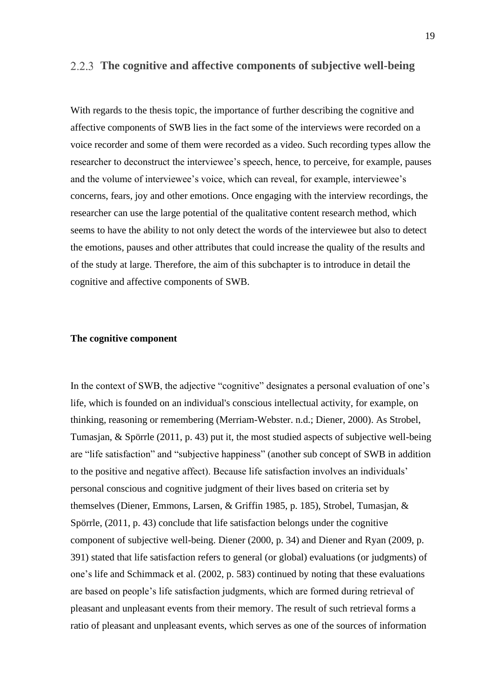#### <span id="page-18-0"></span>**The cognitive and affective components of subjective well-being**

With regards to the thesis topic, the importance of further describing the cognitive and affective components of SWB lies in the fact some of the interviews were recorded on a voice recorder and some of them were recorded as a video. Such recording types allow the researcher to deconstruct the interviewee's speech, hence, to perceive, for example, pauses and the volume of interviewee's voice, which can reveal, for example, interviewee's concerns, fears, joy and other emotions. Once engaging with the interview recordings, the researcher can use the large potential of the qualitative content research method, which seems to have the ability to not only detect the words of the interviewee but also to detect the emotions, pauses and other attributes that could increase the quality of the results and of the study at large. Therefore, the aim of this subchapter is to introduce in detail the cognitive and affective components of SWB.

#### **The cognitive component**

In the context of SWB, the adjective "cognitive" designates a personal evaluation of one's life, which is founded on an individual's conscious intellectual activity, for example, on thinking, reasoning or remembering (Merriam-Webster. n.d.; Diener, 2000). As Strobel, Tumasjan, & Spörrle (2011, p. 43) put it, the most studied aspects of subjective well-being are "life satisfaction" and "subjective happiness" (another sub concept of SWB in addition to the positive and negative affect). Because life satisfaction involves an individuals' personal conscious and cognitive judgment of their lives based on criteria set by themselves (Diener, Emmons, Larsen, & Griffin 1985, p. 185), Strobel, Tumasjan, & Spörrle, (2011, p. 43) conclude that life satisfaction belongs under the cognitive component of subjective well-being. Diener (2000, p. 34) and Diener and Ryan (2009, p. 391) stated that life satisfaction refers to general (or global) evaluations (or judgments) of one's life and Schimmack et al. (2002, p. 583) continued by noting that these evaluations are based on people's life satisfaction judgments, which are formed during retrieval of pleasant and unpleasant events from their memory. The result of such retrieval forms a ratio of pleasant and unpleasant events, which serves as one of the sources of information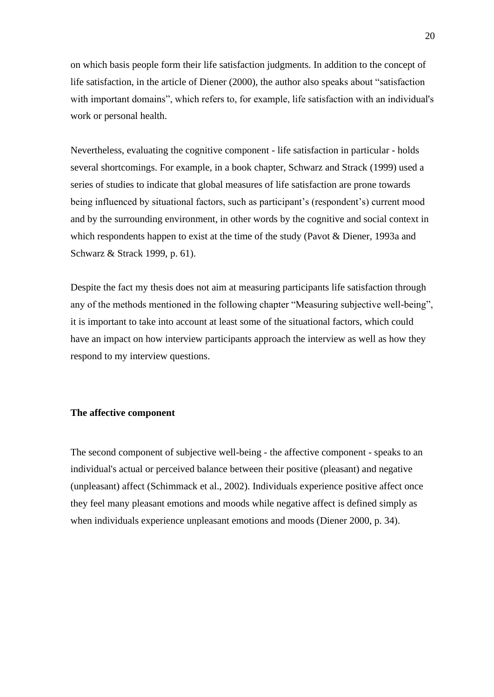on which basis people form their life satisfaction judgments. In addition to the concept of life satisfaction, in the article of Diener (2000), the author also speaks about "satisfaction with important domains", which refers to, for example, life satisfaction with an individual's work or personal health.

Nevertheless, evaluating the cognitive component - life satisfaction in particular - holds several shortcomings. For example, in a book chapter, Schwarz and Strack (1999) used a series of studies to indicate that global measures of life satisfaction are prone towards being influenced by situational factors, such as participant's (respondent's) current mood and by the surrounding environment, in other words by the cognitive and social context in which respondents happen to exist at the time of the study (Pavot & Diener, 1993a and Schwarz & Strack 1999, p. 61).

Despite the fact my thesis does not aim at measuring participants life satisfaction through any of the methods mentioned in the following chapter "Measuring subjective well-being", it is important to take into account at least some of the situational factors, which could have an impact on how interview participants approach the interview as well as how they respond to my interview questions.

#### **The affective component**

The second component of subjective well-being - the affective component - speaks to an individual's actual or perceived balance between their positive (pleasant) and negative (unpleasant) affect (Schimmack et al., 2002). Individuals experience positive affect once they feel many pleasant emotions and moods while negative affect is defined simply as when individuals experience unpleasant emotions and moods (Diener 2000, p. 34).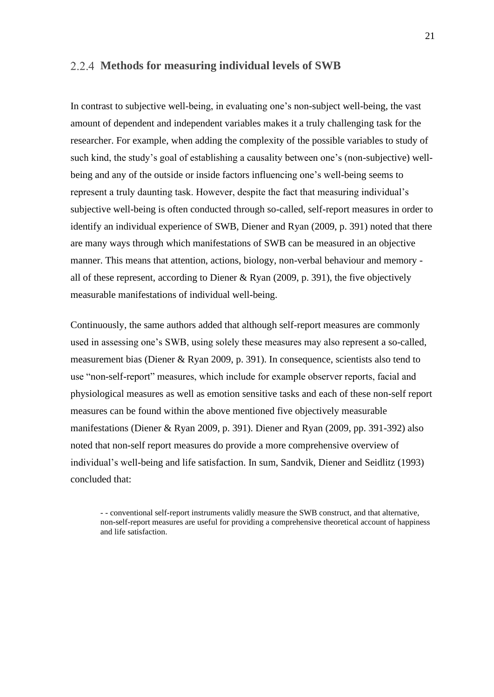#### <span id="page-20-0"></span>**Methods for measuring individual levels of SWB**

In contrast to subjective well-being, in evaluating one's non-subject well-being, the vast amount of dependent and independent variables makes it a truly challenging task for the researcher. For example, when adding the complexity of the possible variables to study of such kind, the study's goal of establishing a causality between one's (non-subjective) wellbeing and any of the outside or inside factors influencing one's well-being seems to represent a truly daunting task. However, despite the fact that measuring individual's subjective well-being is often conducted through so-called, self-report measures in order to identify an individual experience of SWB, Diener and Ryan (2009, p. 391) noted that there are many ways through which manifestations of SWB can be measured in an objective manner. This means that attention, actions, biology, non-verbal behaviour and memory all of these represent, according to Diener & Ryan (2009, p. 391), the five objectively measurable manifestations of individual well-being.

Continuously, the same authors added that although self-report measures are commonly used in assessing one's SWB, using solely these measures may also represent a so-called, measurement bias (Diener & Ryan 2009, p. 391). In consequence, scientists also tend to use "non-self-report" measures, which include for example observer reports, facial and physiological measures as well as emotion sensitive tasks and each of these non-self report measures can be found within the above mentioned five objectively measurable manifestations (Diener & Ryan 2009, p. 391). Diener and Ryan (2009, pp. 391-392) also noted that non-self report measures do provide a more comprehensive overview of individual's well-being and life satisfaction. In sum, Sandvik, Diener and Seidlitz (1993) concluded that:

<sup>-</sup> - conventional self-report instruments validly measure the SWB construct, and that alternative, non-self-report measures are useful for providing a comprehensive theoretical account of happiness and life satisfaction.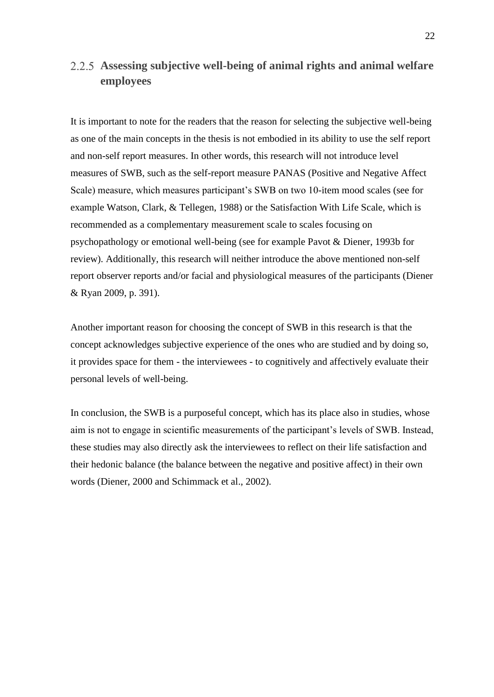## <span id="page-21-0"></span>**Assessing subjective well-being of animal rights and animal welfare employees**

It is important to note for the readers that the reason for selecting the subjective well-being as one of the main concepts in the thesis is not embodied in its ability to use the self report and non-self report measures. In other words, this research will not introduce level measures of SWB, such as the self-report measure PANAS (Positive and Negative Affect Scale) measure, which measures participant's SWB on two 10-item mood scales (see for example Watson, Clark, & Tellegen, 1988) or the Satisfaction With Life Scale, which is recommended as a complementary measurement scale to scales focusing on psychopathology or emotional well-being (see for example Pavot & Diener, 1993b for review). Additionally, this research will neither introduce the above mentioned non-self report observer reports and/or facial and physiological measures of the participants (Diener & Ryan 2009, p. 391).

Another important reason for choosing the concept of SWB in this research is that the concept acknowledges subjective experience of the ones who are studied and by doing so, it provides space for them - the interviewees - to cognitively and affectively evaluate their personal levels of well-being.

In conclusion, the SWB is a purposeful concept, which has its place also in studies, whose aim is not to engage in scientific measurements of the participant's levels of SWB. Instead, these studies may also directly ask the interviewees to reflect on their life satisfaction and their hedonic balance (the balance between the negative and positive affect) in their own words (Diener, 2000 and Schimmack et al., 2002).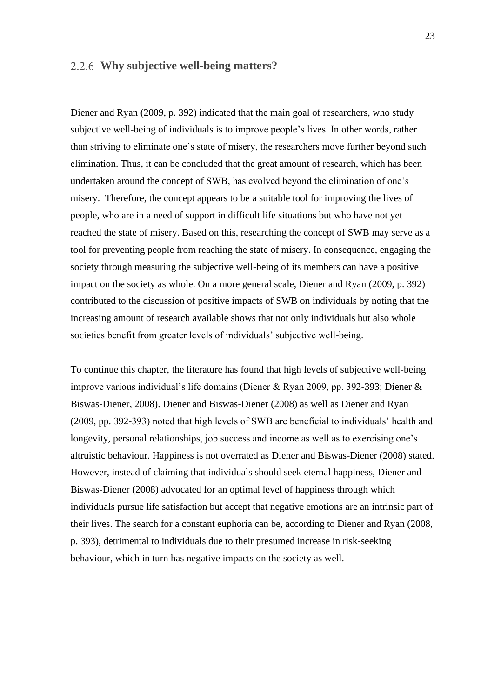#### <span id="page-22-0"></span>**Why subjective well-being matters?**

Diener and Ryan (2009, p. 392) indicated that the main goal of researchers, who study subjective well-being of individuals is to improve people's lives. In other words, rather than striving to eliminate one's state of misery, the researchers move further beyond such elimination. Thus, it can be concluded that the great amount of research, which has been undertaken around the concept of SWB, has evolved beyond the elimination of one's misery. Therefore, the concept appears to be a suitable tool for improving the lives of people, who are in a need of support in difficult life situations but who have not yet reached the state of misery. Based on this, researching the concept of SWB may serve as a tool for preventing people from reaching the state of misery. In consequence, engaging the society through measuring the subjective well-being of its members can have a positive impact on the society as whole. On a more general scale, Diener and Ryan (2009, p. 392) contributed to the discussion of positive impacts of SWB on individuals by noting that the increasing amount of research available shows that not only individuals but also whole societies benefit from greater levels of individuals' subjective well-being.

To continue this chapter, the literature has found that high levels of subjective well-being improve various individual's life domains (Diener & Ryan 2009, pp. 392-393; Diener & Biswas-Diener, 2008). Diener and Biswas-Diener (2008) as well as Diener and Ryan (2009, pp. 392-393) noted that high levels of SWB are beneficial to individuals' health and longevity, personal relationships, job success and income as well as to exercising one's altruistic behaviour. Happiness is not overrated as Diener and Biswas-Diener (2008) stated. However, instead of claiming that individuals should seek eternal happiness, Diener and Biswas-Diener (2008) advocated for an optimal level of happiness through which individuals pursue life satisfaction but accept that negative emotions are an intrinsic part of their lives. The search for a constant euphoria can be, according to Diener and Ryan (2008, p. 393), detrimental to individuals due to their presumed increase in risk-seeking behaviour, which in turn has negative impacts on the society as well.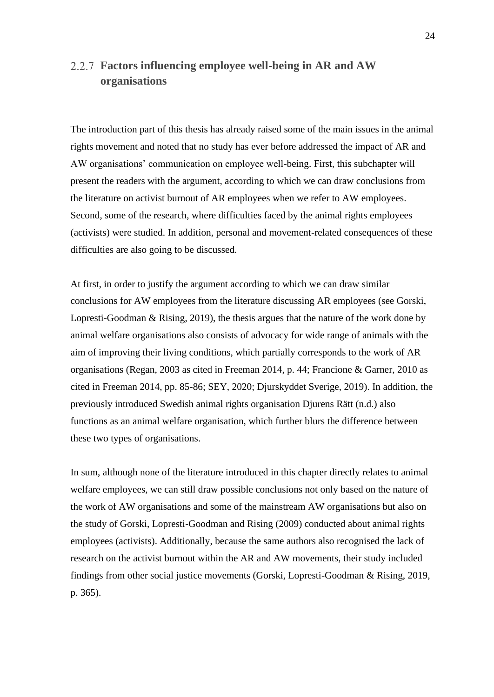## <span id="page-23-0"></span>**Factors influencing employee well-being in AR and AW organisations**

The introduction part of this thesis has already raised some of the main issues in the animal rights movement and noted that no study has ever before addressed the impact of AR and AW organisations' communication on employee well-being. First, this subchapter will present the readers with the argument, according to which we can draw conclusions from the literature on activist burnout of AR employees when we refer to AW employees. Second, some of the research, where difficulties faced by the animal rights employees (activists) were studied. In addition, personal and movement-related consequences of these difficulties are also going to be discussed.

At first, in order to justify the argument according to which we can draw similar conclusions for AW employees from the literature discussing AR employees (see Gorski, Lopresti-Goodman & Rising, 2019), the thesis argues that the nature of the work done by animal welfare organisations also consists of advocacy for wide range of animals with the aim of improving their living conditions, which partially corresponds to the work of AR organisations (Regan, 2003 as cited in Freeman 2014, p. 44; Francione & Garner, 2010 as cited in Freeman 2014, pp. 85-86; SEY, 2020; Djurskyddet Sverige, 2019). In addition, the previously introduced Swedish animal rights organisation Djurens Rätt (n.d.) also functions as an animal welfare organisation, which further blurs the difference between these two types of organisations.

In sum, although none of the literature introduced in this chapter directly relates to animal welfare employees, we can still draw possible conclusions not only based on the nature of the work of AW organisations and some of the mainstream AW organisations but also on the study of Gorski, Lopresti-Goodman and Rising (2009) conducted about animal rights employees (activists). Additionally, because the same authors also recognised the lack of research on the activist burnout within the AR and AW movements, their study included findings from other social justice movements (Gorski, Lopresti-Goodman & Rising, 2019, p. 365).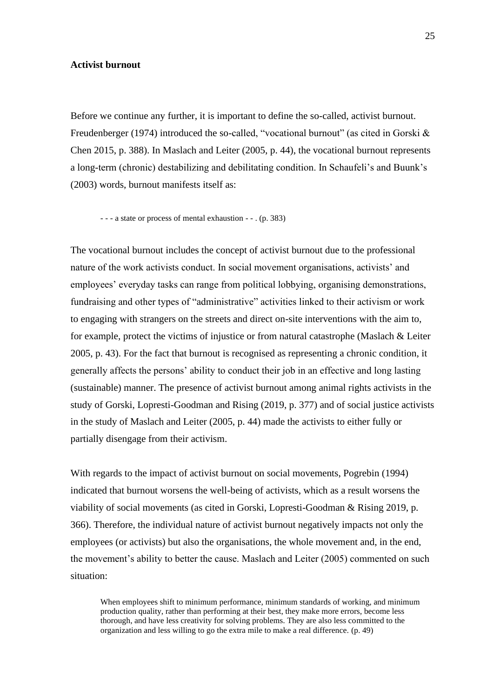#### **Activist burnout**

Before we continue any further, it is important to define the so-called, activist burnout. Freudenberger (1974) introduced the so-called, "vocational burnout" (as cited in Gorski & Chen 2015, p. 388). In Maslach and Leiter (2005, p. 44), the vocational burnout represents a long-term (chronic) destabilizing and debilitating condition. In Schaufeli's and Buunk's (2003) words, burnout manifests itself as:

- - - a state or process of mental exhaustion - - . (p. 383)

The vocational burnout includes the concept of activist burnout due to the professional nature of the work activists conduct. In social movement organisations, activists' and employees' everyday tasks can range from political lobbying, organising demonstrations, fundraising and other types of "administrative" activities linked to their activism or work to engaging with strangers on the streets and direct on-site interventions with the aim to, for example, protect the victims of injustice or from natural catastrophe (Maslach & Leiter 2005, p. 43). For the fact that burnout is recognised as representing a chronic condition, it generally affects the persons' ability to conduct their job in an effective and long lasting (sustainable) manner. The presence of activist burnout among animal rights activists in the study of Gorski, Lopresti-Goodman and Rising (2019, p. 377) and of social justice activists in the study of Maslach and Leiter (2005, p. 44) made the activists to either fully or partially disengage from their activism.

With regards to the impact of activist burnout on social movements, Pogrebin (1994) indicated that burnout worsens the well-being of activists, which as a result worsens the viability of social movements (as cited in Gorski, Lopresti-Goodman & Rising 2019, p. 366). Therefore, the individual nature of activist burnout negatively impacts not only the employees (or activists) but also the organisations, the whole movement and, in the end, the movement's ability to better the cause. Maslach and Leiter (2005) commented on such situation:

When employees shift to minimum performance, minimum standards of working, and minimum production quality, rather than performing at their best, they make more errors, become less thorough, and have less creativity for solving problems. They are also less committed to the organization and less willing to go the extra mile to make a real difference. (p. 49)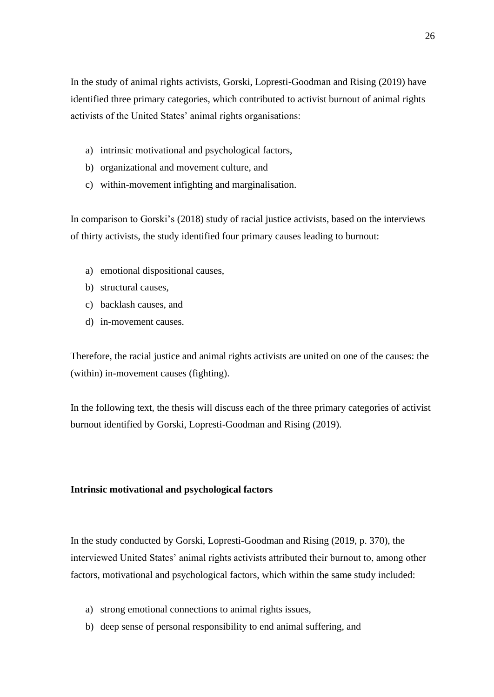In the study of animal rights activists, Gorski, Lopresti-Goodman and Rising (2019) have identified three primary categories, which contributed to activist burnout of animal rights activists of the United States' animal rights organisations:

- a) intrinsic motivational and psychological factors,
- b) organizational and movement culture, and
- c) within-movement infighting and marginalisation.

In comparison to Gorski's (2018) study of racial justice activists, based on the interviews of thirty activists, the study identified four primary causes leading to burnout:

- a) emotional dispositional causes,
- b) structural causes,
- c) backlash causes, and
- d) in-movement causes.

Therefore, the racial justice and animal rights activists are united on one of the causes: the (within) in-movement causes (fighting).

In the following text, the thesis will discuss each of the three primary categories of activist burnout identified by Gorski, Lopresti-Goodman and Rising (2019).

#### **Intrinsic motivational and psychological factors**

In the study conducted by Gorski, Lopresti-Goodman and Rising (2019, p. 370), the interviewed United States' animal rights activists attributed their burnout to, among other factors, motivational and psychological factors, which within the same study included:

- a) strong emotional connections to animal rights issues,
- b) deep sense of personal responsibility to end animal suffering, and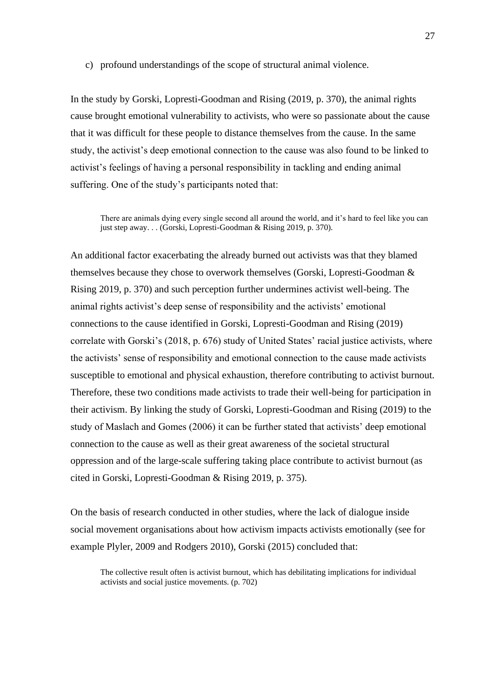#### c) profound understandings of the scope of structural animal violence.

In the study by Gorski, Lopresti-Goodman and Rising (2019, p. 370), the animal rights cause brought emotional vulnerability to activists, who were so passionate about the cause that it was difficult for these people to distance themselves from the cause. In the same study, the activist's deep emotional connection to the cause was also found to be linked to activist's feelings of having a personal responsibility in tackling and ending animal suffering. One of the study's participants noted that:

There are animals dying every single second all around the world, and it's hard to feel like you can just step away. . . (Gorski, Lopresti-Goodman & Rising 2019, p. 370).

An additional factor exacerbating the already burned out activists was that they blamed themselves because they chose to overwork themselves (Gorski, Lopresti-Goodman & Rising 2019, p. 370) and such perception further undermines activist well-being. The animal rights activist's deep sense of responsibility and the activists' emotional connections to the cause identified in Gorski, Lopresti-Goodman and Rising (2019) correlate with Gorski's (2018, p. 676) study of United States' racial justice activists, where the activists' sense of responsibility and emotional connection to the cause made activists susceptible to emotional and physical exhaustion, therefore contributing to activist burnout. Therefore, these two conditions made activists to trade their well-being for participation in their activism. By linking the study of Gorski, Lopresti-Goodman and Rising (2019) to the study of Maslach and Gomes (2006) it can be further stated that activists' deep emotional connection to the cause as well as their great awareness of the societal structural oppression and of the large-scale suffering taking place contribute to activist burnout (as cited in Gorski, Lopresti-Goodman & Rising 2019, p. 375).

On the basis of research conducted in other studies, where the lack of dialogue inside social movement organisations about how activism impacts activists emotionally (see for example Plyler, 2009 and Rodgers 2010), Gorski (2015) concluded that:

The collective result often is activist burnout, which has debilitating implications for individual activists and social justice movements. (p. 702)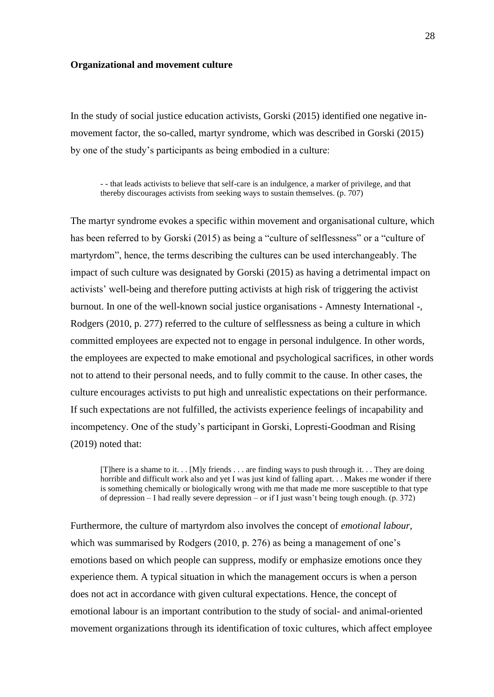#### **Organizational and movement culture**

In the study of social justice education activists, Gorski (2015) identified one negative inmovement factor, the so-called, martyr syndrome, which was described in Gorski (2015) by one of the study's participants as being embodied in a culture:

- - that leads activists to believe that self-care is an indulgence, a marker of privilege, and that thereby discourages activists from seeking ways to sustain themselves. (p. 707)

The martyr syndrome evokes a specific within movement and organisational culture, which has been referred to by Gorski (2015) as being a "culture of selflessness" or a "culture of martyrdom", hence, the terms describing the cultures can be used interchangeably. The impact of such culture was designated by Gorski (2015) as having a detrimental impact on activists' well-being and therefore putting activists at high risk of triggering the activist burnout. In one of the well-known social justice organisations - Amnesty International -, Rodgers (2010, p. 277) referred to the culture of selflessness as being a culture in which committed employees are expected not to engage in personal indulgence. In other words, the employees are expected to make emotional and psychological sacrifices, in other words not to attend to their personal needs, and to fully commit to the cause. In other cases, the culture encourages activists to put high and unrealistic expectations on their performance. If such expectations are not fulfilled, the activists experience feelings of incapability and incompetency. One of the study's participant in Gorski, Lopresti-Goodman and Rising (2019) noted that:

[T]here is a shame to it. . . [M]y friends . . . are finding ways to push through it. . . They are doing horrible and difficult work also and yet I was just kind of falling apart. . . Makes me wonder if there is something chemically or biologically wrong with me that made me more susceptible to that type of depression – I had really severe depression – or if I just wasn't being tough enough. (p. 372)

Furthermore, the culture of martyrdom also involves the concept of *emotional labour,*  which was summarised by Rodgers (2010, p. 276) as being a management of one's emotions based on which people can suppress, modify or emphasize emotions once they experience them. A typical situation in which the management occurs is when a person does not act in accordance with given cultural expectations. Hence, the concept of emotional labour is an important contribution to the study of social- and animal-oriented movement organizations through its identification of toxic cultures, which affect employee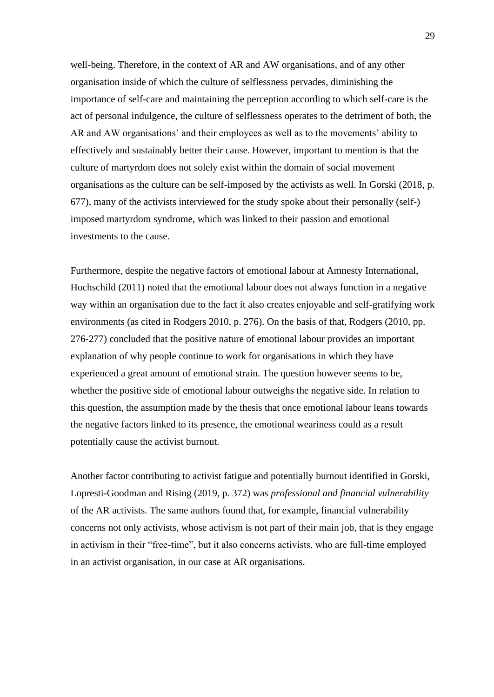well-being. Therefore, in the context of AR and AW organisations, and of any other organisation inside of which the culture of selflessness pervades, diminishing the importance of self-care and maintaining the perception according to which self-care is the act of personal indulgence, the culture of selflessness operates to the detriment of both, the AR and AW organisations' and their employees as well as to the movements' ability to effectively and sustainably better their cause. However, important to mention is that the culture of martyrdom does not solely exist within the domain of social movement organisations as the culture can be self-imposed by the activists as well. In Gorski (2018, p. 677), many of the activists interviewed for the study spoke about their personally (self-) imposed martyrdom syndrome, which was linked to their passion and emotional investments to the cause.

Furthermore, despite the negative factors of emotional labour at Amnesty International, Hochschild (2011) noted that the emotional labour does not always function in a negative way within an organisation due to the fact it also creates enjoyable and self-gratifying work environments (as cited in Rodgers 2010, p. 276). On the basis of that, Rodgers (2010, pp. 276-277) concluded that the positive nature of emotional labour provides an important explanation of why people continue to work for organisations in which they have experienced a great amount of emotional strain. The question however seems to be, whether the positive side of emotional labour outweighs the negative side. In relation to this question, the assumption made by the thesis that once emotional labour leans towards the negative factors linked to its presence, the emotional weariness could as a result potentially cause the activist burnout.

Another factor contributing to activist fatigue and potentially burnout identified in Gorski, Lopresti-Goodman and Rising (2019, p. 372) was *professional and financial vulnerability*  of the AR activists. The same authors found that, for example, financial vulnerability concerns not only activists, whose activism is not part of their main job, that is they engage in activism in their "free-time", but it also concerns activists, who are full-time employed in an activist organisation, in our case at AR organisations.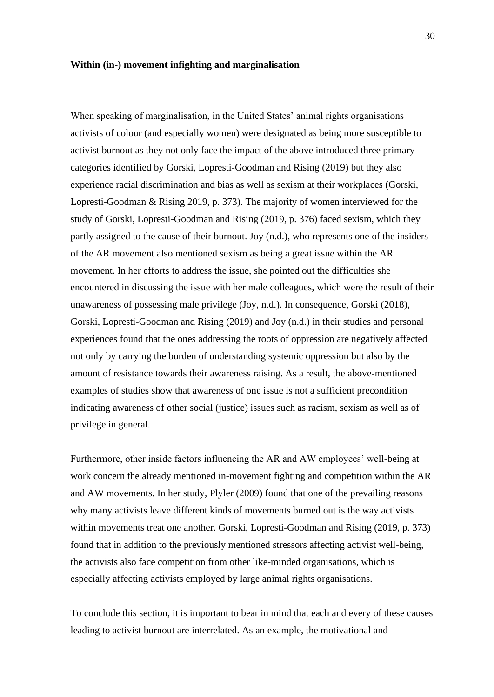#### **Within (in-) movement infighting and marginalisation**

When speaking of marginalisation, in the United States' animal rights organisations activists of colour (and especially women) were designated as being more susceptible to activist burnout as they not only face the impact of the above introduced three primary categories identified by Gorski, Lopresti-Goodman and Rising (2019) but they also experience racial discrimination and bias as well as sexism at their workplaces (Gorski, Lopresti-Goodman & Rising 2019, p. 373). The majority of women interviewed for the study of Gorski, Lopresti-Goodman and Rising (2019, p. 376) faced sexism, which they partly assigned to the cause of their burnout. Joy (n.d.), who represents one of the insiders of the AR movement also mentioned sexism as being a great issue within the AR movement. In her efforts to address the issue, she pointed out the difficulties she encountered in discussing the issue with her male colleagues, which were the result of their unawareness of possessing male privilege (Joy, n.d.). In consequence, Gorski (2018), Gorski, Lopresti-Goodman and Rising (2019) and Joy (n.d.) in their studies and personal experiences found that the ones addressing the roots of oppression are negatively affected not only by carrying the burden of understanding systemic oppression but also by the amount of resistance towards their awareness raising. As a result, the above-mentioned examples of studies show that awareness of one issue is not a sufficient precondition indicating awareness of other social (justice) issues such as racism, sexism as well as of privilege in general.

Furthermore, other inside factors influencing the AR and AW employees' well-being at work concern the already mentioned in-movement fighting and competition within the AR and AW movements. In her study, Plyler (2009) found that one of the prevailing reasons why many activists leave different kinds of movements burned out is the way activists within movements treat one another. Gorski, Lopresti-Goodman and Rising (2019, p. 373) found that in addition to the previously mentioned stressors affecting activist well-being, the activists also face competition from other like-minded organisations, which is especially affecting activists employed by large animal rights organisations.

To conclude this section, it is important to bear in mind that each and every of these causes leading to activist burnout are interrelated. As an example, the motivational and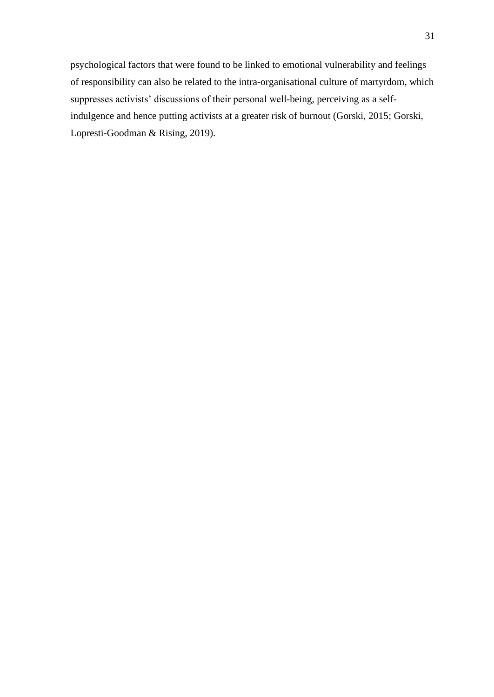psychological factors that were found to be linked to emotional vulnerability and feelings of responsibility can also be related to the intra-organisational culture of martyrdom, which suppresses activists' discussions of their personal well-being, perceiving as a selfindulgence and hence putting activists at a greater risk of burnout (Gorski, 2015; Gorski, Lopresti-Goodman & Rising, 2019).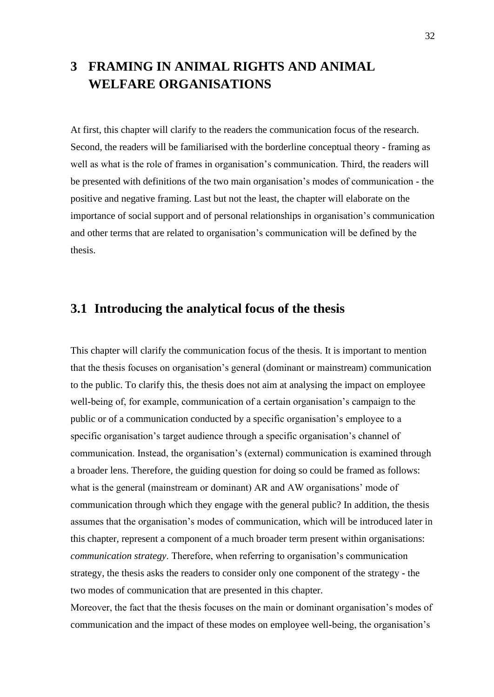## <span id="page-31-0"></span>**3 FRAMING IN ANIMAL RIGHTS AND ANIMAL WELFARE ORGANISATIONS**

At first, this chapter will clarify to the readers the communication focus of the research. Second, the readers will be familiarised with the borderline conceptual theory - framing as well as what is the role of frames in organisation's communication. Third, the readers will be presented with definitions of the two main organisation's modes of communication - the positive and negative framing. Last but not the least, the chapter will elaborate on the importance of social support and of personal relationships in organisation's communication and other terms that are related to organisation's communication will be defined by the thesis.

### <span id="page-31-1"></span>**3.1 Introducing the analytical focus of the thesis**

This chapter will clarify the communication focus of the thesis. It is important to mention that the thesis focuses on organisation's general (dominant or mainstream) communication to the public. To clarify this, the thesis does not aim at analysing the impact on employee well-being of, for example, communication of a certain organisation's campaign to the public or of a communication conducted by a specific organisation's employee to a specific organisation's target audience through a specific organisation's channel of communication. Instead, the organisation's (external) communication is examined through a broader lens. Therefore, the guiding question for doing so could be framed as follows: what is the general (mainstream or dominant) AR and AW organisations' mode of communication through which they engage with the general public? In addition, the thesis assumes that the organisation's modes of communication, which will be introduced later in this chapter, represent a component of a much broader term present within organisations: *communication strategy*. Therefore, when referring to organisation's communication strategy, the thesis asks the readers to consider only one component of the strategy - the two modes of communication that are presented in this chapter.

Moreover, the fact that the thesis focuses on the main or dominant organisation's modes of communication and the impact of these modes on employee well-being, the organisation's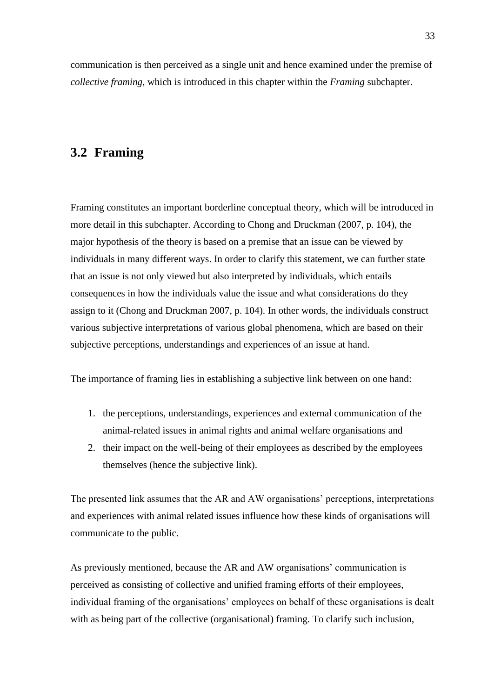communication is then perceived as a single unit and hence examined under the premise of *collective framing*, which is introduced in this chapter within the *Framing* subchapter.

## <span id="page-32-0"></span>**3.2 Framing**

Framing constitutes an important borderline conceptual theory, which will be introduced in more detail in this subchapter. According to Chong and Druckman (2007, p. 104), the major hypothesis of the theory is based on a premise that an issue can be viewed by individuals in many different ways. In order to clarify this statement, we can further state that an issue is not only viewed but also interpreted by individuals, which entails consequences in how the individuals value the issue and what considerations do they assign to it (Chong and Druckman 2007, p. 104). In other words, the individuals construct various subjective interpretations of various global phenomena, which are based on their subjective perceptions, understandings and experiences of an issue at hand.

The importance of framing lies in establishing a subjective link between on one hand:

- 1. the perceptions, understandings, experiences and external communication of the animal-related issues in animal rights and animal welfare organisations and
- 2. their impact on the well-being of their employees as described by the employees themselves (hence the subjective link).

The presented link assumes that the AR and AW organisations' perceptions, interpretations and experiences with animal related issues influence how these kinds of organisations will communicate to the public.

As previously mentioned, because the AR and AW organisations' communication is perceived as consisting of collective and unified framing efforts of their employees, individual framing of the organisations' employees on behalf of these organisations is dealt with as being part of the collective (organisational) framing. To clarify such inclusion,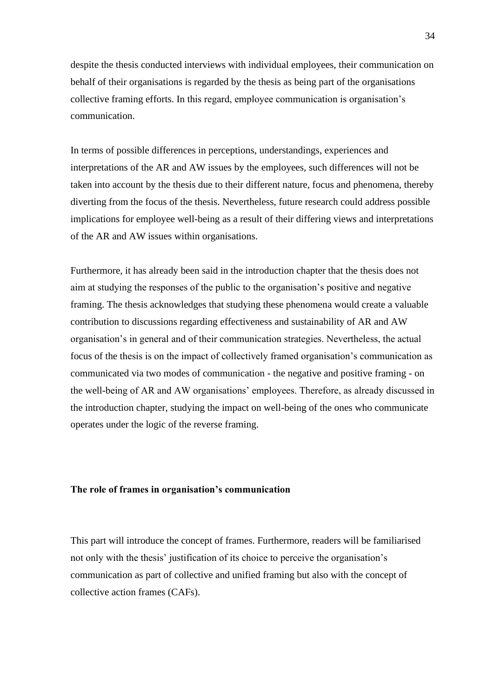despite the thesis conducted interviews with individual employees, their communication on behalf of their organisations is regarded by the thesis as being part of the organisations collective framing efforts. In this regard, employee communication is organisation's communication.

In terms of possible differences in perceptions, understandings, experiences and interpretations of the AR and AW issues by the employees, such differences will not be taken into account by the thesis due to their different nature, focus and phenomena, thereby diverting from the focus of the thesis. Nevertheless, future research could address possible implications for employee well-being as a result of their differing views and interpretations of the AR and AW issues within organisations.

Furthermore, it has already been said in the introduction chapter that the thesis does not aim at studying the responses of the public to the organisation's positive and negative framing. The thesis acknowledges that studying these phenomena would create a valuable contribution to discussions regarding effectiveness and sustainability of AR and AW organisation's in general and of their communication strategies. Nevertheless, the actual focus of the thesis is on the impact of collectively framed organisation's communication as communicated via two modes of communication - the negative and positive framing - on the well-being of AR and AW organisations' employees. Therefore, as already discussed in the introduction chapter, studying the impact on well-being of the ones who communicate operates under the logic of the reverse framing.

#### **The role of frames in organisation's communication**

This part will introduce the concept of frames. Furthermore, readers will be familiarised not only with the thesis' justification of its choice to perceive the organisation's communication as part of collective and unified framing but also with the concept of collective action frames (CAFs).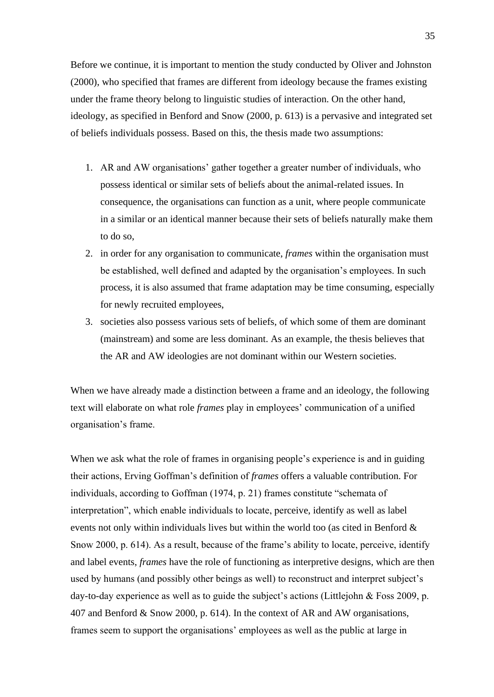Before we continue, it is important to mention the study conducted by Oliver and Johnston (2000), who specified that frames are different from ideology because the frames existing under the frame theory belong to linguistic studies of interaction. On the other hand, ideology, as specified in Benford and Snow (2000, p. 613) is a pervasive and integrated set of beliefs individuals possess. Based on this, the thesis made two assumptions:

- 1. AR and AW organisations' gather together a greater number of individuals, who possess identical or similar sets of beliefs about the animal-related issues. In consequence, the organisations can function as a unit, where people communicate in a similar or an identical manner because their sets of beliefs naturally make them to do so,
- 2. in order for any organisation to communicate, *frames* within the organisation must be established, well defined and adapted by the organisation's employees. In such process, it is also assumed that frame adaptation may be time consuming, especially for newly recruited employees,
- 3. societies also possess various sets of beliefs, of which some of them are dominant (mainstream) and some are less dominant. As an example, the thesis believes that the AR and AW ideologies are not dominant within our Western societies.

When we have already made a distinction between a frame and an ideology, the following text will elaborate on what role *frames* play in employees' communication of a unified organisation's frame.

When we ask what the role of frames in organising people's experience is and in guiding their actions, Erving Goffman's definition of *frames* offers a valuable contribution. For individuals, according to Goffman (1974, p. 21) frames constitute "schemata of interpretation", which enable individuals to locate, perceive, identify as well as label events not only within individuals lives but within the world too (as cited in Benford & Snow 2000, p. 614). As a result, because of the frame's ability to locate, perceive, identify and label events, *frames* have the role of functioning as interpretive designs, which are then used by humans (and possibly other beings as well) to reconstruct and interpret subject's day-to-day experience as well as to guide the subject's actions (Littlejohn & Foss 2009, p. 407 and Benford & Snow 2000, p. 614). In the context of AR and AW organisations, frames seem to support the organisations' employees as well as the public at large in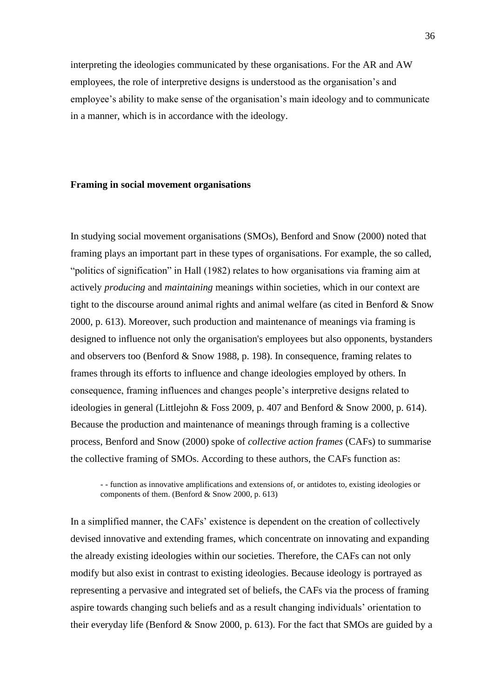interpreting the ideologies communicated by these organisations. For the AR and AW employees, the role of interpretive designs is understood as the organisation's and employee's ability to make sense of the organisation's main ideology and to communicate in a manner, which is in accordance with the ideology.

#### **Framing in social movement organisations**

In studying social movement organisations (SMOs), Benford and Snow (2000) noted that framing plays an important part in these types of organisations. For example, the so called, "politics of signification" in Hall (1982) relates to how organisations via framing aim at actively *producing* and *maintaining* meanings within societies, which in our context are tight to the discourse around animal rights and animal welfare (as cited in Benford & Snow 2000, p. 613). Moreover, such production and maintenance of meanings via framing is designed to influence not only the organisation's employees but also opponents, bystanders and observers too (Benford & Snow 1988, p. 198). In consequence, framing relates to frames through its efforts to influence and change ideologies employed by others. In consequence, framing influences and changes people's interpretive designs related to ideologies in general (Littlejohn & Foss 2009, p. 407 and Benford & Snow 2000, p. 614). Because the production and maintenance of meanings through framing is a collective process, Benford and Snow (2000) spoke of *collective action frames* (CAFs) to summarise the collective framing of SMOs. According to these authors, the CAFs function as:

- - function as innovative amplifications and extensions of, or antidotes to, existing ideologies or components of them. (Benford & Snow 2000, p. 613)

In a simplified manner, the CAFs' existence is dependent on the creation of collectively devised innovative and extending frames, which concentrate on innovating and expanding the already existing ideologies within our societies. Therefore, the CAFs can not only modify but also exist in contrast to existing ideologies. Because ideology is portrayed as representing a pervasive and integrated set of beliefs, the CAFs via the process of framing aspire towards changing such beliefs and as a result changing individuals' orientation to their everyday life (Benford & Snow 2000, p. 613). For the fact that SMOs are guided by a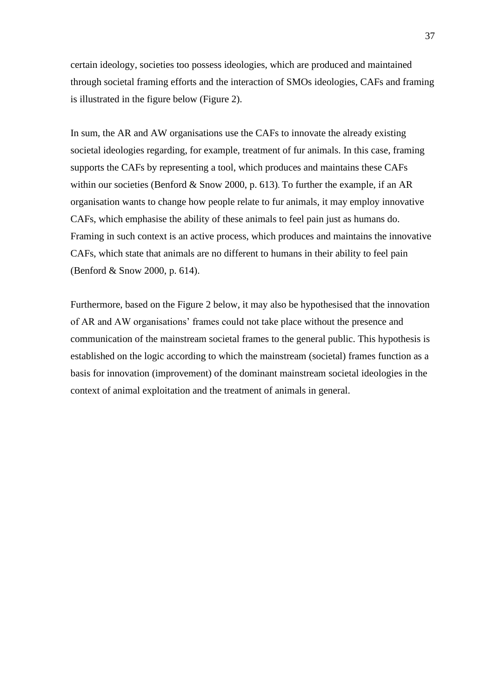certain ideology, societies too possess ideologies, which are produced and maintained through societal framing efforts and the interaction of SMOs ideologies, CAFs and framing is illustrated in the figure below (Figure 2).

In sum, the AR and AW organisations use the CAFs to innovate the already existing societal ideologies regarding, for example, treatment of fur animals. In this case, framing supports the CAFs by representing a tool, which produces and maintains these CAFs within our societies (Benford & Snow 2000, p. 613). To further the example, if an AR organisation wants to change how people relate to fur animals, it may employ innovative CAFs, which emphasise the ability of these animals to feel pain just as humans do. Framing in such context is an active process, which produces and maintains the innovative CAFs, which state that animals are no different to humans in their ability to feel pain (Benford & Snow 2000, p. 614).

Furthermore, based on the Figure 2 below, it may also be hypothesised that the innovation of AR and AW organisations' frames could not take place without the presence and communication of the mainstream societal frames to the general public. This hypothesis is established on the logic according to which the mainstream (societal) frames function as a basis for innovation (improvement) of the dominant mainstream societal ideologies in the context of animal exploitation and the treatment of animals in general.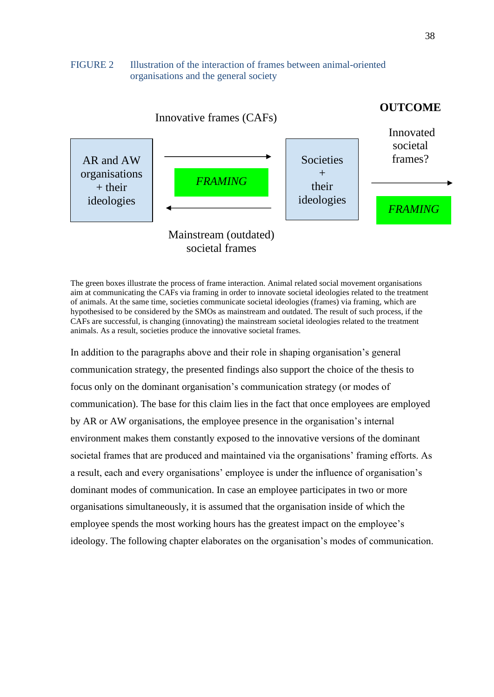### FIGURE 2 Illustration of the interaction of frames between animal-oriented organisations and the general society



The green boxes illustrate the process of frame interaction. Animal related social movement organisations aim at communicating the CAFs via framing in order to innovate societal ideologies related to the treatment of animals. At the same time, societies communicate societal ideologies (frames) via framing, which are hypothesised to be considered by the SMOs as mainstream and outdated. The result of such process, if the CAFs are successful, is changing (innovating) the mainstream societal ideologies related to the treatment animals. As a result, societies produce the innovative societal frames.

In addition to the paragraphs above and their role in shaping organisation's general communication strategy, the presented findings also support the choice of the thesis to focus only on the dominant organisation's communication strategy (or modes of communication). The base for this claim lies in the fact that once employees are employed by AR or AW organisations, the employee presence in the organisation's internal environment makes them constantly exposed to the innovative versions of the dominant societal frames that are produced and maintained via the organisations' framing efforts. As a result, each and every organisations' employee is under the influence of organisation's dominant modes of communication. In case an employee participates in two or more organisations simultaneously, it is assumed that the organisation inside of which the employee spends the most working hours has the greatest impact on the employee's ideology. The following chapter elaborates on the organisation's modes of communication.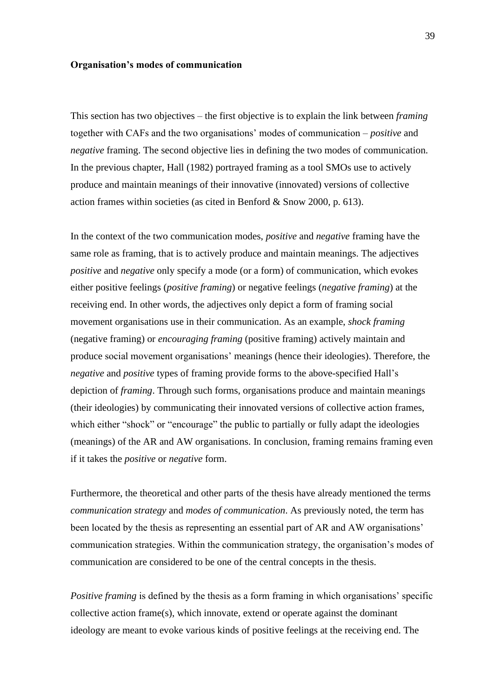#### **Organisation's modes of communication**

This section has two objectives – the first objective is to explain the link between *framing*  together with CAFs and the two organisations' modes of communication – *positive* and *negative* framing. The second objective lies in defining the two modes of communication. In the previous chapter, Hall (1982) portrayed framing as a tool SMOs use to actively produce and maintain meanings of their innovative (innovated) versions of collective action frames within societies (as cited in Benford & Snow 2000, p. 613).

In the context of the two communication modes, *positive* and *negative* framing have the same role as framing, that is to actively produce and maintain meanings. The adjectives *positive* and *negative* only specify a mode (or a form) of communication, which evokes either positive feelings (*positive framing*) or negative feelings (*negative framing*) at the receiving end. In other words, the adjectives only depict a form of framing social movement organisations use in their communication. As an example, *shock framing*  (negative framing) or *encouraging framing* (positive framing) actively maintain and produce social movement organisations' meanings (hence their ideologies). Therefore*,* the *negative* and *positive* types of framing provide forms to the above-specified Hall's depiction of *framing*. Through such forms, organisations produce and maintain meanings (their ideologies) by communicating their innovated versions of collective action frames, which either "shock" or "encourage" the public to partially or fully adapt the ideologies (meanings) of the AR and AW organisations. In conclusion, framing remains framing even if it takes the *positive* or *negative* form.

Furthermore, the theoretical and other parts of the thesis have already mentioned the terms *communication strategy* and *modes of communication*. As previously noted, the term has been located by the thesis as representing an essential part of AR and AW organisations' communication strategies. Within the communication strategy, the organisation's modes of communication are considered to be one of the central concepts in the thesis.

*Positive framing* is defined by the thesis as a form framing in which organisations' specific collective action frame(s), which innovate, extend or operate against the dominant ideology are meant to evoke various kinds of positive feelings at the receiving end. The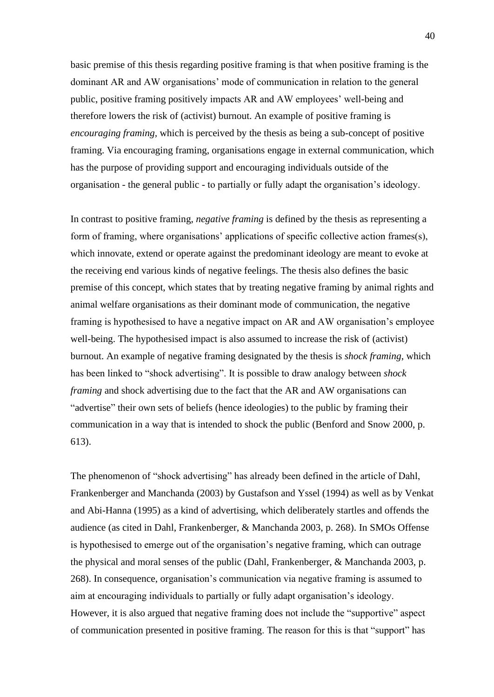basic premise of this thesis regarding positive framing is that when positive framing is the dominant AR and AW organisations' mode of communication in relation to the general public, positive framing positively impacts AR and AW employees' well-being and therefore lowers the risk of (activist) burnout. An example of positive framing is *encouraging framing,* which is perceived by the thesis as being a sub-concept of positive framing. Via encouraging framing, organisations engage in external communication, which has the purpose of providing support and encouraging individuals outside of the organisation - the general public - to partially or fully adapt the organisation's ideology.

In contrast to positive framing, *negative framing* is defined by the thesis as representing a form of framing, where organisations' applications of specific collective action frames(s), which innovate, extend or operate against the predominant ideology are meant to evoke at the receiving end various kinds of negative feelings. The thesis also defines the basic premise of this concept, which states that by treating negative framing by animal rights and animal welfare organisations as their dominant mode of communication, the negative framing is hypothesised to have a negative impact on AR and AW organisation's employee well-being. The hypothesised impact is also assumed to increase the risk of (activist) burnout. An example of negative framing designated by the thesis is *shock framing*, which has been linked to "shock advertising". It is possible to draw analogy between *shock framing* and shock advertising due to the fact that the AR and AW organisations can "advertise" their own sets of beliefs (hence ideologies) to the public by framing their communication in a way that is intended to shock the public (Benford and Snow 2000, p. 613).

The phenomenon of "shock advertising" has already been defined in the article of Dahl, Frankenberger and Manchanda (2003) by Gustafson and Yssel (1994) as well as by Venkat and Abi-Hanna (1995) as a kind of advertising, which deliberately startles and offends the audience (as cited in Dahl, Frankenberger, & Manchanda 2003, p. 268). In SMOs Offense is hypothesised to emerge out of the organisation's negative framing, which can outrage the physical and moral senses of the public (Dahl, Frankenberger, & Manchanda 2003, p. 268). In consequence, organisation's communication via negative framing is assumed to aim at encouraging individuals to partially or fully adapt organisation's ideology. However, it is also argued that negative framing does not include the "supportive" aspect of communication presented in positive framing. The reason for this is that "support" has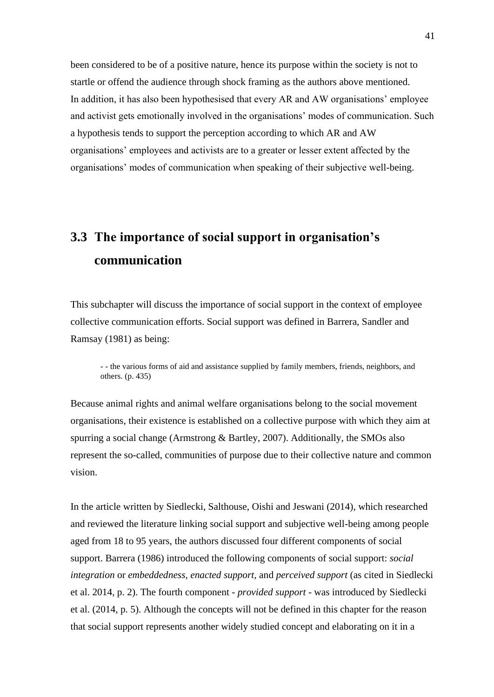been considered to be of a positive nature, hence its purpose within the society is not to startle or offend the audience through shock framing as the authors above mentioned. In addition, it has also been hypothesised that every AR and AW organisations' employee and activist gets emotionally involved in the organisations' modes of communication. Such a hypothesis tends to support the perception according to which AR and AW organisations' employees and activists are to a greater or lesser extent affected by the organisations' modes of communication when speaking of their subjective well-being.

# **3.3 The importance of social support in organisation's communication**

This subchapter will discuss the importance of social support in the context of employee collective communication efforts. Social support was defined in Barrera, Sandler and Ramsay (1981) as being:

- - the various forms of aid and assistance supplied by family members, friends, neighbors, and others. (p. 435)

Because animal rights and animal welfare organisations belong to the social movement organisations, their existence is established on a collective purpose with which they aim at spurring a social change (Armstrong & Bartley, 2007). Additionally, the SMOs also represent the so-called, communities of purpose due to their collective nature and common vision.

In the article written by Siedlecki, Salthouse, Oishi and Jeswani (2014), which researched and reviewed the literature linking social support and subjective well-being among people aged from 18 to 95 years, the authors discussed four different components of social support. Barrera (1986) introduced the following components of social support: *social integration* or *embeddedness, enacted support,* and *perceived support* (as cited in Siedlecki et al. 2014, p. 2). The fourth component - *provided support -* was introduced by Siedlecki et al. (2014, p. 5). Although the concepts will not be defined in this chapter for the reason that social support represents another widely studied concept and elaborating on it in a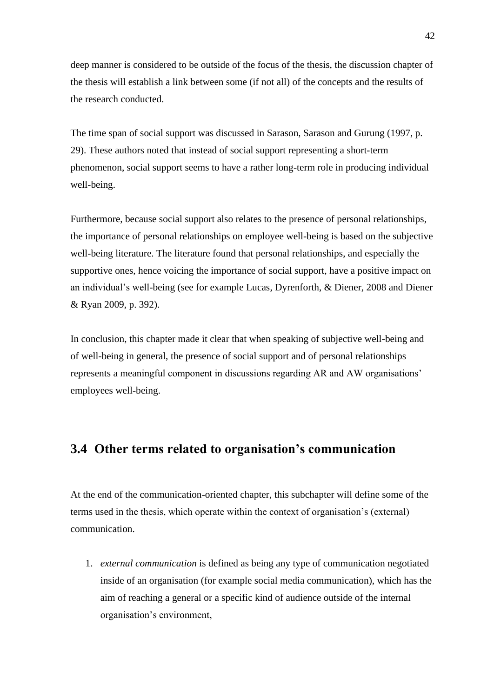deep manner is considered to be outside of the focus of the thesis, the discussion chapter of the thesis will establish a link between some (if not all) of the concepts and the results of the research conducted.

The time span of social support was discussed in Sarason, Sarason and Gurung (1997, p. 29). These authors noted that instead of social support representing a short-term phenomenon, social support seems to have a rather long-term role in producing individual well-being.

Furthermore, because social support also relates to the presence of personal relationships, the importance of personal relationships on employee well-being is based on the subjective well-being literature. The literature found that personal relationships, and especially the supportive ones, hence voicing the importance of social support, have a positive impact on an individual's well-being (see for example Lucas, Dyrenforth, & Diener, 2008 and Diener & Ryan 2009, p. 392).

In conclusion, this chapter made it clear that when speaking of subjective well-being and of well-being in general, the presence of social support and of personal relationships represents a meaningful component in discussions regarding AR and AW organisations' employees well-being.

## **3.4 Other terms related to organisation's communication**

At the end of the communication-oriented chapter, this subchapter will define some of the terms used in the thesis, which operate within the context of organisation's (external) communication.

1. *external communication* is defined as being any type of communication negotiated inside of an organisation (for example social media communication), which has the aim of reaching a general or a specific kind of audience outside of the internal organisation's environment,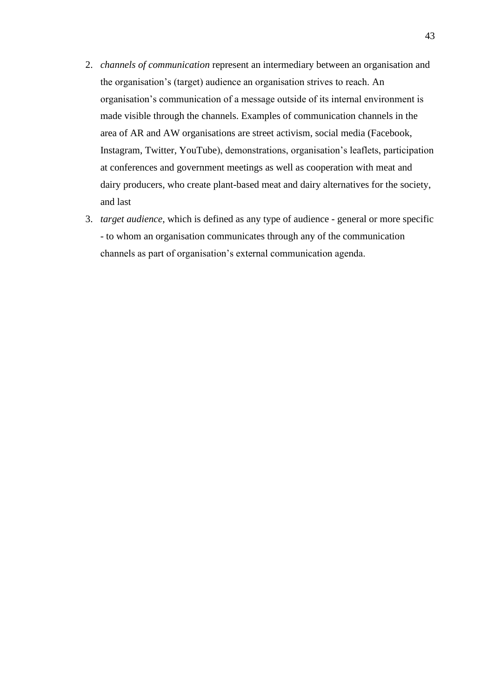- 2. *channels of communication* represent an intermediary between an organisation and the organisation's (target) audience an organisation strives to reach. An organisation's communication of a message outside of its internal environment is made visible through the channels. Examples of communication channels in the area of AR and AW organisations are street activism, social media (Facebook, Instagram, Twitter, YouTube), demonstrations, organisation's leaflets, participation at conferences and government meetings as well as cooperation with meat and dairy producers, who create plant-based meat and dairy alternatives for the society, and last
- 3. *target audience*, which is defined as any type of audience general or more specific - to whom an organisation communicates through any of the communication channels as part of organisation's external communication agenda.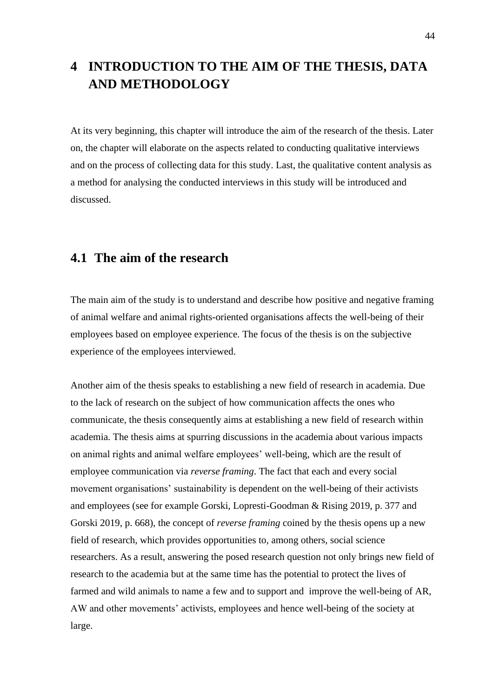# **4 INTRODUCTION TO THE AIM OF THE THESIS, DATA AND METHODOLOGY**

At its very beginning, this chapter will introduce the aim of the research of the thesis. Later on, the chapter will elaborate on the aspects related to conducting qualitative interviews and on the process of collecting data for this study. Last, the qualitative content analysis as a method for analysing the conducted interviews in this study will be introduced and discussed.

## **4.1 The aim of the research**

The main aim of the study is to understand and describe how positive and negative framing of animal welfare and animal rights-oriented organisations affects the well-being of their employees based on employee experience. The focus of the thesis is on the subjective experience of the employees interviewed.

Another aim of the thesis speaks to establishing a new field of research in academia. Due to the lack of research on the subject of how communication affects the ones who communicate, the thesis consequently aims at establishing a new field of research within academia. The thesis aims at spurring discussions in the academia about various impacts on animal rights and animal welfare employees' well-being, which are the result of employee communication via *reverse framing*. The fact that each and every social movement organisations' sustainability is dependent on the well-being of their activists and employees (see for example Gorski, Lopresti-Goodman & Rising 2019, p. 377 and Gorski 2019, p. 668), the concept of *reverse framing* coined by the thesis opens up a new field of research, which provides opportunities to, among others, social science researchers. As a result, answering the posed research question not only brings new field of research to the academia but at the same time has the potential to protect the lives of farmed and wild animals to name a few and to support and improve the well-being of AR, AW and other movements' activists, employees and hence well-being of the society at large.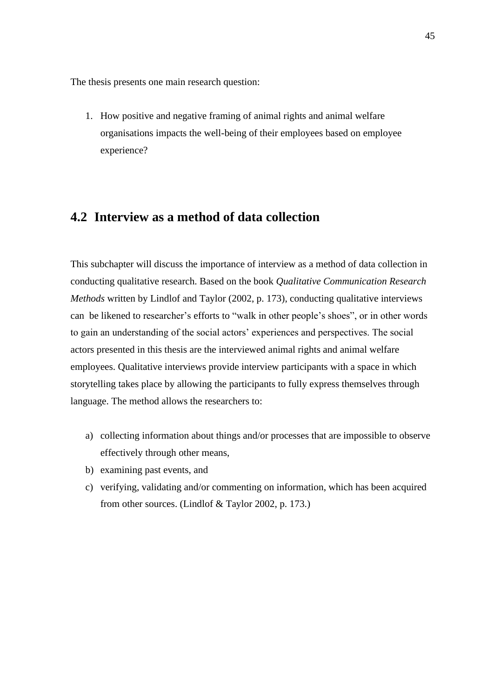The thesis presents one main research question:

1. How positive and negative framing of animal rights and animal welfare organisations impacts the well-being of their employees based on employee experience?

# **4.2 Interview as a method of data collection**

This subchapter will discuss the importance of interview as a method of data collection in conducting qualitative research. Based on the book *Qualitative Communication Research Methods* written by Lindlof and Taylor (2002, p. 173), conducting qualitative interviews can be likened to researcher's efforts to "walk in other people's shoes", or in other words to gain an understanding of the social actors' experiences and perspectives. The social actors presented in this thesis are the interviewed animal rights and animal welfare employees. Qualitative interviews provide interview participants with a space in which storytelling takes place by allowing the participants to fully express themselves through language. The method allows the researchers to:

- a) collecting information about things and/or processes that are impossible to observe effectively through other means,
- b) examining past events, and
- c) verifying, validating and/or commenting on information, which has been acquired from other sources. (Lindlof & Taylor 2002, p. 173.)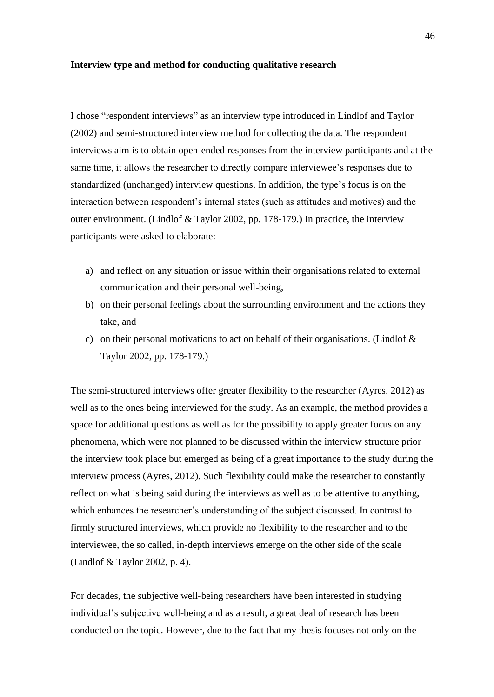#### **Interview type and method for conducting qualitative research**

I chose "respondent interviews" as an interview type introduced in Lindlof and Taylor (2002) and semi-structured interview method for collecting the data. The respondent interviews aim is to obtain open-ended responses from the interview participants and at the same time, it allows the researcher to directly compare interviewee's responses due to standardized (unchanged) interview questions. In addition, the type's focus is on the interaction between respondent's internal states (such as attitudes and motives) and the outer environment. (Lindlof & Taylor 2002, pp. 178-179.) In practice, the interview participants were asked to elaborate:

- a) and reflect on any situation or issue within their organisations related to external communication and their personal well-being,
- b) on their personal feelings about the surrounding environment and the actions they take, and
- c) on their personal motivations to act on behalf of their organisations. (Lindlof  $\&$ Taylor 2002, pp. 178-179.)

The semi-structured interviews offer greater flexibility to the researcher (Ayres, 2012) as well as to the ones being interviewed for the study. As an example, the method provides a space for additional questions as well as for the possibility to apply greater focus on any phenomena, which were not planned to be discussed within the interview structure prior the interview took place but emerged as being of a great importance to the study during the interview process (Ayres, 2012). Such flexibility could make the researcher to constantly reflect on what is being said during the interviews as well as to be attentive to anything, which enhances the researcher's understanding of the subject discussed. In contrast to firmly structured interviews, which provide no flexibility to the researcher and to the interviewee, the so called, in-depth interviews emerge on the other side of the scale (Lindlof & Taylor 2002, p. 4).

For decades, the subjective well-being researchers have been interested in studying individual's subjective well-being and as a result, a great deal of research has been conducted on the topic. However, due to the fact that my thesis focuses not only on the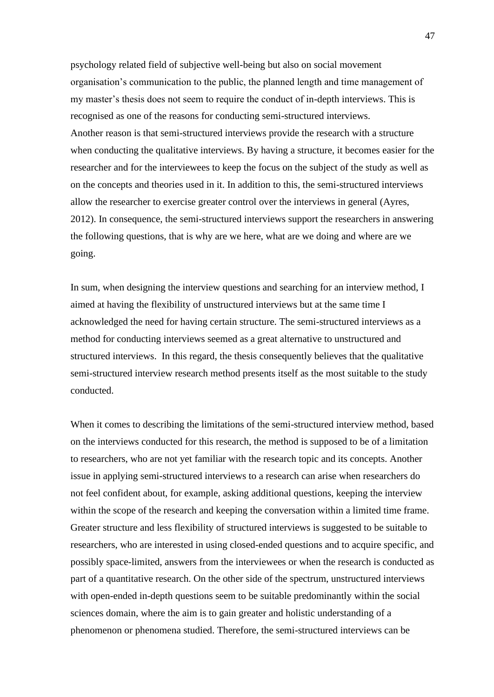psychology related field of subjective well-being but also on social movement organisation's communication to the public, the planned length and time management of my master's thesis does not seem to require the conduct of in-depth interviews. This is recognised as one of the reasons for conducting semi-structured interviews. Another reason is that semi-structured interviews provide the research with a structure when conducting the qualitative interviews. By having a structure, it becomes easier for the researcher and for the interviewees to keep the focus on the subject of the study as well as on the concepts and theories used in it. In addition to this, the semi-structured interviews allow the researcher to exercise greater control over the interviews in general (Ayres, 2012). In consequence, the semi-structured interviews support the researchers in answering the following questions, that is why are we here, what are we doing and where are we going.

In sum, when designing the interview questions and searching for an interview method, I aimed at having the flexibility of unstructured interviews but at the same time I acknowledged the need for having certain structure. The semi-structured interviews as a method for conducting interviews seemed as a great alternative to unstructured and structured interviews. In this regard, the thesis consequently believes that the qualitative semi-structured interview research method presents itself as the most suitable to the study conducted.

When it comes to describing the limitations of the semi-structured interview method, based on the interviews conducted for this research, the method is supposed to be of a limitation to researchers, who are not yet familiar with the research topic and its concepts. Another issue in applying semi-structured interviews to a research can arise when researchers do not feel confident about, for example, asking additional questions, keeping the interview within the scope of the research and keeping the conversation within a limited time frame. Greater structure and less flexibility of structured interviews is suggested to be suitable to researchers, who are interested in using closed-ended questions and to acquire specific, and possibly space-limited, answers from the interviewees or when the research is conducted as part of a quantitative research. On the other side of the spectrum, unstructured interviews with open-ended in-depth questions seem to be suitable predominantly within the social sciences domain, where the aim is to gain greater and holistic understanding of a phenomenon or phenomena studied. Therefore, the semi-structured interviews can be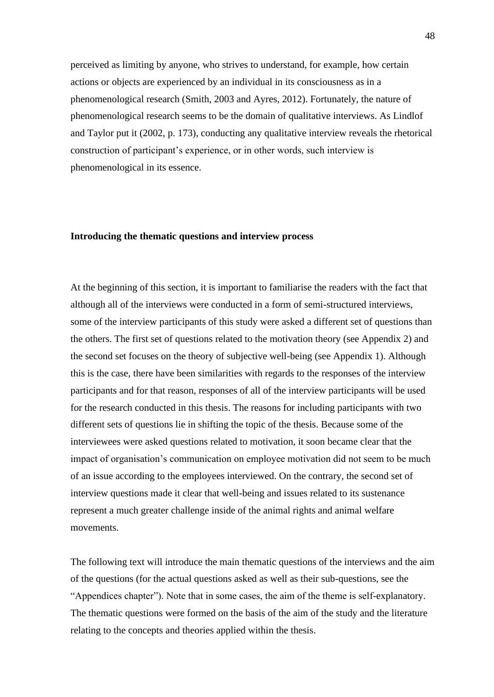perceived as limiting by anyone, who strives to understand, for example, how certain actions or objects are experienced by an individual in its consciousness as in a phenomenological research (Smith, 2003 and Ayres, 2012). Fortunately, the nature of phenomenological research seems to be the domain of qualitative interviews. As Lindlof and Taylor put it (2002, p. 173), conducting any qualitative interview reveals the rhetorical construction of participant's experience, or in other words, such interview is phenomenological in its essence.

#### **Introducing the thematic questions and interview process**

At the beginning of this section, it is important to familiarise the readers with the fact that although all of the interviews were conducted in a form of semi-structured interviews, some of the interview participants of this study were asked a different set of questions than the others. The first set of questions related to the motivation theory (see Appendix 2) and the second set focuses on the theory of subjective well-being (see Appendix 1). Although this is the case, there have been similarities with regards to the responses of the interview participants and for that reason, responses of all of the interview participants will be used for the research conducted in this thesis. The reasons for including participants with two different sets of questions lie in shifting the topic of the thesis. Because some of the interviewees were asked questions related to motivation, it soon became clear that the impact of organisation's communication on employee motivation did not seem to be much of an issue according to the employees interviewed. On the contrary, the second set of interview questions made it clear that well-being and issues related to its sustenance represent a much greater challenge inside of the animal rights and animal welfare movements.

The following text will introduce the main thematic questions of the interviews and the aim of the questions (for the actual questions asked as well as their sub-questions, see the "Appendices chapter"). Note that in some cases, the aim of the theme is self-explanatory. The thematic questions were formed on the basis of the aim of the study and the literature relating to the concepts and theories applied within the thesis.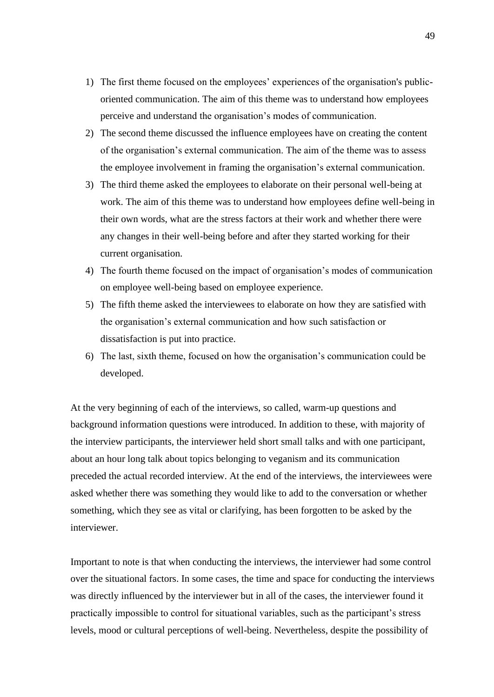- 1) The first theme focused on the employees' experiences of the organisation's publicoriented communication. The aim of this theme was to understand how employees perceive and understand the organisation's modes of communication.
- 2) The second theme discussed the influence employees have on creating the content of the organisation's external communication. The aim of the theme was to assess the employee involvement in framing the organisation's external communication.
- 3) The third theme asked the employees to elaborate on their personal well-being at work. The aim of this theme was to understand how employees define well-being in their own words, what are the stress factors at their work and whether there were any changes in their well-being before and after they started working for their current organisation.
- 4) The fourth theme focused on the impact of organisation's modes of communication on employee well-being based on employee experience.
- 5) The fifth theme asked the interviewees to elaborate on how they are satisfied with the organisation's external communication and how such satisfaction or dissatisfaction is put into practice.
- 6) The last, sixth theme, focused on how the organisation's communication could be developed.

At the very beginning of each of the interviews, so called, warm-up questions and background information questions were introduced. In addition to these, with majority of the interview participants, the interviewer held short small talks and with one participant, about an hour long talk about topics belonging to veganism and its communication preceded the actual recorded interview. At the end of the interviews, the interviewees were asked whether there was something they would like to add to the conversation or whether something, which they see as vital or clarifying, has been forgotten to be asked by the interviewer.

Important to note is that when conducting the interviews, the interviewer had some control over the situational factors. In some cases, the time and space for conducting the interviews was directly influenced by the interviewer but in all of the cases, the interviewer found it practically impossible to control for situational variables, such as the participant's stress levels, mood or cultural perceptions of well-being. Nevertheless, despite the possibility of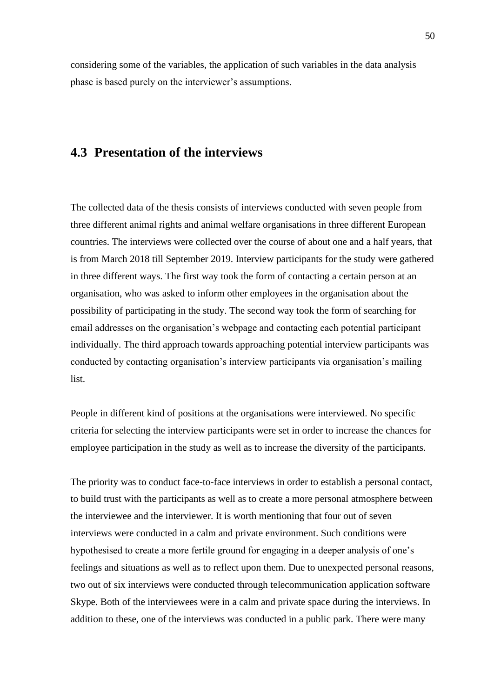considering some of the variables, the application of such variables in the data analysis phase is based purely on the interviewer's assumptions.

## **4.3 Presentation of the interviews**

The collected data of the thesis consists of interviews conducted with seven people from three different animal rights and animal welfare organisations in three different European countries. The interviews were collected over the course of about one and a half years, that is from March 2018 till September 2019. Interview participants for the study were gathered in three different ways. The first way took the form of contacting a certain person at an organisation, who was asked to inform other employees in the organisation about the possibility of participating in the study. The second way took the form of searching for email addresses on the organisation's webpage and contacting each potential participant individually. The third approach towards approaching potential interview participants was conducted by contacting organisation's interview participants via organisation's mailing list.

People in different kind of positions at the organisations were interviewed. No specific criteria for selecting the interview participants were set in order to increase the chances for employee participation in the study as well as to increase the diversity of the participants.

The priority was to conduct face-to-face interviews in order to establish a personal contact, to build trust with the participants as well as to create a more personal atmosphere between the interviewee and the interviewer. It is worth mentioning that four out of seven interviews were conducted in a calm and private environment. Such conditions were hypothesised to create a more fertile ground for engaging in a deeper analysis of one's feelings and situations as well as to reflect upon them. Due to unexpected personal reasons, two out of six interviews were conducted through telecommunication application software Skype. Both of the interviewees were in a calm and private space during the interviews. In addition to these, one of the interviews was conducted in a public park. There were many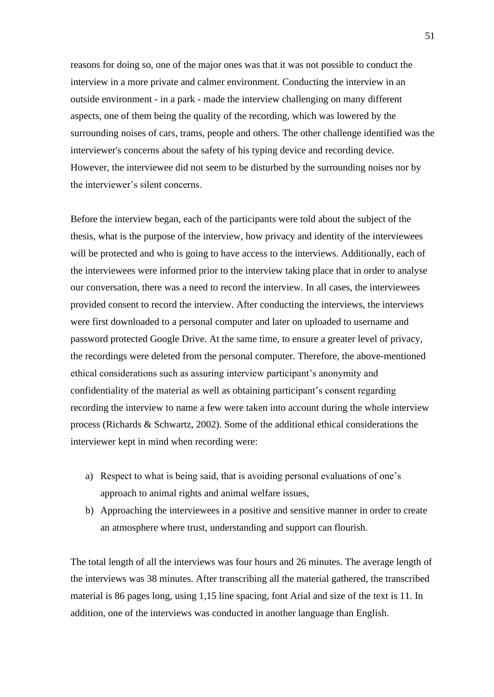reasons for doing so, one of the major ones was that it was not possible to conduct the interview in a more private and calmer environment. Conducting the interview in an outside environment - in a park - made the interview challenging on many different aspects, one of them being the quality of the recording, which was lowered by the surrounding noises of cars, trams, people and others. The other challenge identified was the interviewer's concerns about the safety of his typing device and recording device. However, the interviewee did not seem to be disturbed by the surrounding noises nor by the interviewer's silent concerns.

Before the interview began, each of the participants were told about the subject of the thesis, what is the purpose of the interview, how privacy and identity of the interviewees will be protected and who is going to have access to the interviews. Additionally, each of the interviewees were informed prior to the interview taking place that in order to analyse our conversation, there was a need to record the interview. In all cases, the interviewees provided consent to record the interview. After conducting the interviews, the interviews were first downloaded to a personal computer and later on uploaded to username and password protected Google Drive. At the same time, to ensure a greater level of privacy, the recordings were deleted from the personal computer. Therefore, the above-mentioned ethical considerations such as assuring interview participant's anonymity and confidentiality of the material as well as obtaining participant's consent regarding recording the interview to name a few were taken into account during the whole interview process (Richards & Schwartz, 2002). Some of the additional ethical considerations the interviewer kept in mind when recording were:

- a) Respect to what is being said, that is avoiding personal evaluations of one's approach to animal rights and animal welfare issues,
- b) Approaching the interviewees in a positive and sensitive manner in order to create an atmosphere where trust, understanding and support can flourish.

The total length of all the interviews was four hours and 26 minutes. The average length of the interviews was 38 minutes. After transcribing all the material gathered, the transcribed material is 86 pages long, using 1,15 line spacing, font Arial and size of the text is 11. In addition, one of the interviews was conducted in another language than English.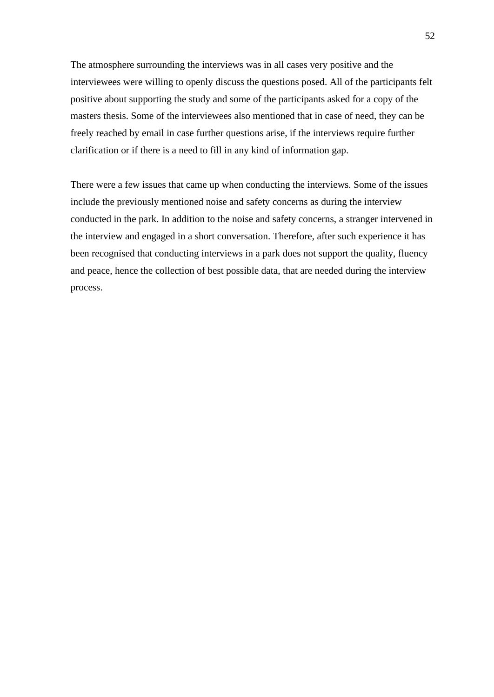The atmosphere surrounding the interviews was in all cases very positive and the interviewees were willing to openly discuss the questions posed. All of the participants felt positive about supporting the study and some of the participants asked for a copy of the masters thesis. Some of the interviewees also mentioned that in case of need, they can be freely reached by email in case further questions arise, if the interviews require further clarification or if there is a need to fill in any kind of information gap.

There were a few issues that came up when conducting the interviews. Some of the issues include the previously mentioned noise and safety concerns as during the interview conducted in the park. In addition to the noise and safety concerns, a stranger intervened in the interview and engaged in a short conversation. Therefore, after such experience it has been recognised that conducting interviews in a park does not support the quality, fluency and peace, hence the collection of best possible data, that are needed during the interview process.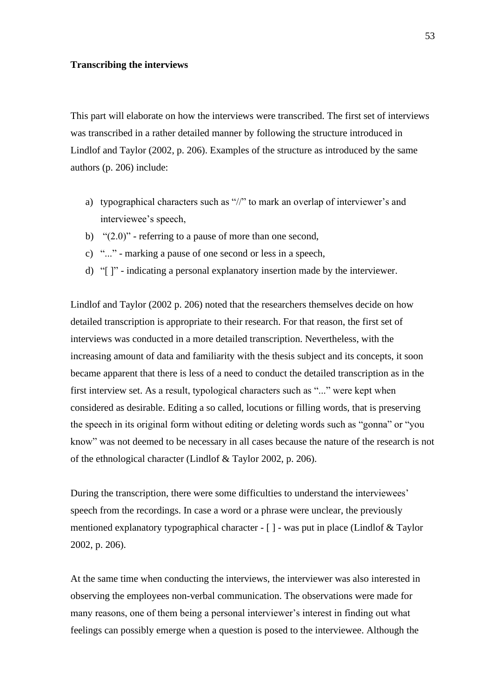#### **Transcribing the interviews**

This part will elaborate on how the interviews were transcribed. The first set of interviews was transcribed in a rather detailed manner by following the structure introduced in Lindlof and Taylor (2002, p. 206). Examples of the structure as introduced by the same authors (p. 206) include:

- a) typographical characters such as "//" to mark an overlap of interviewer's and interviewee's speech,
- b) " $(2.0)$ " referring to a pause of more than one second,
- c) "..." marking a pause of one second or less in a speech,
- d) "[ ]" indicating a personal explanatory insertion made by the interviewer.

Lindlof and Taylor (2002 p. 206) noted that the researchers themselves decide on how detailed transcription is appropriate to their research. For that reason, the first set of interviews was conducted in a more detailed transcription. Nevertheless, with the increasing amount of data and familiarity with the thesis subject and its concepts, it soon became apparent that there is less of a need to conduct the detailed transcription as in the first interview set. As a result, typological characters such as "..." were kept when considered as desirable. Editing a so called, locutions or filling words, that is preserving the speech in its original form without editing or deleting words such as "gonna" or "you know" was not deemed to be necessary in all cases because the nature of the research is not of the ethnological character (Lindlof & Taylor 2002, p. 206).

During the transcription, there were some difficulties to understand the interviewees' speech from the recordings. In case a word or a phrase were unclear, the previously mentioned explanatory typographical character - [ ] - was put in place (Lindlof & Taylor 2002, p. 206).

At the same time when conducting the interviews, the interviewer was also interested in observing the employees non-verbal communication. The observations were made for many reasons, one of them being a personal interviewer's interest in finding out what feelings can possibly emerge when a question is posed to the interviewee. Although the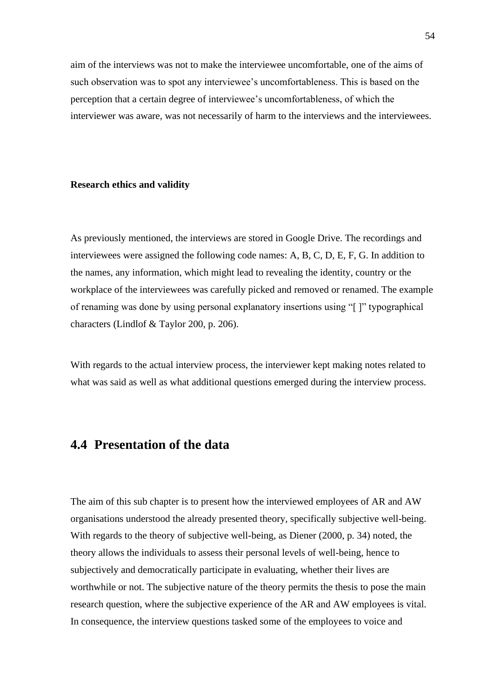aim of the interviews was not to make the interviewee uncomfortable, one of the aims of such observation was to spot any interviewee's uncomfortableness. This is based on the perception that a certain degree of interviewee's uncomfortableness, of which the interviewer was aware, was not necessarily of harm to the interviews and the interviewees.

#### **Research ethics and validity**

As previously mentioned, the interviews are stored in Google Drive. The recordings and interviewees were assigned the following code names: A, B, C, D, E, F, G. In addition to the names, any information, which might lead to revealing the identity, country or the workplace of the interviewees was carefully picked and removed or renamed. The example of renaming was done by using personal explanatory insertions using "[ ]" typographical characters (Lindlof & Taylor 200, p. 206).

With regards to the actual interview process, the interviewer kept making notes related to what was said as well as what additional questions emerged during the interview process.

## **4.4 Presentation of the data**

The aim of this sub chapter is to present how the interviewed employees of AR and AW organisations understood the already presented theory, specifically subjective well-being. With regards to the theory of subjective well-being, as Diener (2000, p. 34) noted, the theory allows the individuals to assess their personal levels of well-being, hence to subjectively and democratically participate in evaluating, whether their lives are worthwhile or not. The subjective nature of the theory permits the thesis to pose the main research question, where the subjective experience of the AR and AW employees is vital. In consequence, the interview questions tasked some of the employees to voice and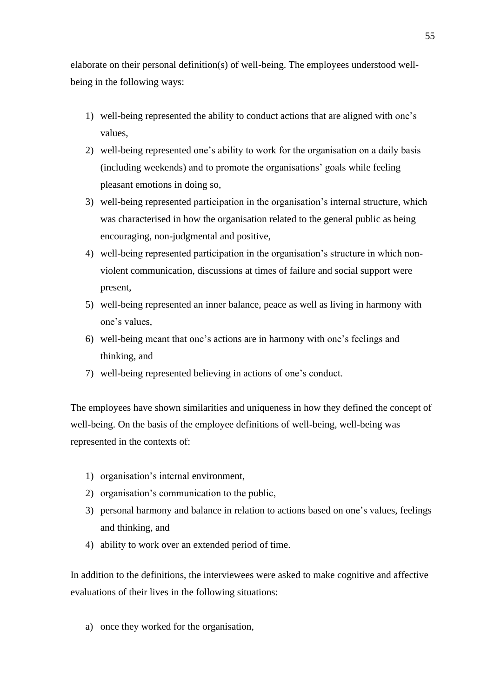elaborate on their personal definition(s) of well-being. The employees understood wellbeing in the following ways:

- 1) well-being represented the ability to conduct actions that are aligned with one's values,
- 2) well-being represented one's ability to work for the organisation on a daily basis (including weekends) and to promote the organisations' goals while feeling pleasant emotions in doing so,
- 3) well-being represented participation in the organisation's internal structure, which was characterised in how the organisation related to the general public as being encouraging, non-judgmental and positive,
- 4) well-being represented participation in the organisation's structure in which nonviolent communication, discussions at times of failure and social support were present,
- 5) well-being represented an inner balance, peace as well as living in harmony with one's values,
- 6) well-being meant that one's actions are in harmony with one's feelings and thinking, and
- 7) well-being represented believing in actions of one's conduct.

The employees have shown similarities and uniqueness in how they defined the concept of well-being. On the basis of the employee definitions of well-being, well-being was represented in the contexts of:

- 1) organisation's internal environment,
- 2) organisation's communication to the public,
- 3) personal harmony and balance in relation to actions based on one's values, feelings and thinking, and
- 4) ability to work over an extended period of time.

In addition to the definitions, the interviewees were asked to make cognitive and affective evaluations of their lives in the following situations:

a) once they worked for the organisation,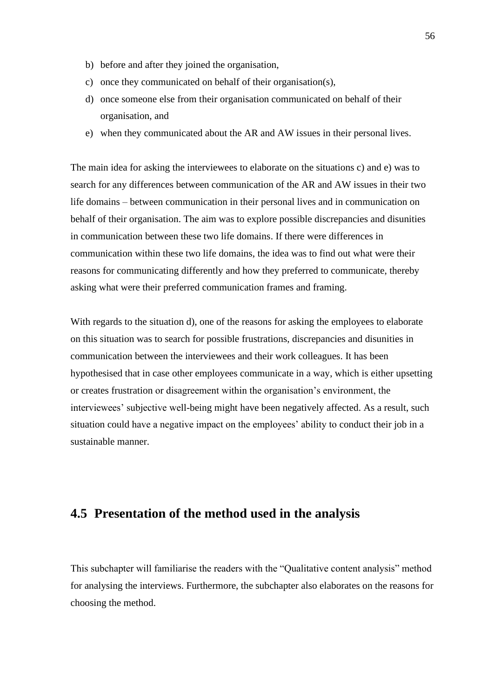- b) before and after they joined the organisation,
- c) once they communicated on behalf of their organisation(s),
- d) once someone else from their organisation communicated on behalf of their organisation, and
- e) when they communicated about the AR and AW issues in their personal lives.

The main idea for asking the interviewees to elaborate on the situations c) and e) was to search for any differences between communication of the AR and AW issues in their two life domains – between communication in their personal lives and in communication on behalf of their organisation. The aim was to explore possible discrepancies and disunities in communication between these two life domains. If there were differences in communication within these two life domains, the idea was to find out what were their reasons for communicating differently and how they preferred to communicate, thereby asking what were their preferred communication frames and framing.

With regards to the situation d), one of the reasons for asking the employees to elaborate on this situation was to search for possible frustrations, discrepancies and disunities in communication between the interviewees and their work colleagues. It has been hypothesised that in case other employees communicate in a way, which is either upsetting or creates frustration or disagreement within the organisation's environment, the interviewees' subjective well-being might have been negatively affected. As a result, such situation could have a negative impact on the employees' ability to conduct their job in a sustainable manner.

# **4.5 Presentation of the method used in the analysis**

This subchapter will familiarise the readers with the "Qualitative content analysis" method for analysing the interviews. Furthermore, the subchapter also elaborates on the reasons for choosing the method.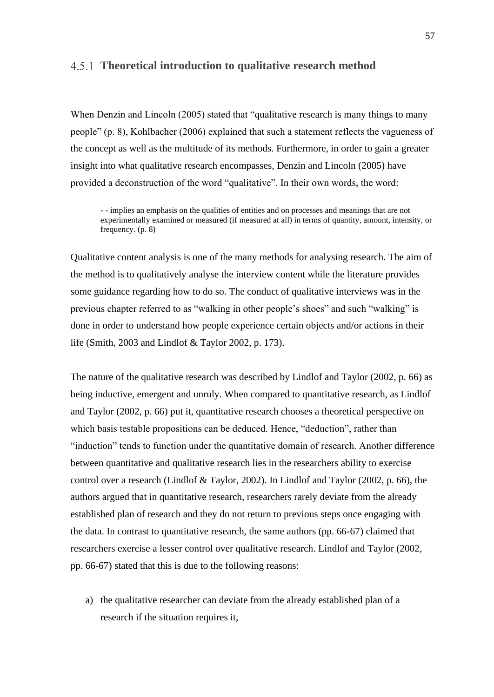## **Theoretical introduction to qualitative research method**

When Denzin and Lincoln (2005) stated that "qualitative research is many things to many people" (p. 8), Kohlbacher (2006) explained that such a statement reflects the vagueness of the concept as well as the multitude of its methods. Furthermore, in order to gain a greater insight into what qualitative research encompasses, Denzin and Lincoln (2005) have provided a deconstruction of the word "qualitative". In their own words, the word:

- - implies an emphasis on the qualities of entities and on processes and meanings that are not experimentally examined or measured (if measured at all) in terms of quantity, amount, intensity, or frequency. (p. 8)

Qualitative content analysis is one of the many methods for analysing research. The aim of the method is to qualitatively analyse the interview content while the literature provides some guidance regarding how to do so. The conduct of qualitative interviews was in the previous chapter referred to as "walking in other people's shoes" and such "walking" is done in order to understand how people experience certain objects and/or actions in their life (Smith, 2003 and Lindlof & Taylor 2002, p. 173).

The nature of the qualitative research was described by Lindlof and Taylor (2002, p. 66) as being inductive, emergent and unruly. When compared to quantitative research, as Lindlof and Taylor (2002, p. 66) put it, quantitative research chooses a theoretical perspective on which basis testable propositions can be deduced. Hence, "deduction", rather than "induction" tends to function under the quantitative domain of research. Another difference between quantitative and qualitative research lies in the researchers ability to exercise control over a research (Lindlof & Taylor, 2002). In Lindlof and Taylor (2002, p. 66), the authors argued that in quantitative research, researchers rarely deviate from the already established plan of research and they do not return to previous steps once engaging with the data. In contrast to quantitative research, the same authors (pp. 66-67) claimed that researchers exercise a lesser control over qualitative research. Lindlof and Taylor (2002, pp. 66-67) stated that this is due to the following reasons:

a) the qualitative researcher can deviate from the already established plan of a research if the situation requires it,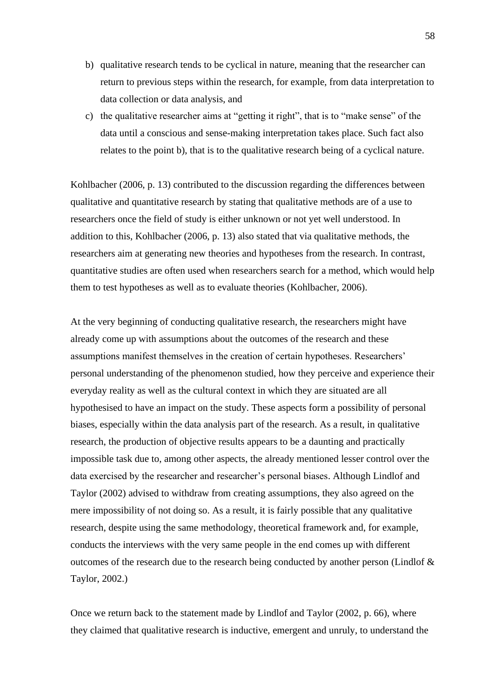- b) qualitative research tends to be cyclical in nature, meaning that the researcher can return to previous steps within the research, for example, from data interpretation to data collection or data analysis, and
- c) the qualitative researcher aims at "getting it right", that is to "make sense" of the data until a conscious and sense-making interpretation takes place. Such fact also relates to the point b), that is to the qualitative research being of a cyclical nature.

Kohlbacher (2006, p. 13) contributed to the discussion regarding the differences between qualitative and quantitative research by stating that qualitative methods are of a use to researchers once the field of study is either unknown or not yet well understood. In addition to this, Kohlbacher (2006, p. 13) also stated that via qualitative methods, the researchers aim at generating new theories and hypotheses from the research. In contrast, quantitative studies are often used when researchers search for a method, which would help them to test hypotheses as well as to evaluate theories (Kohlbacher, 2006).

At the very beginning of conducting qualitative research, the researchers might have already come up with assumptions about the outcomes of the research and these assumptions manifest themselves in the creation of certain hypotheses. Researchers' personal understanding of the phenomenon studied, how they perceive and experience their everyday reality as well as the cultural context in which they are situated are all hypothesised to have an impact on the study. These aspects form a possibility of personal biases, especially within the data analysis part of the research. As a result, in qualitative research, the production of objective results appears to be a daunting and practically impossible task due to, among other aspects, the already mentioned lesser control over the data exercised by the researcher and researcher's personal biases. Although Lindlof and Taylor (2002) advised to withdraw from creating assumptions, they also agreed on the mere impossibility of not doing so. As a result, it is fairly possible that any qualitative research, despite using the same methodology, theoretical framework and, for example, conducts the interviews with the very same people in the end comes up with different outcomes of the research due to the research being conducted by another person (Lindlof  $\&$ Taylor, 2002.)

Once we return back to the statement made by Lindlof and Taylor (2002, p. 66), where they claimed that qualitative research is inductive, emergent and unruly, to understand the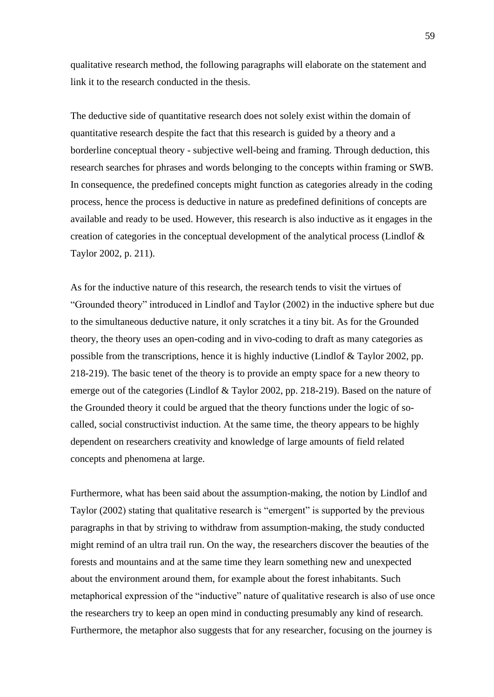qualitative research method, the following paragraphs will elaborate on the statement and link it to the research conducted in the thesis.

The deductive side of quantitative research does not solely exist within the domain of quantitative research despite the fact that this research is guided by a theory and a borderline conceptual theory - subjective well-being and framing. Through deduction, this research searches for phrases and words belonging to the concepts within framing or SWB. In consequence, the predefined concepts might function as categories already in the coding process, hence the process is deductive in nature as predefined definitions of concepts are available and ready to be used. However, this research is also inductive as it engages in the creation of categories in the conceptual development of the analytical process (Lindlof  $\&$ Taylor 2002, p. 211).

As for the inductive nature of this research, the research tends to visit the virtues of "Grounded theory" introduced in Lindlof and Taylor (2002) in the inductive sphere but due to the simultaneous deductive nature, it only scratches it a tiny bit. As for the Grounded theory, the theory uses an open-coding and in vivo-coding to draft as many categories as possible from the transcriptions, hence it is highly inductive (Lindlof & Taylor 2002, pp. 218-219). The basic tenet of the theory is to provide an empty space for a new theory to emerge out of the categories (Lindlof & Taylor 2002, pp. 218-219). Based on the nature of the Grounded theory it could be argued that the theory functions under the logic of socalled, social constructivist induction. At the same time, the theory appears to be highly dependent on researchers creativity and knowledge of large amounts of field related concepts and phenomena at large.

Furthermore, what has been said about the assumption-making, the notion by Lindlof and Taylor (2002) stating that qualitative research is "emergent" is supported by the previous paragraphs in that by striving to withdraw from assumption-making, the study conducted might remind of an ultra trail run. On the way, the researchers discover the beauties of the forests and mountains and at the same time they learn something new and unexpected about the environment around them, for example about the forest inhabitants. Such metaphorical expression of the "inductive" nature of qualitative research is also of use once the researchers try to keep an open mind in conducting presumably any kind of research. Furthermore, the metaphor also suggests that for any researcher, focusing on the journey is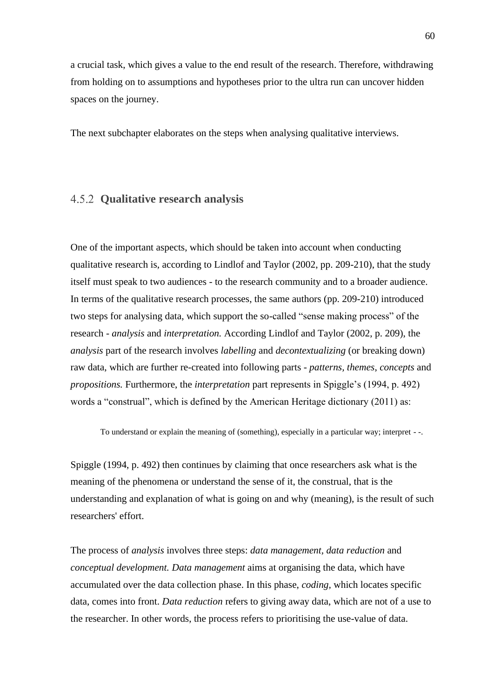a crucial task, which gives a value to the end result of the research. Therefore, withdrawing from holding on to assumptions and hypotheses prior to the ultra run can uncover hidden spaces on the journey.

The next subchapter elaborates on the steps when analysing qualitative interviews.

## **Qualitative research analysis**

One of the important aspects, which should be taken into account when conducting qualitative research is, according to Lindlof and Taylor (2002, pp. 209-210), that the study itself must speak to two audiences - to the research community and to a broader audience. In terms of the qualitative research processes, the same authors (pp. 209-210) introduced two steps for analysing data, which support the so-called "sense making process" of the research - *analysis* and *interpretation.* According Lindlof and Taylor (2002, p. 209), the *analysis* part of the research involves *labelling* and *decontextualizing* (or breaking down) raw data, which are further re-created into following parts - *patterns, themes*, *concepts* and *propositions.* Furthermore, the *interpretation* part represents in Spiggle's (1994, p. 492) words a "construal", which is defined by the American Heritage dictionary (2011) as:

To understand or explain the meaning of (something), especially in a particular way; interpret - -.

Spiggle (1994, p. 492) then continues by claiming that once researchers ask what is the meaning of the phenomena or understand the sense of it, the construal, that is the understanding and explanation of what is going on and why (meaning), is the result of such researchers' effort.

The process of *analysis* involves three steps: *data management, data reduction* and *conceptual development. Data management* aims at organising the data, which have accumulated over the data collection phase. In this phase, *coding,* which locates specific data, comes into front. *Data reduction* refers to giving away data, which are not of a use to the researcher. In other words, the process refers to prioritising the use-value of data.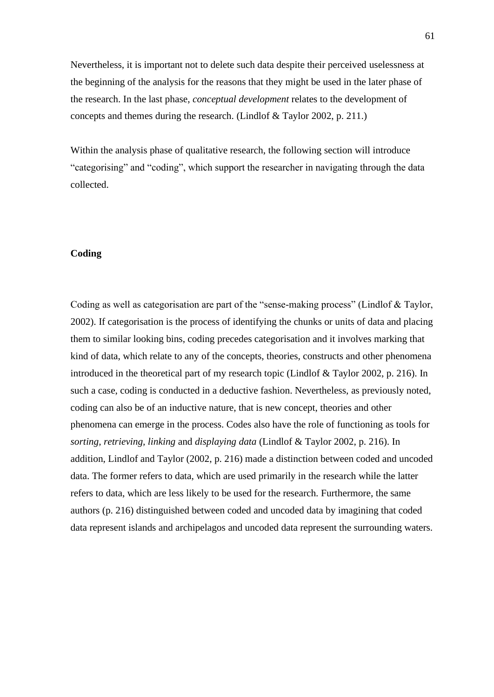Nevertheless, it is important not to delete such data despite their perceived uselessness at the beginning of the analysis for the reasons that they might be used in the later phase of the research. In the last phase, *conceptual development* relates to the development of concepts and themes during the research. (Lindlof & Taylor 2002, p. 211.)

Within the analysis phase of qualitative research, the following section will introduce "categorising" and "coding", which support the researcher in navigating through the data collected.

### **Coding**

Coding as well as categorisation are part of the "sense-making process" (Lindlof & Taylor, 2002). If categorisation is the process of identifying the chunks or units of data and placing them to similar looking bins, coding precedes categorisation and it involves marking that kind of data, which relate to any of the concepts, theories, constructs and other phenomena introduced in the theoretical part of my research topic (Lindlof & Taylor 2002, p. 216). In such a case, coding is conducted in a deductive fashion. Nevertheless, as previously noted, coding can also be of an inductive nature, that is new concept, theories and other phenomena can emerge in the process. Codes also have the role of functioning as tools for *sorting, retrieving, linking* and *displaying data* (Lindlof & Taylor 2002, p. 216). In addition, Lindlof and Taylor (2002, p. 216) made a distinction between coded and uncoded data. The former refers to data, which are used primarily in the research while the latter refers to data, which are less likely to be used for the research. Furthermore, the same authors (p. 216) distinguished between coded and uncoded data by imagining that coded data represent islands and archipelagos and uncoded data represent the surrounding waters.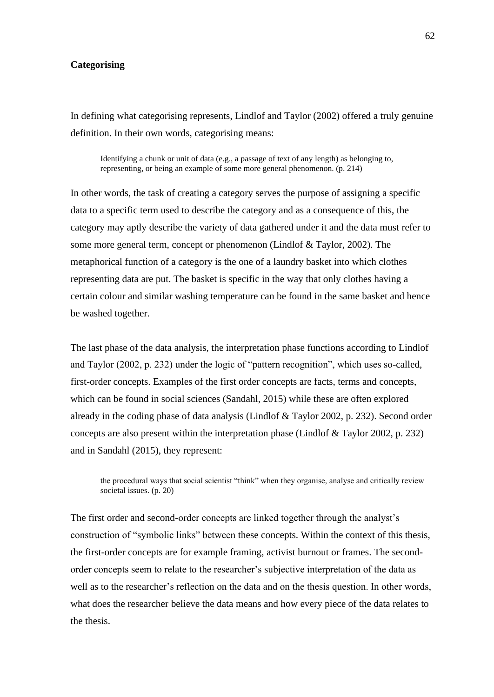### **Categorising**

In defining what categorising represents, Lindlof and Taylor (2002) offered a truly genuine definition. In their own words, categorising means:

Identifying a chunk or unit of data (e.g., a passage of text of any length) as belonging to, representing, or being an example of some more general phenomenon. (p. 214)

In other words, the task of creating a category serves the purpose of assigning a specific data to a specific term used to describe the category and as a consequence of this, the category may aptly describe the variety of data gathered under it and the data must refer to some more general term, concept or phenomenon (Lindlof & Taylor, 2002). The metaphorical function of a category is the one of a laundry basket into which clothes representing data are put. The basket is specific in the way that only clothes having a certain colour and similar washing temperature can be found in the same basket and hence be washed together.

The last phase of the data analysis, the interpretation phase functions according to Lindlof and Taylor (2002, p. 232) under the logic of "pattern recognition", which uses so-called, first-order concepts. Examples of the first order concepts are facts, terms and concepts, which can be found in social sciences (Sandahl, 2015) while these are often explored already in the coding phase of data analysis (Lindlof & Taylor 2002, p. 232). Second order concepts are also present within the interpretation phase (Lindlof & Taylor 2002, p. 232) and in Sandahl (2015), they represent:

the procedural ways that social scientist "think" when they organise, analyse and critically review societal issues. (p. 20)

The first order and second-order concepts are linked together through the analyst's construction of "symbolic links" between these concepts. Within the context of this thesis, the first-order concepts are for example framing, activist burnout or frames. The secondorder concepts seem to relate to the researcher's subjective interpretation of the data as well as to the researcher's reflection on the data and on the thesis question. In other words, what does the researcher believe the data means and how every piece of the data relates to the thesis.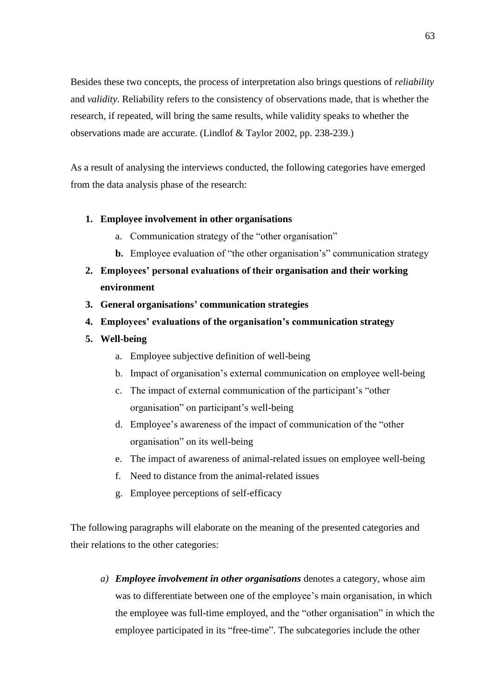Besides these two concepts, the process of interpretation also brings questions of *reliability*  and *validity*. Reliability refers to the consistency of observations made, that is whether the research, if repeated, will bring the same results, while validity speaks to whether the observations made are accurate. (Lindlof & Taylor 2002, pp. 238-239.)

As a result of analysing the interviews conducted, the following categories have emerged from the data analysis phase of the research:

## **1. Employee involvement in other organisations**

- a. Communication strategy of the "other organisation"
- **b.** Employee evaluation of "the other organisation's" communication strategy
- **2. Employees' personal evaluations of their organisation and their working environment**
- **3. General organisations' communication strategies**
- **4. Employees' evaluations of the organisation's communication strategy**
- **5. Well-being**
	- a. Employee subjective definition of well-being
	- b. Impact of organisation's external communication on employee well-being
	- c. The impact of external communication of the participant's "other organisation" on participant's well-being
	- d. Employee's awareness of the impact of communication of the "other organisation" on its well-being
	- e. The impact of awareness of animal-related issues on employee well-being
	- f. Need to distance from the animal-related issues
	- g. Employee perceptions of self-efficacy

The following paragraphs will elaborate on the meaning of the presented categories and their relations to the other categories:

*a) Employee involvement in other organisations* denotes a category, whose aim was to differentiate between one of the employee's main organisation, in which the employee was full-time employed, and the "other organisation" in which the employee participated in its "free-time". The subcategories include the other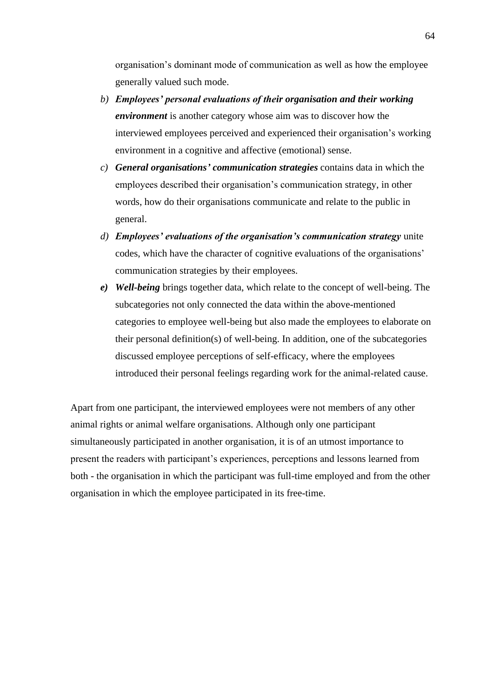organisation's dominant mode of communication as well as how the employee generally valued such mode.

- *b) Employees' personal evaluations of their organisation and their working environment* is another category whose aim was to discover how the interviewed employees perceived and experienced their organisation's working environment in a cognitive and affective (emotional) sense.
- *c) General organisations' communication strategies* contains data in which the employees described their organisation's communication strategy, in other words, how do their organisations communicate and relate to the public in general.
- *d) Employees' evaluations of the organisation's communication strategy* unite codes, which have the character of cognitive evaluations of the organisations' communication strategies by their employees.
- *e) Well-being* brings together data, which relate to the concept of well-being. The subcategories not only connected the data within the above-mentioned categories to employee well-being but also made the employees to elaborate on their personal definition(s) of well-being. In addition, one of the subcategories discussed employee perceptions of self-efficacy, where the employees introduced their personal feelings regarding work for the animal-related cause.

Apart from one participant, the interviewed employees were not members of any other animal rights or animal welfare organisations. Although only one participant simultaneously participated in another organisation, it is of an utmost importance to present the readers with participant's experiences, perceptions and lessons learned from both - the organisation in which the participant was full-time employed and from the other organisation in which the employee participated in its free-time.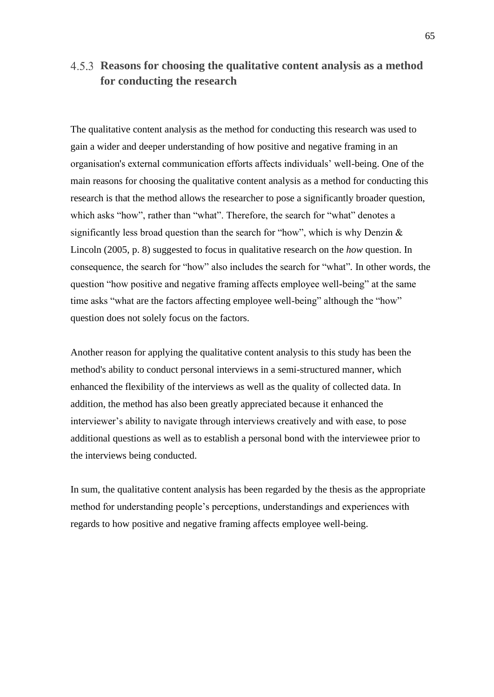# **Reasons for choosing the qualitative content analysis as a method for conducting the research**

The qualitative content analysis as the method for conducting this research was used to gain a wider and deeper understanding of how positive and negative framing in an organisation's external communication efforts affects individuals' well-being. One of the main reasons for choosing the qualitative content analysis as a method for conducting this research is that the method allows the researcher to pose a significantly broader question, which asks "how", rather than "what". Therefore, the search for "what" denotes a significantly less broad question than the search for "how", which is why Denzin & Lincoln (2005, p. 8) suggested to focus in qualitative research on the *how* question. In consequence, the search for "how" also includes the search for "what"*.* In other words, the question "how positive and negative framing affects employee well-being" at the same time asks "what are the factors affecting employee well-being" although the "how" question does not solely focus on the factors.

Another reason for applying the qualitative content analysis to this study has been the method's ability to conduct personal interviews in a semi-structured manner, which enhanced the flexibility of the interviews as well as the quality of collected data. In addition, the method has also been greatly appreciated because it enhanced the interviewer's ability to navigate through interviews creatively and with ease, to pose additional questions as well as to establish a personal bond with the interviewee prior to the interviews being conducted.

In sum, the qualitative content analysis has been regarded by the thesis as the appropriate method for understanding people's perceptions, understandings and experiences with regards to how positive and negative framing affects employee well-being.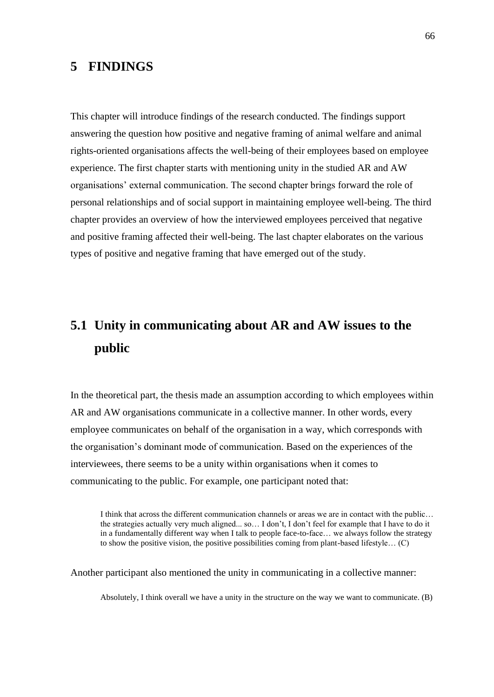## **5 FINDINGS**

This chapter will introduce findings of the research conducted. The findings support answering the question how positive and negative framing of animal welfare and animal rights-oriented organisations affects the well-being of their employees based on employee experience. The first chapter starts with mentioning unity in the studied AR and AW organisations' external communication. The second chapter brings forward the role of personal relationships and of social support in maintaining employee well-being. The third chapter provides an overview of how the interviewed employees perceived that negative and positive framing affected their well-being. The last chapter elaborates on the various types of positive and negative framing that have emerged out of the study.

# **5.1 Unity in communicating about AR and AW issues to the public**

In the theoretical part, the thesis made an assumption according to which employees within AR and AW organisations communicate in a collective manner. In other words, every employee communicates on behalf of the organisation in a way, which corresponds with the organisation's dominant mode of communication. Based on the experiences of the interviewees, there seems to be a unity within organisations when it comes to communicating to the public. For example, one participant noted that:

I think that across the different communication channels or areas we are in contact with the public… the strategies actually very much aligned... so… I don't, I don't feel for example that I have to do it in a fundamentally different way when I talk to people face-to-face… we always follow the strategy to show the positive vision, the positive possibilities coming from plant-based lifestyle… (C)

Another participant also mentioned the unity in communicating in a collective manner:

Absolutely, I think overall we have a unity in the structure on the way we want to communicate. (B)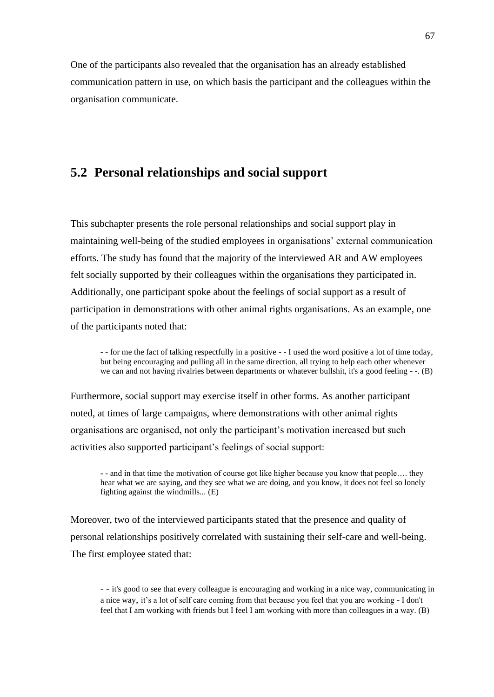One of the participants also revealed that the organisation has an already established communication pattern in use, on which basis the participant and the colleagues within the organisation communicate.

# **5.2 Personal relationships and social support**

This subchapter presents the role personal relationships and social support play in maintaining well-being of the studied employees in organisations' external communication efforts. The study has found that the majority of the interviewed AR and AW employees felt socially supported by their colleagues within the organisations they participated in. Additionally, one participant spoke about the feelings of social support as a result of participation in demonstrations with other animal rights organisations. As an example, one of the participants noted that:

- - for me the fact of talking respectfully in a positive - - I used the word positive a lot of time today, but being encouraging and pulling all in the same direction, all trying to help each other whenever we can and not having rivalries between departments or whatever bullshit, it's a good feeling - -. (B)

Furthermore, social support may exercise itself in other forms. As another participant noted, at times of large campaigns, where demonstrations with other animal rights organisations are organised, not only the participant's motivation increased but such activities also supported participant's feelings of social support:

- - and in that time the motivation of course got like higher because you know that people…. they hear what we are saying, and they see what we are doing, and you know, it does not feel so lonely fighting against the windmills... (E)

Moreover, two of the interviewed participants stated that the presence and quality of personal relationships positively correlated with sustaining their self-care and well-being. The first employee stated that:

- - it's good to see that every colleague is encouraging and working in a nice way, communicating in a nice way, it's a lot of self care coming from that because you feel that you are working - I don't feel that I am working with friends but I feel I am working with more than colleagues in a way. (B)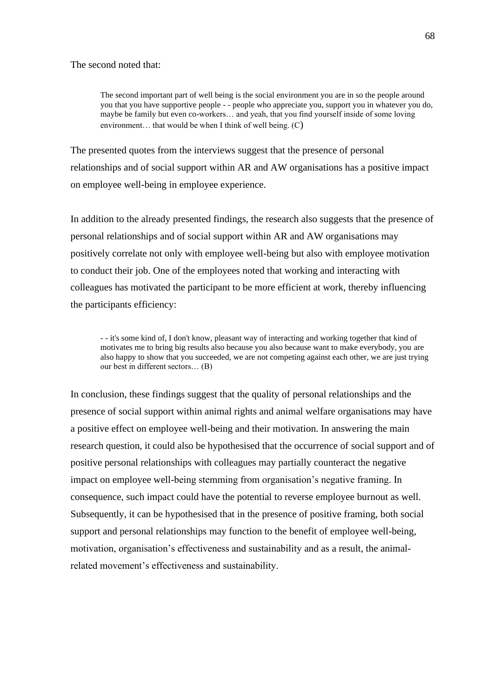The second noted that:

The second important part of well being is the social environment you are in so the people around you that you have supportive people - - people who appreciate you, support you in whatever you do, maybe be family but even co-workers… and yeah, that you find yourself inside of some loving environment… that would be when I think of well being. (C)

The presented quotes from the interviews suggest that the presence of personal relationships and of social support within AR and AW organisations has a positive impact on employee well-being in employee experience.

In addition to the already presented findings, the research also suggests that the presence of personal relationships and of social support within AR and AW organisations may positively correlate not only with employee well-being but also with employee motivation to conduct their job. One of the employees noted that working and interacting with colleagues has motivated the participant to be more efficient at work, thereby influencing the participants efficiency:

- - it's some kind of, I don't know, pleasant way of interacting and working together that kind of motivates me to bring big results also because you also because want to make everybody, you are also happy to show that you succeeded, we are not competing against each other, we are just trying our best in different sectors… (B)

In conclusion, these findings suggest that the quality of personal relationships and the presence of social support within animal rights and animal welfare organisations may have a positive effect on employee well-being and their motivation. In answering the main research question, it could also be hypothesised that the occurrence of social support and of positive personal relationships with colleagues may partially counteract the negative impact on employee well-being stemming from organisation's negative framing. In consequence, such impact could have the potential to reverse employee burnout as well. Subsequently, it can be hypothesised that in the presence of positive framing, both social support and personal relationships may function to the benefit of employee well-being, motivation, organisation's effectiveness and sustainability and as a result, the animalrelated movement's effectiveness and sustainability.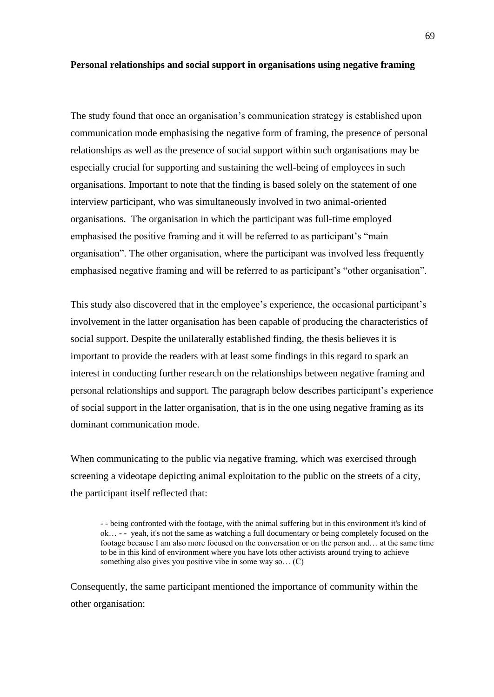#### **Personal relationships and social support in organisations using negative framing**

The study found that once an organisation's communication strategy is established upon communication mode emphasising the negative form of framing, the presence of personal relationships as well as the presence of social support within such organisations may be especially crucial for supporting and sustaining the well-being of employees in such organisations. Important to note that the finding is based solely on the statement of one interview participant, who was simultaneously involved in two animal-oriented organisations. The organisation in which the participant was full-time employed emphasised the positive framing and it will be referred to as participant's "main organisation". The other organisation, where the participant was involved less frequently emphasised negative framing and will be referred to as participant's "other organisation".

This study also discovered that in the employee's experience, the occasional participant's involvement in the latter organisation has been capable of producing the characteristics of social support. Despite the unilaterally established finding, the thesis believes it is important to provide the readers with at least some findings in this regard to spark an interest in conducting further research on the relationships between negative framing and personal relationships and support. The paragraph below describes participant's experience of social support in the latter organisation, that is in the one using negative framing as its dominant communication mode.

When communicating to the public via negative framing, which was exercised through screening a videotape depicting animal exploitation to the public on the streets of a city, the participant itself reflected that:

- - being confronted with the footage, with the animal suffering but in this environment it's kind of ok… - - yeah, it's not the same as watching a full documentary or being completely focused on the footage because I am also more focused on the conversation or on the person and… at the same time to be in this kind of environment where you have lots other activists around trying to achieve something also gives you positive vibe in some way so… (C)

Consequently, the same participant mentioned the importance of community within the other organisation: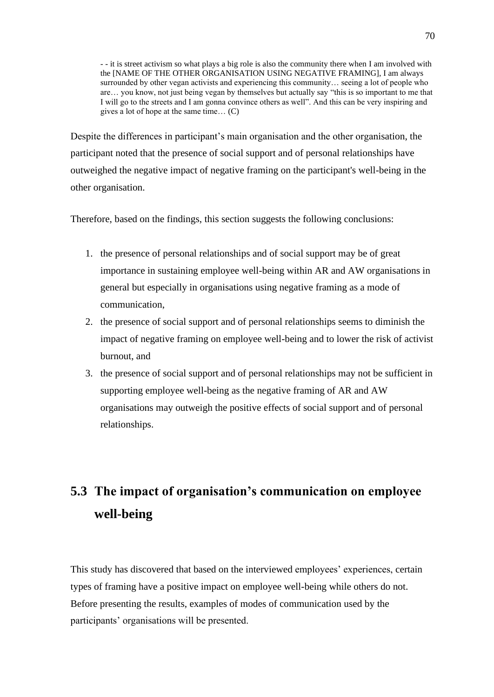- - it is street activism so what plays a big role is also the community there when I am involved with the [NAME OF THE OTHER ORGANISATION USING NEGATIVE FRAMING], I am always surrounded by other vegan activists and experiencing this community… seeing a lot of people who are… you know, not just being vegan by themselves but actually say "this is so important to me that I will go to the streets and I am gonna convince others as well". And this can be very inspiring and gives a lot of hope at the same time… (C)

Despite the differences in participant's main organisation and the other organisation, the participant noted that the presence of social support and of personal relationships have outweighed the negative impact of negative framing on the participant's well-being in the other organisation.

Therefore, based on the findings, this section suggests the following conclusions:

- 1. the presence of personal relationships and of social support may be of great importance in sustaining employee well-being within AR and AW organisations in general but especially in organisations using negative framing as a mode of communication,
- 2. the presence of social support and of personal relationships seems to diminish the impact of negative framing on employee well-being and to lower the risk of activist burnout, and
- 3. the presence of social support and of personal relationships may not be sufficient in supporting employee well-being as the negative framing of AR and AW organisations may outweigh the positive effects of social support and of personal relationships.

# **5.3 The impact of organisation's communication on employee well-being**

This study has discovered that based on the interviewed employees' experiences, certain types of framing have a positive impact on employee well-being while others do not. Before presenting the results, examples of modes of communication used by the participants' organisations will be presented.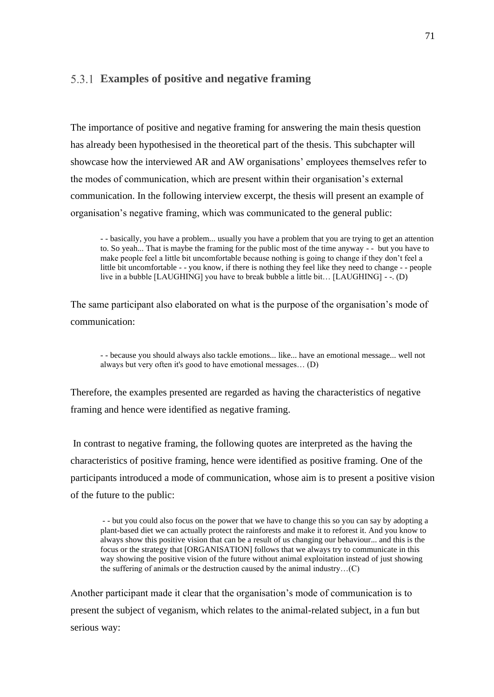## **Examples of positive and negative framing**

The importance of positive and negative framing for answering the main thesis question has already been hypothesised in the theoretical part of the thesis. This subchapter will showcase how the interviewed AR and AW organisations' employees themselves refer to the modes of communication, which are present within their organisation's external communication. In the following interview excerpt, the thesis will present an example of organisation's negative framing, which was communicated to the general public:

- - basically, you have a problem... usually you have a problem that you are trying to get an attention to. So yeah... That is maybe the framing for the public most of the time anyway - - but you have to make people feel a little bit uncomfortable because nothing is going to change if they don't feel a little bit uncomfortable - - you know, if there is nothing they feel like they need to change - - people live in a bubble [LAUGHING] you have to break bubble a little bit... [LAUGHING] - -. (D)

The same participant also elaborated on what is the purpose of the organisation's mode of communication:

- - because you should always also tackle emotions... like... have an emotional message... well not always but very often it's good to have emotional messages… (D)

Therefore, the examples presented are regarded as having the characteristics of negative framing and hence were identified as negative framing.

In contrast to negative framing, the following quotes are interpreted as the having the characteristics of positive framing, hence were identified as positive framing. One of the participants introduced a mode of communication, whose aim is to present a positive vision of the future to the public:

- - but you could also focus on the power that we have to change this so you can say by adopting a plant-based diet we can actually protect the rainforests and make it to reforest it. And you know to always show this positive vision that can be a result of us changing our behaviour... and this is the focus or the strategy that [ORGANISATION] follows that we always try to communicate in this way showing the positive vision of the future without animal exploitation instead of just showing the suffering of animals or the destruction caused by the animal industry…(C)

Another participant made it clear that the organisation's mode of communication is to present the subject of veganism, which relates to the animal-related subject, in a fun but serious way: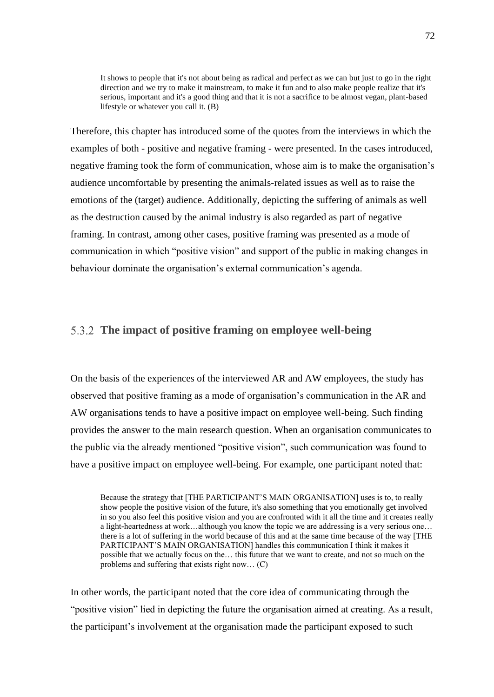It shows to people that it's not about being as radical and perfect as we can but just to go in the right direction and we try to make it mainstream, to make it fun and to also make people realize that it's serious, important and it's a good thing and that it is not a sacrifice to be almost vegan, plant-based lifestyle or whatever you call it. (B)

Therefore, this chapter has introduced some of the quotes from the interviews in which the examples of both - positive and negative framing - were presented. In the cases introduced, negative framing took the form of communication, whose aim is to make the organisation's audience uncomfortable by presenting the animals-related issues as well as to raise the emotions of the (target) audience. Additionally, depicting the suffering of animals as well as the destruction caused by the animal industry is also regarded as part of negative framing. In contrast, among other cases, positive framing was presented as a mode of communication in which "positive vision" and support of the public in making changes in behaviour dominate the organisation's external communication's agenda.

## **The impact of positive framing on employee well-being**

On the basis of the experiences of the interviewed AR and AW employees, the study has observed that positive framing as a mode of organisation's communication in the AR and AW organisations tends to have a positive impact on employee well-being. Such finding provides the answer to the main research question. When an organisation communicates to the public via the already mentioned "positive vision", such communication was found to have a positive impact on employee well-being. For example, one participant noted that:

Because the strategy that [THE PARTICIPANT'S MAIN ORGANISATION] uses is to, to really show people the positive vision of the future, it's also something that you emotionally get involved in so you also feel this positive vision and you are confronted with it all the time and it creates really a light-heartedness at work…although you know the topic we are addressing is a very serious one… there is a lot of suffering in the world because of this and at the same time because of the way [THE PARTICIPANT'S MAIN ORGANISATION] handles this communication I think it makes it possible that we actually focus on the… this future that we want to create, and not so much on the problems and suffering that exists right now… (C)

In other words, the participant noted that the core idea of communicating through the "positive vision" lied in depicting the future the organisation aimed at creating. As a result, the participant's involvement at the organisation made the participant exposed to such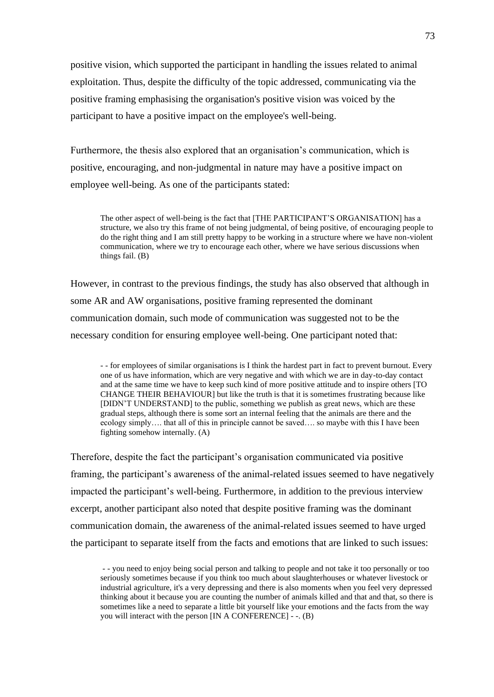positive vision, which supported the participant in handling the issues related to animal exploitation. Thus, despite the difficulty of the topic addressed, communicating via the positive framing emphasising the organisation's positive vision was voiced by the participant to have a positive impact on the employee's well-being.

Furthermore, the thesis also explored that an organisation's communication, which is positive, encouraging, and non-judgmental in nature may have a positive impact on employee well-being. As one of the participants stated:

The other aspect of well-being is the fact that [THE PARTICIPANT'S ORGANISATION] has a structure, we also try this frame of not being judgmental, of being positive, of encouraging people to do the right thing and I am still pretty happy to be working in a structure where we have non-violent communication, where we try to encourage each other, where we have serious discussions when things fail. (B)

However, in contrast to the previous findings, the study has also observed that although in some AR and AW organisations, positive framing represented the dominant communication domain, such mode of communication was suggested not to be the necessary condition for ensuring employee well-being. One participant noted that:

- - for employees of similar organisations is I think the hardest part in fact to prevent burnout. Every one of us have information, which are very negative and with which we are in day-to-day contact and at the same time we have to keep such kind of more positive attitude and to inspire others [TO CHANGE THEIR BEHAVIOUR] but like the truth is that it is sometimes frustrating because like [DIDN'T UNDERSTAND] to the public, something we publish as great news, which are these gradual steps, although there is some sort an internal feeling that the animals are there and the ecology simply…. that all of this in principle cannot be saved…. so maybe with this I have been fighting somehow internally. (A)

Therefore, despite the fact the participant's organisation communicated via positive framing, the participant's awareness of the animal-related issues seemed to have negatively impacted the participant's well-being. Furthermore, in addition to the previous interview excerpt, another participant also noted that despite positive framing was the dominant communication domain, the awareness of the animal-related issues seemed to have urged the participant to separate itself from the facts and emotions that are linked to such issues:

- - you need to enjoy being social person and talking to people and not take it too personally or too seriously sometimes because if you think too much about slaughterhouses or whatever livestock or industrial agriculture, it's a very depressing and there is also moments when you feel very depressed thinking about it because you are counting the number of animals killed and that and that, so there is sometimes like a need to separate a little bit yourself like your emotions and the facts from the way you will interact with the person [IN A CONFERENCE] - -. (B)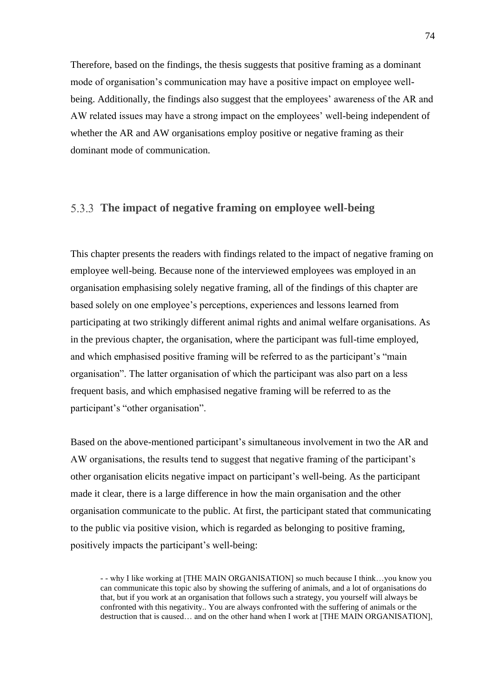Therefore, based on the findings, the thesis suggests that positive framing as a dominant mode of organisation's communication may have a positive impact on employee wellbeing. Additionally, the findings also suggest that the employees' awareness of the AR and AW related issues may have a strong impact on the employees' well-being independent of whether the AR and AW organisations employ positive or negative framing as their dominant mode of communication.

### **The impact of negative framing on employee well-being**

This chapter presents the readers with findings related to the impact of negative framing on employee well-being. Because none of the interviewed employees was employed in an organisation emphasising solely negative framing, all of the findings of this chapter are based solely on one employee's perceptions, experiences and lessons learned from participating at two strikingly different animal rights and animal welfare organisations. As in the previous chapter, the organisation, where the participant was full-time employed, and which emphasised positive framing will be referred to as the participant's "main organisation". The latter organisation of which the participant was also part on a less frequent basis, and which emphasised negative framing will be referred to as the participant's "other organisation".

Based on the above-mentioned participant's simultaneous involvement in two the AR and AW organisations, the results tend to suggest that negative framing of the participant's other organisation elicits negative impact on participant's well-being. As the participant made it clear, there is a large difference in how the main organisation and the other organisation communicate to the public. At first, the participant stated that communicating to the public via positive vision, which is regarded as belonging to positive framing, positively impacts the participant's well-being:

- - why I like working at [THE MAIN ORGANISATION] so much because I think…you know you can communicate this topic also by showing the suffering of animals, and a lot of organisations do that, but if you work at an organisation that follows such a strategy, you yourself will always be confronted with this negativity.. You are always confronted with the suffering of animals or the destruction that is caused… and on the other hand when I work at [THE MAIN ORGANISATION],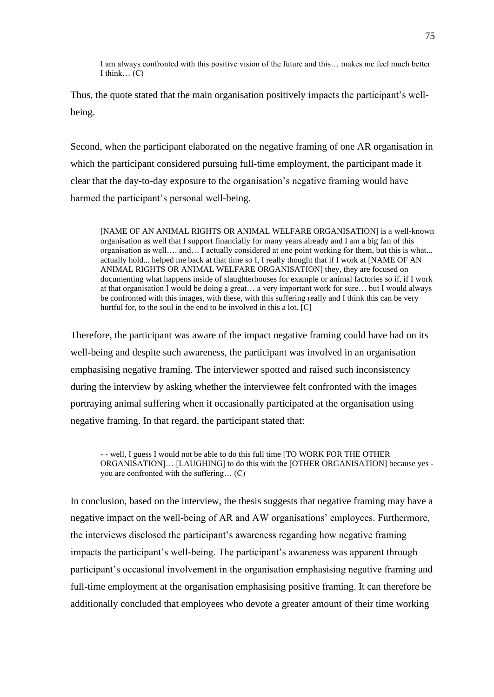I am always confronted with this positive vision of the future and this… makes me feel much better I think…  $(C)$ 

Thus, the quote stated that the main organisation positively impacts the participant's wellbeing.

Second, when the participant elaborated on the negative framing of one AR organisation in which the participant considered pursuing full-time employment, the participant made it clear that the day-to-day exposure to the organisation's negative framing would have harmed the participant's personal well-being.

[NAME OF AN ANIMAL RIGHTS OR ANIMAL WELFARE ORGANISATION] is a well-known organisation as well that I support financially for many years already and I am a big fan of this organisation as well…. and… I actually considered at one point working for them, but this is what... actually hold... helped me back at that time so I, I really thought that if I work at [NAME OF AN ANIMAL RIGHTS OR ANIMAL WELFARE ORGANISATION] they, they are focused on documenting what happens inside of slaughterhouses for example or animal factories so if, if I work at that organisation I would be doing a great… a very important work for sure… but I would always be confronted with this images, with these, with this suffering really and I think this can be very hurtful for, to the soul in the end to be involved in this a lot. [C]

Therefore, the participant was aware of the impact negative framing could have had on its well-being and despite such awareness, the participant was involved in an organisation emphasising negative framing. The interviewer spotted and raised such inconsistency during the interview by asking whether the interviewee felt confronted with the images portraying animal suffering when it occasionally participated at the organisation using negative framing. In that regard, the participant stated that:

- - well, I guess I would not be able to do this full time [TO WORK FOR THE OTHER ORGANISATION]… [LAUGHING] to do this with the [OTHER ORGANISATION] because yes you are confronted with the suffering… (C)

In conclusion, based on the interview, the thesis suggests that negative framing may have a negative impact on the well-being of AR and AW organisations' employees. Furthermore, the interviews disclosed the participant's awareness regarding how negative framing impacts the participant's well-being. The participant's awareness was apparent through participant's occasional involvement in the organisation emphasising negative framing and full-time employment at the organisation emphasising positive framing. It can therefore be additionally concluded that employees who devote a greater amount of their time working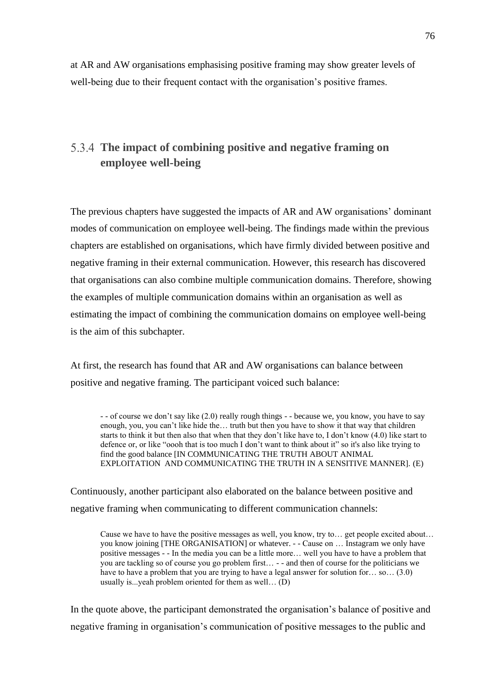at AR and AW organisations emphasising positive framing may show greater levels of well-being due to their frequent contact with the organisation's positive frames.

### **The impact of combining positive and negative framing on employee well-being**

The previous chapters have suggested the impacts of AR and AW organisations' dominant modes of communication on employee well-being. The findings made within the previous chapters are established on organisations, which have firmly divided between positive and negative framing in their external communication. However, this research has discovered that organisations can also combine multiple communication domains. Therefore, showing the examples of multiple communication domains within an organisation as well as estimating the impact of combining the communication domains on employee well-being is the aim of this subchapter.

At first, the research has found that AR and AW organisations can balance between positive and negative framing. The participant voiced such balance:

- - of course we don't say like (2.0) really rough things - - because we, you know, you have to say enough, you, you can't like hide the… truth but then you have to show it that way that children starts to think it but then also that when that they don't like have to, I don't know (4.0) like start to defence or, or like "oooh that is too much I don't want to think about it" so it's also like trying to find the good balance [IN COMMUNICATING THE TRUTH ABOUT ANIMAL EXPLOITATION AND COMMUNICATING THE TRUTH IN A SENSITIVE MANNER]. (E)

Continuously, another participant also elaborated on the balance between positive and negative framing when communicating to different communication channels:

Cause we have to have the positive messages as well, you know, try to… get people excited about… you know joining [THE ORGANISATION] or whatever. - - Cause on … Instagram we only have positive messages - - In the media you can be a little more… well you have to have a problem that you are tackling so of course you go problem first… - - and then of course for the politicians we have to have a problem that you are trying to have a legal answer for solution for... so... (3.0) usually is...yeah problem oriented for them as well… (D)

In the quote above, the participant demonstrated the organisation's balance of positive and negative framing in organisation's communication of positive messages to the public and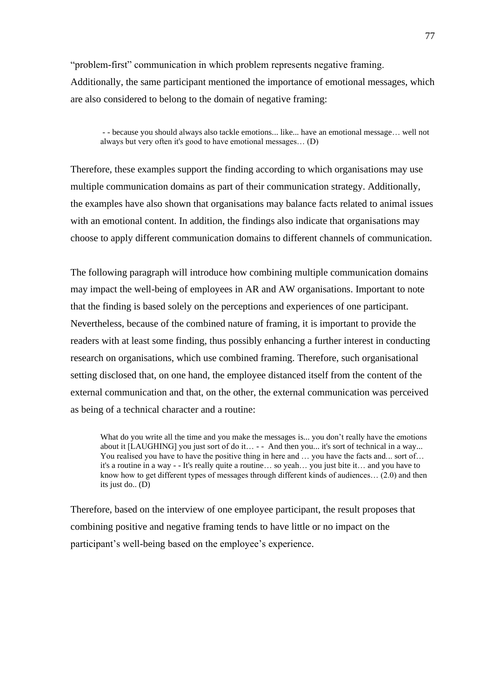"problem-first" communication in which problem represents negative framing. Additionally, the same participant mentioned the importance of emotional messages, which are also considered to belong to the domain of negative framing:

- - because you should always also tackle emotions... like... have an emotional message… well not always but very often it's good to have emotional messages… (D)

Therefore, these examples support the finding according to which organisations may use multiple communication domains as part of their communication strategy. Additionally, the examples have also shown that organisations may balance facts related to animal issues with an emotional content. In addition, the findings also indicate that organisations may choose to apply different communication domains to different channels of communication.

The following paragraph will introduce how combining multiple communication domains may impact the well-being of employees in AR and AW organisations. Important to note that the finding is based solely on the perceptions and experiences of one participant. Nevertheless, because of the combined nature of framing, it is important to provide the readers with at least some finding, thus possibly enhancing a further interest in conducting research on organisations, which use combined framing. Therefore, such organisational setting disclosed that, on one hand, the employee distanced itself from the content of the external communication and that, on the other, the external communication was perceived as being of a technical character and a routine:

What do you write all the time and you make the messages is... you don't really have the emotions about it [LAUGHING] you just sort of do it... - - And then you... it's sort of technical in a way... You realised you have to have the positive thing in here and ... you have the facts and... sort of... it's a routine in a way - - It's really quite a routine… so yeah… you just bite it… and you have to know how to get different types of messages through different kinds of audiences… (2.0) and then its just do.. (D)

Therefore, based on the interview of one employee participant, the result proposes that combining positive and negative framing tends to have little or no impact on the participant's well-being based on the employee's experience.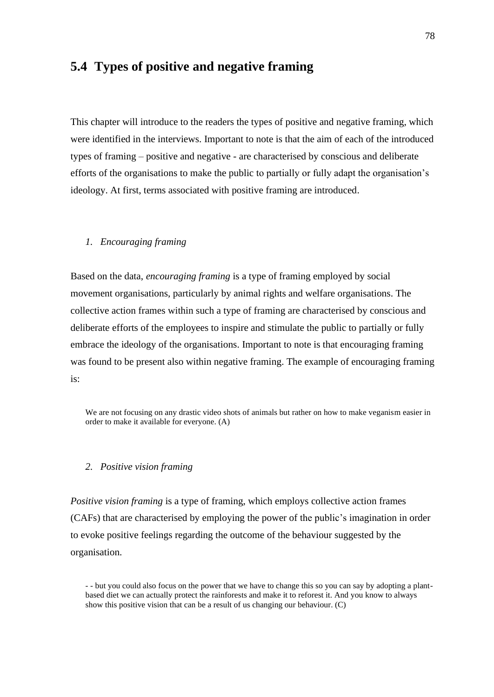# **5.4 Types of positive and negative framing**

This chapter will introduce to the readers the types of positive and negative framing, which were identified in the interviews. Important to note is that the aim of each of the introduced types of framing – positive and negative - are characterised by conscious and deliberate efforts of the organisations to make the public to partially or fully adapt the organisation's ideology. At first, terms associated with positive framing are introduced.

#### *1. Encouraging framing*

Based on the data, *encouraging framing* is a type of framing employed by social movement organisations, particularly by animal rights and welfare organisations. The collective action frames within such a type of framing are characterised by conscious and deliberate efforts of the employees to inspire and stimulate the public to partially or fully embrace the ideology of the organisations. Important to note is that encouraging framing was found to be present also within negative framing. The example of encouraging framing is:

We are not focusing on any drastic video shots of animals but rather on how to make veganism easier in order to make it available for everyone. (A)

### *2. Positive vision framing*

*Positive vision framing* is a type of framing, which employs collective action frames (CAFs) that are characterised by employing the power of the public's imagination in order to evoke positive feelings regarding the outcome of the behaviour suggested by the organisation.

<sup>-</sup> - but you could also focus on the power that we have to change this so you can say by adopting a plantbased diet we can actually protect the rainforests and make it to reforest it. And you know to always show this positive vision that can be a result of us changing our behaviour. (C)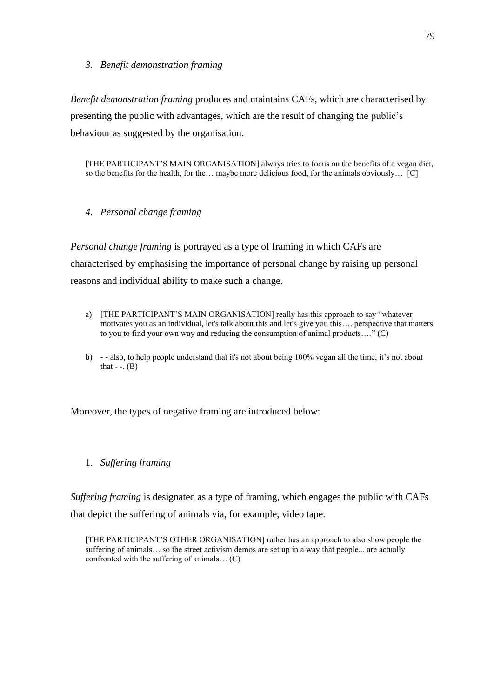*3. Benefit demonstration framing*

*Benefit demonstration framing* produces and maintains CAFs, which are characterised by presenting the public with advantages, which are the result of changing the public's behaviour as suggested by the organisation.

[THE PARTICIPANT'S MAIN ORGANISATION] always tries to focus on the benefits of a vegan diet, so the benefits for the health, for the… maybe more delicious food, for the animals obviously… [C]

*4. Personal change framing* 

*Personal change framing* is portrayed as a type of framing in which CAFs are characterised by emphasising the importance of personal change by raising up personal reasons and individual ability to make such a change.

- a) [THE PARTICIPANT'S MAIN ORGANISATION] really has this approach to say "whatever motivates you as an individual, let's talk about this and let's give you this…. perspective that matters to you to find your own way and reducing the consumption of animal products…." (C)
- b) - also, to help people understand that it's not about being 100% vegan all the time, it's not about that  $\cdot$   $(B)$

Moreover, the types of negative framing are introduced below:

1. *Suffering framing*

*Suffering framing* is designated as a type of framing, which engages the public with CAFs that depict the suffering of animals via, for example, video tape.

[THE PARTICIPANT'S OTHER ORGANISATION] rather has an approach to also show people the suffering of animals… so the street activism demos are set up in a way that people... are actually confronted with the suffering of animals… (C)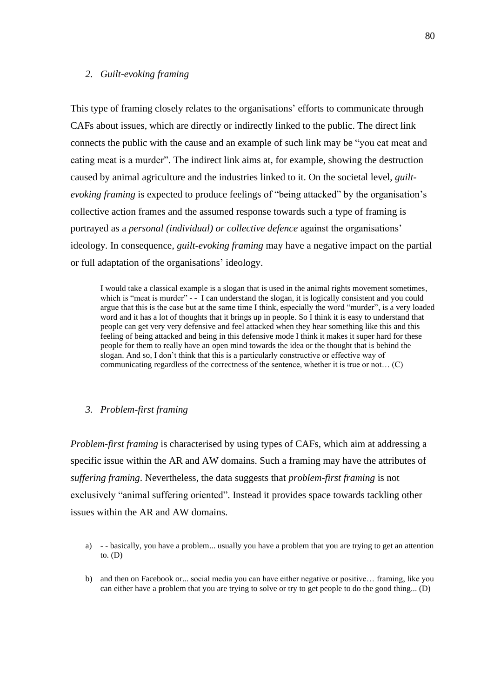#### *2. Guilt-evoking framing*

This type of framing closely relates to the organisations' efforts to communicate through CAFs about issues, which are directly or indirectly linked to the public. The direct link connects the public with the cause and an example of such link may be "you eat meat and eating meat is a murder". The indirect link aims at, for example, showing the destruction caused by animal agriculture and the industries linked to it. On the societal level, *guiltevoking framing* is expected to produce feelings of "being attacked" by the organisation's collective action frames and the assumed response towards such a type of framing is portrayed as a *personal (individual) or collective defence* against the organisations' ideology*.* In consequence, *guilt-evoking framing* may have a negative impact on the partial or full adaptation of the organisations' ideology.

I would take a classical example is a slogan that is used in the animal rights movement sometimes, which is "meat is murder" - - I can understand the slogan, it is logically consistent and you could argue that this is the case but at the same time I think, especially the word "murder", is a very loaded word and it has a lot of thoughts that it brings up in people. So I think it is easy to understand that people can get very very defensive and feel attacked when they hear something like this and this feeling of being attacked and being in this defensive mode I think it makes it super hard for these people for them to really have an open mind towards the idea or the thought that is behind the slogan. And so, I don't think that this is a particularly constructive or effective way of communicating regardless of the correctness of the sentence, whether it is true or not… (C)

#### *3. Problem-first framing*

*Problem-first framing* is characterised by using types of CAFs, which aim at addressing a specific issue within the AR and AW domains. Such a framing may have the attributes of *suffering framing*. Nevertheless, the data suggests that *problem-first framing* is not exclusively "animal suffering oriented". Instead it provides space towards tackling other issues within the AR and AW domains.

- a) - basically, you have a problem... usually you have a problem that you are trying to get an attention to.  $(D)$
- b) and then on Facebook or... social media you can have either negative or positive… framing, like you can either have a problem that you are trying to solve or try to get people to do the good thing... (D)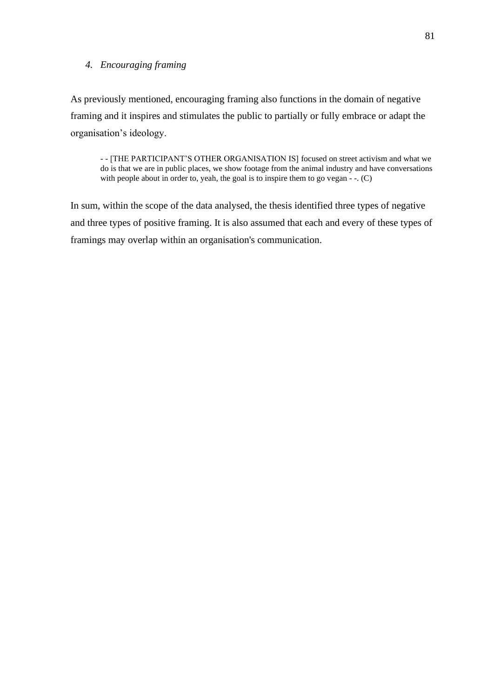#### *4. Encouraging framing*

As previously mentioned, encouraging framing also functions in the domain of negative framing and it inspires and stimulates the public to partially or fully embrace or adapt the organisation's ideology.

- - [THE PARTICIPANT'S OTHER ORGANISATION IS] focused on street activism and what we do is that we are in public places, we show footage from the animal industry and have conversations with people about in order to, yeah, the goal is to inspire them to go vegan  $-$ . (C)

In sum, within the scope of the data analysed, the thesis identified three types of negative and three types of positive framing. It is also assumed that each and every of these types of framings may overlap within an organisation's communication.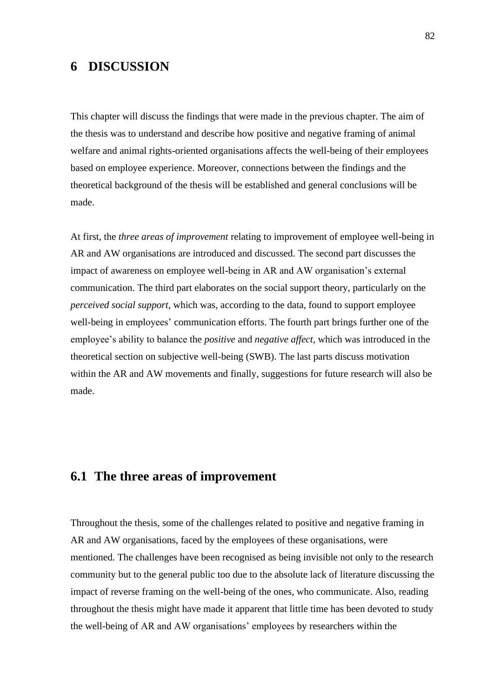### **6 DISCUSSION**

This chapter will discuss the findings that were made in the previous chapter. The aim of the thesis was to understand and describe how positive and negative framing of animal welfare and animal rights-oriented organisations affects the well-being of their employees based on employee experience. Moreover, connections between the findings and the theoretical background of the thesis will be established and general conclusions will be made.

At first, the *three areas of improvement* relating to improvement of employee well-being in AR and AW organisations are introduced and discussed. The second part discusses the impact of awareness on employee well-being in AR and AW organisation's external communication. The third part elaborates on the social support theory, particularly on the *perceived social support*, which was, according to the data, found to support employee well-being in employees' communication efforts. The fourth part brings further one of the employee's ability to balance the *positive* and *negative affect*, which was introduced in the theoretical section on subjective well-being (SWB). The last parts discuss motivation within the AR and AW movements and finally, suggestions for future research will also be made.

# **6.1 The three areas of improvement**

Throughout the thesis, some of the challenges related to positive and negative framing in AR and AW organisations, faced by the employees of these organisations, were mentioned. The challenges have been recognised as being invisible not only to the research community but to the general public too due to the absolute lack of literature discussing the impact of reverse framing on the well-being of the ones, who communicate. Also, reading throughout the thesis might have made it apparent that little time has been devoted to study the well-being of AR and AW organisations' employees by researchers within the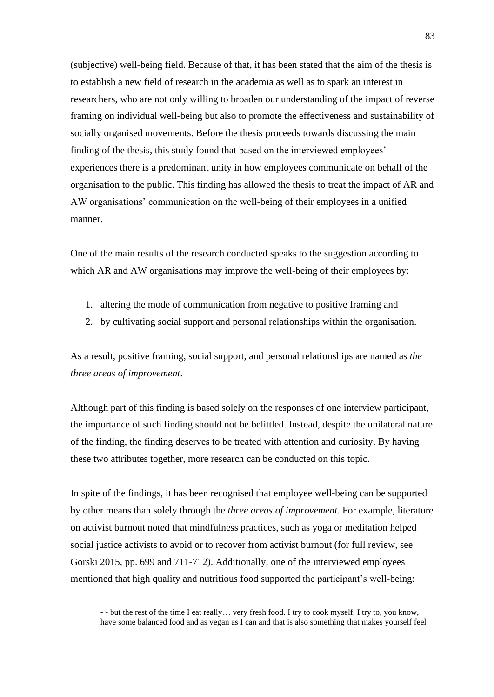(subjective) well-being field. Because of that, it has been stated that the aim of the thesis is to establish a new field of research in the academia as well as to spark an interest in researchers, who are not only willing to broaden our understanding of the impact of reverse framing on individual well-being but also to promote the effectiveness and sustainability of socially organised movements. Before the thesis proceeds towards discussing the main finding of the thesis, this study found that based on the interviewed employees' experiences there is a predominant unity in how employees communicate on behalf of the organisation to the public. This finding has allowed the thesis to treat the impact of AR and AW organisations' communication on the well-being of their employees in a unified manner.

One of the main results of the research conducted speaks to the suggestion according to which AR and AW organisations may improve the well-being of their employees by:

- 1. altering the mode of communication from negative to positive framing and
- 2. by cultivating social support and personal relationships within the organisation.

As a result, positive framing, social support, and personal relationships are named as *the three areas of improvement*.

Although part of this finding is based solely on the responses of one interview participant, the importance of such finding should not be belittled. Instead, despite the unilateral nature of the finding, the finding deserves to be treated with attention and curiosity. By having these two attributes together, more research can be conducted on this topic.

In spite of the findings, it has been recognised that employee well-being can be supported by other means than solely through the *three areas of improvement.* For example, literature on activist burnout noted that mindfulness practices, such as yoga or meditation helped social justice activists to avoid or to recover from activist burnout (for full review, see Gorski 2015, pp. 699 and 711-712). Additionally, one of the interviewed employees mentioned that high quality and nutritious food supported the participant's well-being: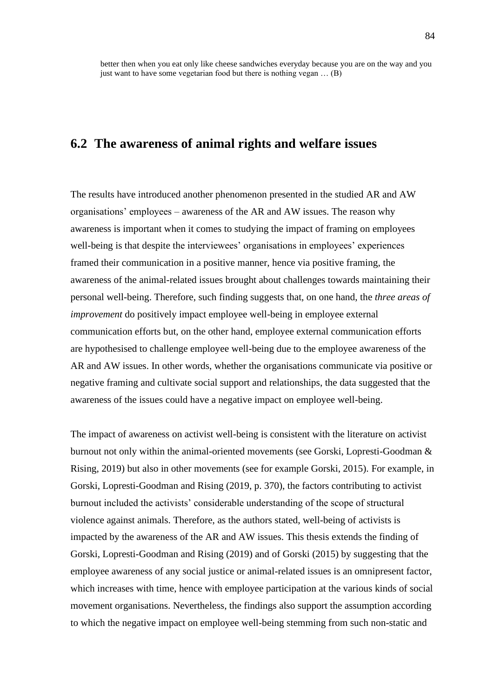better then when you eat only like cheese sandwiches everyday because you are on the way and you just want to have some vegetarian food but there is nothing vegan  $\dots$  (B)

# **6.2 The awareness of animal rights and welfare issues**

The results have introduced another phenomenon presented in the studied AR and AW organisations' employees – awareness of the AR and AW issues. The reason why awareness is important when it comes to studying the impact of framing on employees well-being is that despite the interviewees' organisations in employees' experiences framed their communication in a positive manner, hence via positive framing, the awareness of the animal-related issues brought about challenges towards maintaining their personal well-being. Therefore, such finding suggests that, on one hand, the *three areas of improvement* do positively impact employee well-being in employee external communication efforts but, on the other hand, employee external communication efforts are hypothesised to challenge employee well-being due to the employee awareness of the AR and AW issues. In other words, whether the organisations communicate via positive or negative framing and cultivate social support and relationships, the data suggested that the awareness of the issues could have a negative impact on employee well-being.

The impact of awareness on activist well-being is consistent with the literature on activist burnout not only within the animal-oriented movements (see Gorski, Lopresti-Goodman & Rising, 2019) but also in other movements (see for example Gorski, 2015). For example, in Gorski, Lopresti-Goodman and Rising (2019, p. 370), the factors contributing to activist burnout included the activists' considerable understanding of the scope of structural violence against animals. Therefore, as the authors stated, well-being of activists is impacted by the awareness of the AR and AW issues. This thesis extends the finding of Gorski, Lopresti-Goodman and Rising (2019) and of Gorski (2015) by suggesting that the employee awareness of any social justice or animal-related issues is an omnipresent factor, which increases with time, hence with employee participation at the various kinds of social movement organisations. Nevertheless, the findings also support the assumption according to which the negative impact on employee well-being stemming from such non-static and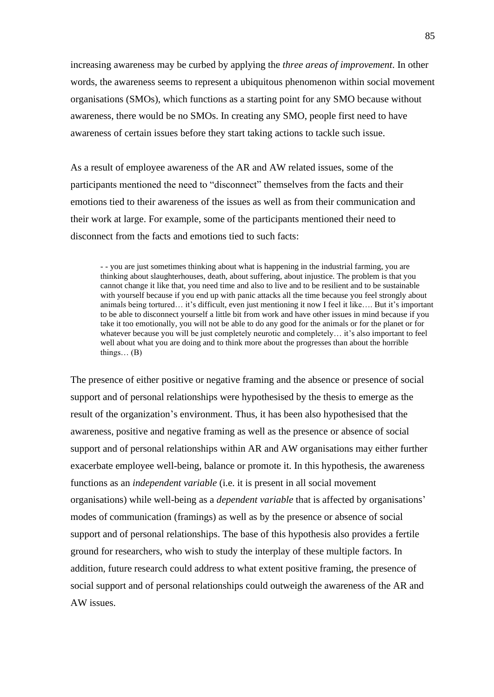increasing awareness may be curbed by applying the *three areas of improvement*. In other words, the awareness seems to represent a ubiquitous phenomenon within social movement organisations (SMOs), which functions as a starting point for any SMO because without awareness, there would be no SMOs. In creating any SMO, people first need to have awareness of certain issues before they start taking actions to tackle such issue.

As a result of employee awareness of the AR and AW related issues, some of the participants mentioned the need to "disconnect" themselves from the facts and their emotions tied to their awareness of the issues as well as from their communication and their work at large. For example, some of the participants mentioned their need to disconnect from the facts and emotions tied to such facts:

- - you are just sometimes thinking about what is happening in the industrial farming, you are thinking about slaughterhouses, death, about suffering, about injustice. The problem is that you cannot change it like that, you need time and also to live and to be resilient and to be sustainable with yourself because if you end up with panic attacks all the time because you feel strongly about animals being tortured… it's difficult, even just mentioning it now I feel it like…. But it's important to be able to disconnect yourself a little bit from work and have other issues in mind because if you take it too emotionally, you will not be able to do any good for the animals or for the planet or for whatever because you will be just completely neurotic and completely... it's also important to feel well about what you are doing and to think more about the progresses than about the horrible things… (B)

The presence of either positive or negative framing and the absence or presence of social support and of personal relationships were hypothesised by the thesis to emerge as the result of the organization's environment. Thus, it has been also hypothesised that the awareness, positive and negative framing as well as the presence or absence of social support and of personal relationships within AR and AW organisations may either further exacerbate employee well-being, balance or promote it. In this hypothesis, the awareness functions as an *independent variable* (i.e. it is present in all social movement organisations) while well-being as a *dependent variable* that is affected by organisations' modes of communication (framings) as well as by the presence or absence of social support and of personal relationships. The base of this hypothesis also provides a fertile ground for researchers, who wish to study the interplay of these multiple factors. In addition, future research could address to what extent positive framing, the presence of social support and of personal relationships could outweigh the awareness of the AR and AW issues.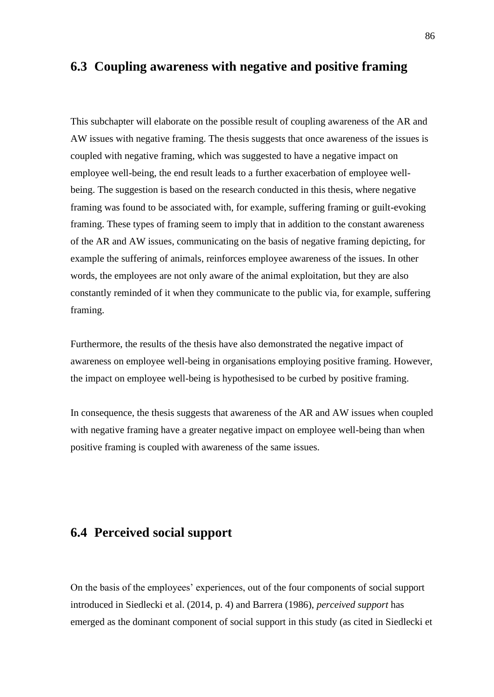### **6.3 Coupling awareness with negative and positive framing**

This subchapter will elaborate on the possible result of coupling awareness of the AR and AW issues with negative framing. The thesis suggests that once awareness of the issues is coupled with negative framing, which was suggested to have a negative impact on employee well-being, the end result leads to a further exacerbation of employee wellbeing. The suggestion is based on the research conducted in this thesis, where negative framing was found to be associated with, for example, suffering framing or guilt-evoking framing. These types of framing seem to imply that in addition to the constant awareness of the AR and AW issues, communicating on the basis of negative framing depicting, for example the suffering of animals, reinforces employee awareness of the issues. In other words, the employees are not only aware of the animal exploitation, but they are also constantly reminded of it when they communicate to the public via, for example, suffering framing.

Furthermore, the results of the thesis have also demonstrated the negative impact of awareness on employee well-being in organisations employing positive framing. However, the impact on employee well-being is hypothesised to be curbed by positive framing.

In consequence, the thesis suggests that awareness of the AR and AW issues when coupled with negative framing have a greater negative impact on employee well-being than when positive framing is coupled with awareness of the same issues.

# **6.4 Perceived social support**

On the basis of the employees' experiences, out of the four components of social support introduced in Siedlecki et al. (2014, p. 4) and Barrera (1986), *perceived support* has emerged as the dominant component of social support in this study (as cited in Siedlecki et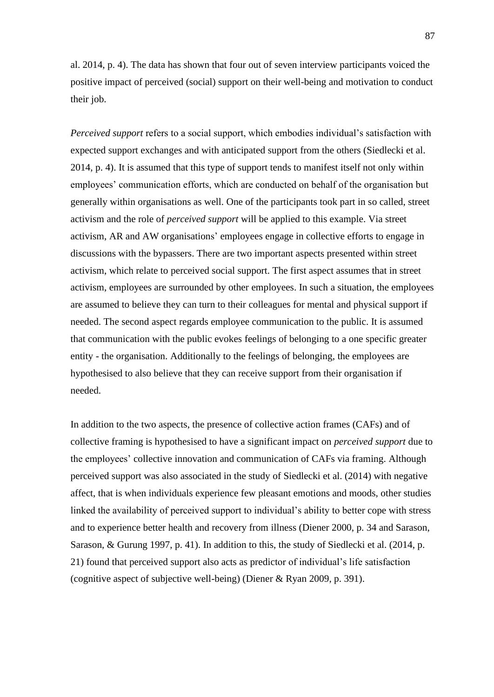al. 2014, p. 4). The data has shown that four out of seven interview participants voiced the positive impact of perceived (social) support on their well-being and motivation to conduct their job.

*Perceived support* refers to a social support, which embodies individual's satisfaction with expected support exchanges and with anticipated support from the others (Siedlecki et al. 2014, p. 4). It is assumed that this type of support tends to manifest itself not only within employees' communication efforts, which are conducted on behalf of the organisation but generally within organisations as well. One of the participants took part in so called, street activism and the role of *perceived support* will be applied to this example. Via street activism, AR and AW organisations' employees engage in collective efforts to engage in discussions with the bypassers. There are two important aspects presented within street activism, which relate to perceived social support. The first aspect assumes that in street activism, employees are surrounded by other employees. In such a situation, the employees are assumed to believe they can turn to their colleagues for mental and physical support if needed. The second aspect regards employee communication to the public. It is assumed that communication with the public evokes feelings of belonging to a one specific greater entity - the organisation. Additionally to the feelings of belonging, the employees are hypothesised to also believe that they can receive support from their organisation if needed.

In addition to the two aspects, the presence of collective action frames (CAFs) and of collective framing is hypothesised to have a significant impact on *perceived support* due to the employees' collective innovation and communication of CAFs via framing. Although perceived support was also associated in the study of Siedlecki et al. (2014) with negative affect, that is when individuals experience few pleasant emotions and moods, other studies linked the availability of perceived support to individual's ability to better cope with stress and to experience better health and recovery from illness (Diener 2000, p. 34 and Sarason, Sarason, & Gurung 1997, p. 41). In addition to this, the study of Siedlecki et al. (2014, p. 21) found that perceived support also acts as predictor of individual's life satisfaction (cognitive aspect of subjective well-being) (Diener & Ryan 2009, p. 391).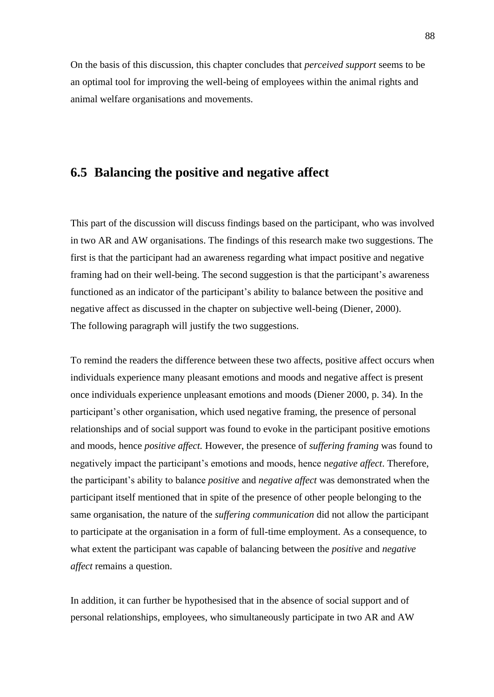On the basis of this discussion, this chapter concludes that *perceived support* seems to be an optimal tool for improving the well-being of employees within the animal rights and animal welfare organisations and movements.

# **6.5 Balancing the positive and negative affect**

This part of the discussion will discuss findings based on the participant, who was involved in two AR and AW organisations. The findings of this research make two suggestions. The first is that the participant had an awareness regarding what impact positive and negative framing had on their well-being. The second suggestion is that the participant's awareness functioned as an indicator of the participant's ability to balance between the positive and negative affect as discussed in the chapter on subjective well-being (Diener, 2000). The following paragraph will justify the two suggestions.

To remind the readers the difference between these two affects, positive affect occurs when individuals experience many pleasant emotions and moods and negative affect is present once individuals experience unpleasant emotions and moods (Diener 2000, p. 34). In the participant's other organisation, which used negative framing, the presence of personal relationships and of social support was found to evoke in the participant positive emotions and moods, hence *positive affect.* However, the presence of *suffering framing* was found to negatively impact the participant's emotions and moods, hence n*egative affect*. Therefore, the participant's ability to balance *positive* and *negative affect* was demonstrated when the participant itself mentioned that in spite of the presence of other people belonging to the same organisation, the nature of the *suffering communication* did not allow the participant to participate at the organisation in a form of full-time employment. As a consequence, to what extent the participant was capable of balancing between the *positive* and *negative affect* remains a question.

In addition, it can further be hypothesised that in the absence of social support and of personal relationships, employees, who simultaneously participate in two AR and AW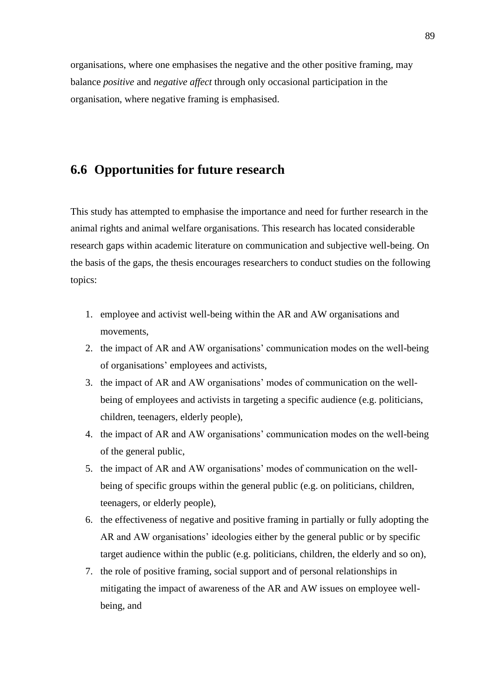organisations, where one emphasises the negative and the other positive framing, may balance *positive* and *negative affect* through only occasional participation in the organisation, where negative framing is emphasised.

# **6.6 Opportunities for future research**

This study has attempted to emphasise the importance and need for further research in the animal rights and animal welfare organisations. This research has located considerable research gaps within academic literature on communication and subjective well-being. On the basis of the gaps, the thesis encourages researchers to conduct studies on the following topics:

- 1. employee and activist well-being within the AR and AW organisations and movements,
- 2. the impact of AR and AW organisations' communication modes on the well-being of organisations' employees and activists,
- 3. the impact of AR and AW organisations' modes of communication on the wellbeing of employees and activists in targeting a specific audience (e.g. politicians, children, teenagers, elderly people),
- 4. the impact of AR and AW organisations' communication modes on the well-being of the general public,
- 5. the impact of AR and AW organisations' modes of communication on the wellbeing of specific groups within the general public (e.g. on politicians, children, teenagers, or elderly people),
- 6. the effectiveness of negative and positive framing in partially or fully adopting the AR and AW organisations' ideologies either by the general public or by specific target audience within the public (e.g. politicians, children, the elderly and so on),
- 7. the role of positive framing, social support and of personal relationships in mitigating the impact of awareness of the AR and AW issues on employee wellbeing, and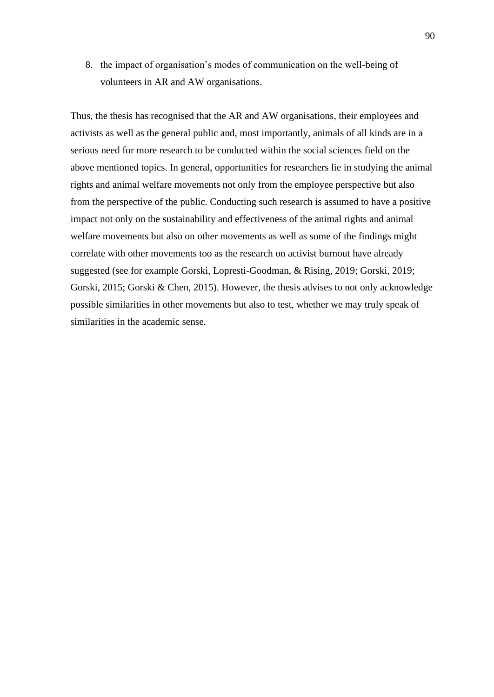8. the impact of organisation's modes of communication on the well-being of volunteers in AR and AW organisations.

Thus, the thesis has recognised that the AR and AW organisations, their employees and activists as well as the general public and, most importantly, animals of all kinds are in a serious need for more research to be conducted within the social sciences field on the above mentioned topics. In general, opportunities for researchers lie in studying the animal rights and animal welfare movements not only from the employee perspective but also from the perspective of the public. Conducting such research is assumed to have a positive impact not only on the sustainability and effectiveness of the animal rights and animal welfare movements but also on other movements as well as some of the findings might correlate with other movements too as the research on activist burnout have already suggested (see for example Gorski, Lopresti-Goodman, & Rising, 2019; Gorski, 2019; Gorski, 2015; Gorski & Chen, 2015). However, the thesis advises to not only acknowledge possible similarities in other movements but also to test, whether we may truly speak of similarities in the academic sense.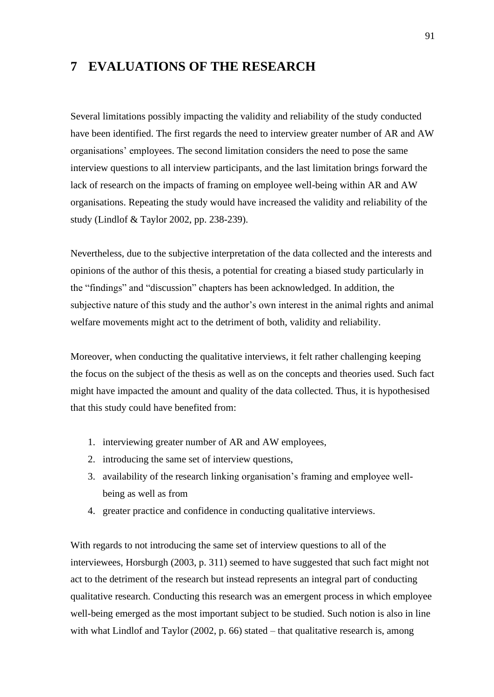### **7 EVALUATIONS OF THE RESEARCH**

Several limitations possibly impacting the validity and reliability of the study conducted have been identified. The first regards the need to interview greater number of AR and AW organisations' employees. The second limitation considers the need to pose the same interview questions to all interview participants, and the last limitation brings forward the lack of research on the impacts of framing on employee well-being within AR and AW organisations. Repeating the study would have increased the validity and reliability of the study (Lindlof & Taylor 2002, pp. 238-239).

Nevertheless, due to the subjective interpretation of the data collected and the interests and opinions of the author of this thesis, a potential for creating a biased study particularly in the "findings" and "discussion" chapters has been acknowledged. In addition, the subjective nature of this study and the author's own interest in the animal rights and animal welfare movements might act to the detriment of both, validity and reliability.

Moreover, when conducting the qualitative interviews, it felt rather challenging keeping the focus on the subject of the thesis as well as on the concepts and theories used. Such fact might have impacted the amount and quality of the data collected. Thus, it is hypothesised that this study could have benefited from:

- 1. interviewing greater number of AR and AW employees,
- 2. introducing the same set of interview questions,
- 3. availability of the research linking organisation's framing and employee wellbeing as well as from
- 4. greater practice and confidence in conducting qualitative interviews.

With regards to not introducing the same set of interview questions to all of the interviewees, Horsburgh (2003, p. 311) seemed to have suggested that such fact might not act to the detriment of the research but instead represents an integral part of conducting qualitative research. Conducting this research was an emergent process in which employee well-being emerged as the most important subject to be studied. Such notion is also in line with what Lindlof and Taylor (2002, p. 66) stated – that qualitative research is, among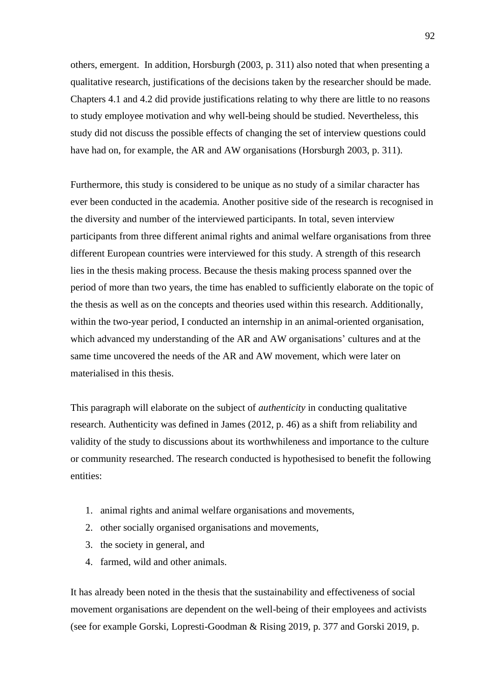others, emergent. In addition, Horsburgh (2003, p. 311) also noted that when presenting a qualitative research, justifications of the decisions taken by the researcher should be made. Chapters 4.1 and 4.2 did provide justifications relating to why there are little to no reasons to study employee motivation and why well-being should be studied. Nevertheless, this study did not discuss the possible effects of changing the set of interview questions could have had on, for example, the AR and AW organisations (Horsburgh 2003, p. 311).

Furthermore, this study is considered to be unique as no study of a similar character has ever been conducted in the academia. Another positive side of the research is recognised in the diversity and number of the interviewed participants. In total, seven interview participants from three different animal rights and animal welfare organisations from three different European countries were interviewed for this study. A strength of this research lies in the thesis making process. Because the thesis making process spanned over the period of more than two years, the time has enabled to sufficiently elaborate on the topic of the thesis as well as on the concepts and theories used within this research. Additionally, within the two-year period, I conducted an internship in an animal-oriented organisation, which advanced my understanding of the AR and AW organisations' cultures and at the same time uncovered the needs of the AR and AW movement, which were later on materialised in this thesis.

This paragraph will elaborate on the subject of *authenticity* in conducting qualitative research. Authenticity was defined in James (2012, p. 46) as a shift from reliability and validity of the study to discussions about its worthwhileness and importance to the culture or community researched. The research conducted is hypothesised to benefit the following entities:

- 1. animal rights and animal welfare organisations and movements,
- 2. other socially organised organisations and movements,
- 3. the society in general, and
- 4. farmed, wild and other animals.

It has already been noted in the thesis that the sustainability and effectiveness of social movement organisations are dependent on the well-being of their employees and activists (see for example Gorski, Lopresti-Goodman & Rising 2019, p. 377 and Gorski 2019, p.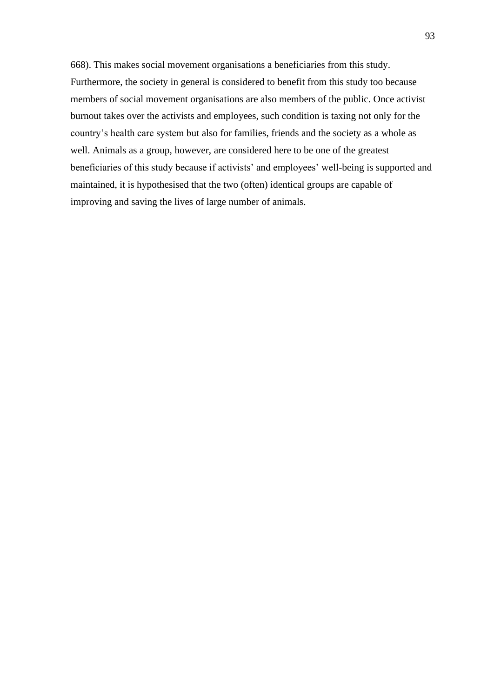668). This makes social movement organisations a beneficiaries from this study. Furthermore, the society in general is considered to benefit from this study too because members of social movement organisations are also members of the public. Once activist burnout takes over the activists and employees, such condition is taxing not only for the country's health care system but also for families, friends and the society as a whole as well. Animals as a group, however, are considered here to be one of the greatest beneficiaries of this study because if activists' and employees' well-being is supported and maintained, it is hypothesised that the two (often) identical groups are capable of improving and saving the lives of large number of animals.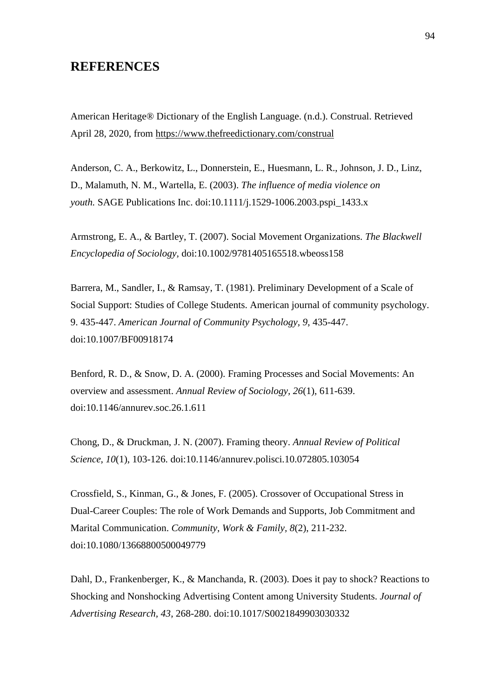### **REFERENCES**

American Heritage® Dictionary of the English Language. (n.d.). Construal. Retrieved April 28, 2020, from <https://www.thefreedictionary.com/construal>

Anderson, C. A., Berkowitz, L., Donnerstein, E., Huesmann, L. R., Johnson, J. D., Linz, D., Malamuth, N. M., Wartella, E. (2003). *The influence of media violence on youth.* SAGE Publications Inc. doi:10.1111/j.1529-1006.2003.pspi\_1433.x

Armstrong, E. A., & Bartley, T. (2007). Social Movement Organizations. *The Blackwell Encyclopedia of Sociology,* doi:10.1002/9781405165518.wbeoss158

Barrera, M., Sandler, I., & Ramsay, T. (1981). Preliminary Development of a Scale of Social Support: Studies of College Students. American journal of community psychology. 9. 435-447. *American Journal of Community Psychology, 9*, 435-447. doi:10.1007/BF00918174

Benford, R. D., & Snow, D. A. (2000). Framing Processes and Social Movements: An overview and assessment. *Annual Review of Sociology, 26*(1), 611-639. doi:10.1146/annurev.soc.26.1.611

Chong, D., & Druckman, J. N. (2007). Framing theory. *Annual Review of Political Science, 10*(1), 103-126. doi:10.1146/annurev.polisci.10.072805.103054

Crossfield, S., Kinman, G., & Jones, F. (2005). Crossover of Occupational Stress in Dual-Career Couples: The role of Work Demands and Supports, Job Commitment and Marital Communication. *Community, Work & Family, 8*(2), 211-232. doi:10.1080/13668800500049779

Dahl, D., Frankenberger, K., & Manchanda, R. (2003). Does it pay to shock? Reactions to Shocking and Nonshocking Advertising Content among University Students. *Journal of Advertising Research, 43*, 268-280. doi:10.1017/S0021849903030332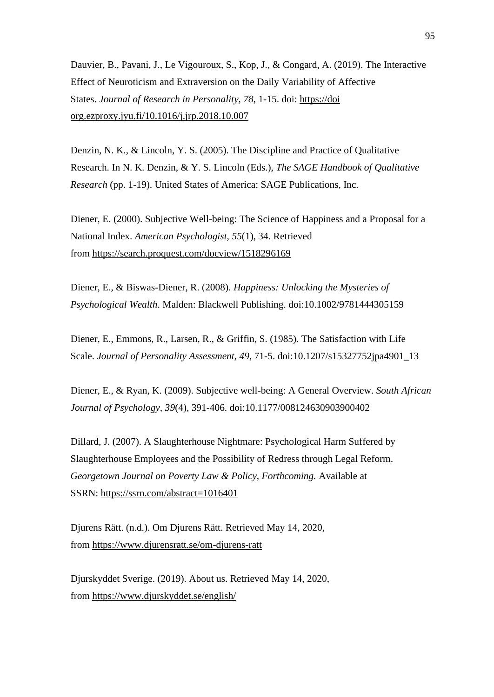Dauvier, B., Pavani, J., Le Vigouroux, S., Kop, J., & Congard, A. (2019). The Interactive Effect of Neuroticism and Extraversion on the Daily Variability of Affective States. *Journal of Research in Personality, 78*, 1-15. doi: https://doi org.ezproxy.jyu.fi/10.1016/j.jrp.2018.10.007

Denzin, N. K., & Lincoln, Y. S. (2005). The Discipline and Practice of Qualitative Research. In N. K. Denzin, & Y. S. Lincoln (Eds.), *The SAGE Handbook of Qualitative Research* (pp. 1-19). United States of America: SAGE Publications, Inc.

Diener, E. (2000). Subjective Well-being: The Science of Happiness and a Proposal for a National Index. *American Psychologist, 55*(1), 34. Retrieved from <https://search.proquest.com/docview/1518296169>

Diener, E., & Biswas-Diener, R. (2008). *Happiness: Unlocking the Mysteries of Psychological Wealth*. Malden: Blackwell Publishing. doi:10.1002/9781444305159

Diener, E., Emmons, R., Larsen, R., & Griffin, S. (1985). The Satisfaction with Life Scale. *Journal of Personality Assessment, 49*, 71-5. doi:10.1207/s15327752jpa4901\_13

Diener, E., & Ryan, K. (2009). Subjective well-being: A General Overview. *South African Journal of Psychology, 39*(4), 391-406. doi:10.1177/008124630903900402

Dillard, J. (2007). A Slaughterhouse Nightmare: Psychological Harm Suffered by Slaughterhouse Employees and the Possibility of Redress through Legal Reform. *Georgetown Journal on Poverty Law & Policy, Forthcoming.* Available at SSRN: <https://ssrn.com/abstract=1016401>

Djurens Rätt. (n.d.). Om Djurens Rätt. Retrieved May 14, 2020, from <https://www.djurensratt.se/om-djurens-ratt>

Djurskyddet Sverige. (2019). About us. Retrieved May 14, 2020, from <https://www.djurskyddet.se/english/>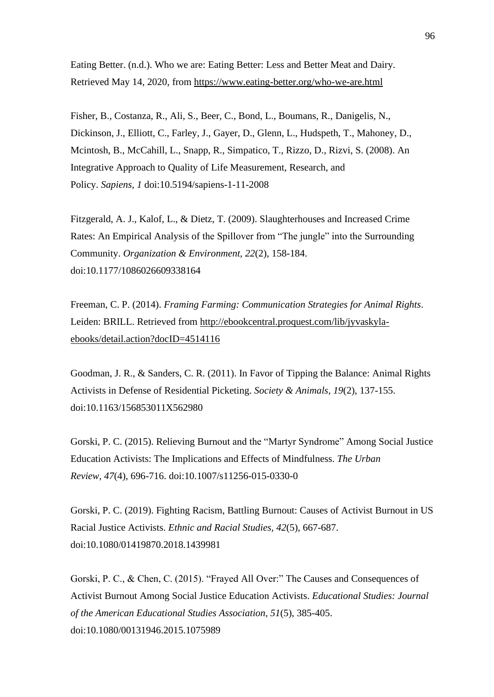Eating Better. (n.d.). Who we are: Eating Better: Less and Better Meat and Dairy. Retrieved May 14, 2020, from <https://www.eating-better.org/who-we-are.html>

Fisher, B., Costanza, R., Ali, S., Beer, C., Bond, L., Boumans, R., Danigelis, N., Dickinson, J., Elliott, C., Farley, J., Gayer, D., Glenn, L., Hudspeth, T., Mahoney, D., Mcintosh, B., McCahill, L., Snapp, R., Simpatico, T., Rizzo, D., Rizvi, S. (2008). An Integrative Approach to Quality of Life Measurement, Research, and Policy. *Sapiens, 1* doi:10.5194/sapiens-1-11-2008

Fitzgerald, A. J., Kalof, L., & Dietz, T. (2009). Slaughterhouses and Increased Crime Rates: An Empirical Analysis of the Spillover from "The jungle" into the Surrounding Community. *Organization & Environment, 22*(2), 158-184. doi:10.1177/1086026609338164

Freeman, C. P. (2014). *Framing Farming: Communication Strategies for Animal Rights*. Leiden: BRILL. Retrieved from [http://ebookcentral.proquest.com/lib/jyvaskyla](http://ebookcentral.proquest.com/lib/jyvaskyla-ebooks/detail.action?docID=4514116)[ebooks/detail.action?docID=4514116](http://ebookcentral.proquest.com/lib/jyvaskyla-ebooks/detail.action?docID=4514116)

Goodman, J. R., & Sanders, C. R. (2011). In Favor of Tipping the Balance: Animal Rights Activists in Defense of Residential Picketing. *Society & Animals, 19*(2), 137-155. doi:10.1163/156853011X562980

Gorski, P. C. (2015). Relieving Burnout and the "Martyr Syndrome" Among Social Justice Education Activists: The Implications and Effects of Mindfulness. *The Urban Review, 47*(4), 696-716. doi:10.1007/s11256-015-0330-0

Gorski, P. C. (2019). Fighting Racism, Battling Burnout: Causes of Activist Burnout in US Racial Justice Activists. *Ethnic and Racial Studies, 42*(5), 667-687. doi:10.1080/01419870.2018.1439981

Gorski, P. C., & Chen, C. (2015). "Frayed All Over:" The Causes and Consequences of Activist Burnout Among Social Justice Education Activists. *Educational Studies: Journal of the American Educational Studies Association, 51*(5), 385-405. doi:10.1080/00131946.2015.1075989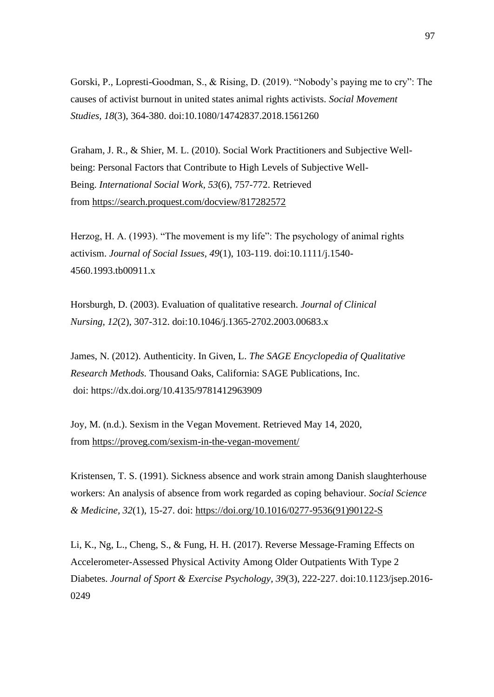Gorski, P., Lopresti-Goodman, S., & Rising, D. (2019). "Nobody's paying me to cry": The causes of activist burnout in united states animal rights activists. *Social Movement Studies, 18*(3), 364-380. doi:10.1080/14742837.2018.1561260

Graham, J. R., & Shier, M. L. (2010). Social Work Practitioners and Subjective Wellbeing: Personal Factors that Contribute to High Levels of Subjective Well-Being. *International Social Work, 53*(6), 757-772. Retrieved from <https://search.proquest.com/docview/817282572>

Herzog, H. A. (1993). "The movement is my life": The psychology of animal rights activism. *Journal of Social Issues, 49*(1), 103-119. doi:10.1111/j.1540- 4560.1993.tb00911.x

Horsburgh, D. (2003). Evaluation of qualitative research. *Journal of Clinical Nursing, 12*(2), 307-312. doi:10.1046/j.1365-2702.2003.00683.x

James, N. (2012). Authenticity. In Given, L. *The SAGE Encyclopedia of Qualitative Research Methods.* Thousand Oaks, California: SAGE Publications, Inc. doi: https://dx.doi.org/10.4135/9781412963909

Joy, M. (n.d.). Sexism in the Vegan Movement. Retrieved May 14, 2020, from <https://proveg.com/sexism-in-the-vegan-movement/>

Kristensen, T. S. (1991). Sickness absence and work strain among Danish slaughterhouse workers: An analysis of absence from work regarded as coping behaviour. *Social Science & Medicine, 32*(1), 15-27. doi: [https://doi.org/10.1016/0277-9536\(91\)90122-S](https://doi.org/10.1016/0277-9536(91)90122-S)

Li, K., Ng, L., Cheng, S., & Fung, H. H. (2017). Reverse Message-Framing Effects on Accelerometer-Assessed Physical Activity Among Older Outpatients With Type 2 Diabetes. *Journal of Sport & Exercise Psychology, 39*(3), 222-227. doi:10.1123/jsep.2016- 0249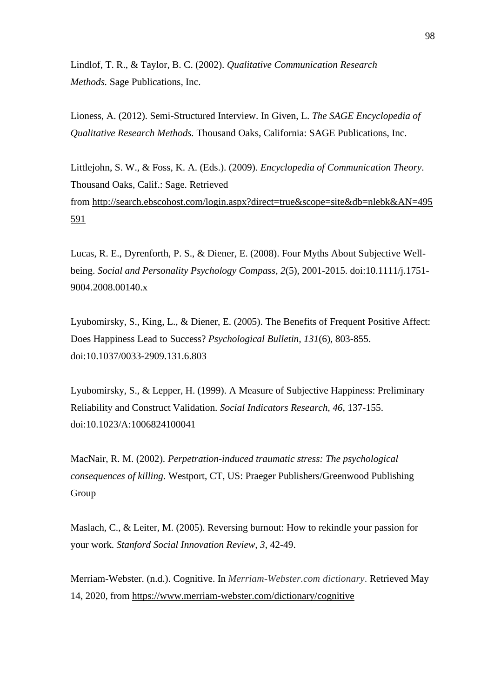Lindlof, T. R., & Taylor, B. C. (2002). *Qualitative Communication Research Methods.* Sage Publications, Inc.

Lioness, A. (2012). Semi-Structured Interview. In Given, L. *The SAGE Encyclopedia of Qualitative Research Methods.* Thousand Oaks, California: SAGE Publications, Inc.

Littlejohn, S. W., & Foss, K. A. (Eds.). (2009). *Encyclopedia of Communication Theory*. Thousand Oaks, Calif.: Sage. Retrieved from [http://search.ebscohost.com/login.aspx?direct=true&scope=site&db=nlebk&AN=495](http://search.ebscohost.com/login.aspx?direct=true&scope=site&db=nlebk&AN=495591) [591](http://search.ebscohost.com/login.aspx?direct=true&scope=site&db=nlebk&AN=495591)

Lucas, R. E., Dyrenforth, P. S., & Diener, E. (2008). Four Myths About Subjective Wellbeing. *Social and Personality Psychology Compass, 2*(5), 2001-2015. doi:10.1111/j.1751- 9004.2008.00140.x

Lyubomirsky, S., King, L., & Diener, E. (2005). The Benefits of Frequent Positive Affect: Does Happiness Lead to Success? *Psychological Bulletin, 131*(6), 803-855. doi:10.1037/0033-2909.131.6.803

Lyubomirsky, S., & Lepper, H. (1999). A Measure of Subjective Happiness: Preliminary Reliability and Construct Validation. *Social Indicators Research, 46*, 137-155. doi:10.1023/A:1006824100041

MacNair, R. M. (2002). *Perpetration-induced traumatic stress: The psychological consequences of killing*. Westport, CT, US: Praeger Publishers/Greenwood Publishing Group

Maslach, C., & Leiter, M. (2005). Reversing burnout: How to rekindle your passion for your work. *Stanford Social Innovation Review, 3*, 42-49.

Merriam-Webster. (n.d.). Cognitive. In *Merriam-Webster.com dictionary*. Retrieved May 14, 2020, from <https://www.merriam-webster.com/dictionary/cognitive>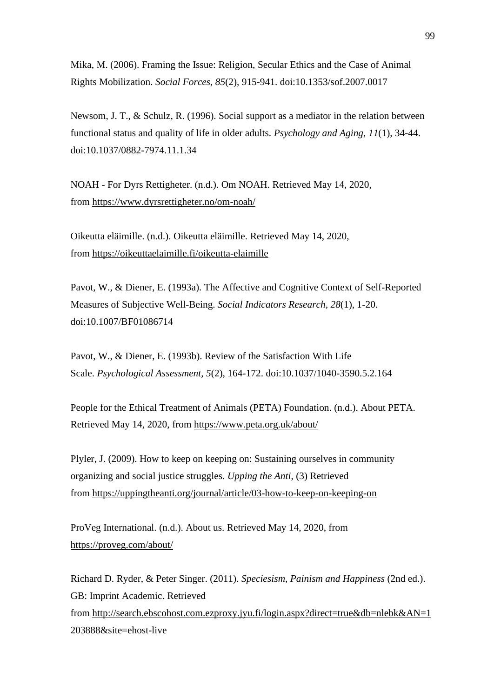Mika, M. (2006). Framing the Issue: Religion, Secular Ethics and the Case of Animal Rights Mobilization. *Social Forces, 85*(2), 915-941. doi:10.1353/sof.2007.0017

Newsom, J. T., & Schulz, R. (1996). Social support as a mediator in the relation between functional status and quality of life in older adults. *Psychology and Aging, 11*(1), 34-44. doi:10.1037/0882-7974.11.1.34

NOAH - For Dyrs Rettigheter. (n.d.). Om NOAH. Retrieved May 14, 2020, from <https://www.dyrsrettigheter.no/om-noah/>

Oikeutta eläimille. (n.d.). Oikeutta eläimille. Retrieved May 14, 2020, from <https://oikeuttaelaimille.fi/oikeutta-elaimille>

Pavot, W., & Diener, E. (1993a). The Affective and Cognitive Context of Self-Reported Measures of Subjective Well-Being. *Social Indicators Research, 28*(1), 1-20. doi:10.1007/BF01086714

Pavot, W., & Diener, E. (1993b). Review of the Satisfaction With Life Scale. *Psychological Assessment, 5*(2), 164-172. doi:10.1037/1040-3590.5.2.164

People for the Ethical Treatment of Animals (PETA) Foundation. (n.d.). About PETA. Retrieved May 14, 2020, from <https://www.peta.org.uk/about/>

Plyler, J. (2009). How to keep on keeping on: Sustaining ourselves in community organizing and social justice struggles. *Upping the Anti,* (3) Retrieved from <https://uppingtheanti.org/journal/article/03-how-to-keep-on-keeping-on>

ProVeg International. (n.d.). About us. Retrieved May 14, 2020, from <https://proveg.com/about/>

Richard D. Ryder, & Peter Singer. (2011). *Speciesism, Painism and Happiness* (2nd ed.). GB: Imprint Academic. Retrieved from [http://search.ebscohost.com.ezproxy.jyu.fi/login.aspx?direct=true&db=nlebk&AN=1](http://search.ebscohost.com.ezproxy.jyu.fi/login.aspx?direct=true&db=nlebk&AN=1203888&site=ehost-live) [203888&site=ehost-live](http://search.ebscohost.com.ezproxy.jyu.fi/login.aspx?direct=true&db=nlebk&AN=1203888&site=ehost-live)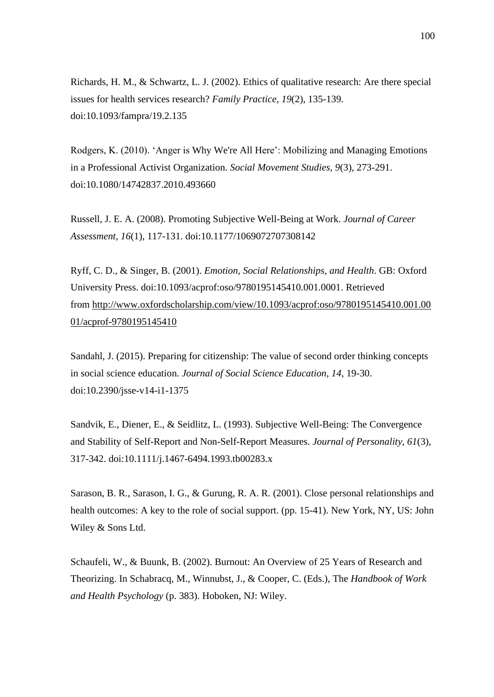Richards, H. M., & Schwartz, L. J. (2002). Ethics of qualitative research: Are there special issues for health services research? *Family Practice, 19*(2), 135-139. doi:10.1093/fampra/19.2.135

Rodgers, K. (2010). 'Anger is Why We're All Here': Mobilizing and Managing Emotions in a Professional Activist Organization. *Social Movement Studies, 9*(3), 273-291. doi:10.1080/14742837.2010.493660

Russell, J. E. A. (2008). Promoting Subjective Well-Being at Work. *Journal of Career Assessment, 16*(1), 117-131. doi:10.1177/1069072707308142

Ryff, C. D., & Singer, B. (2001). *Emotion, Social Relationships, and Health*. GB: Oxford University Press. doi:10.1093/acprof:oso/9780195145410.001.0001. Retrieved from [http://www.oxfordscholarship.com/view/10.1093/acprof:oso/9780195145410.001.00](http://www.oxfordscholarship.com/view/10.1093/acprof:oso/9780195145410.001.0001/acprof-9780195145410) [01/acprof-9780195145410](http://www.oxfordscholarship.com/view/10.1093/acprof:oso/9780195145410.001.0001/acprof-9780195145410)

Sandahl, J. (2015). Preparing for citizenship: The value of second order thinking concepts in social science education. *Journal of Social Science Education, 14*, 19-30. doi:10.2390/jsse-v14-i1-1375

Sandvik, E., Diener, E., & Seidlitz, L. (1993). Subjective Well-Being: The Convergence and Stability of Self-Report and Non-Self-Report Measures. *Journal of Personality, 61*(3), 317-342. doi:10.1111/j.1467-6494.1993.tb00283.x

Sarason, B. R., Sarason, I. G., & Gurung, R. A. R. (2001). Close personal relationships and health outcomes: A key to the role of social support. (pp. 15-41). New York, NY, US: John Wiley & Sons Ltd.

Schaufeli, W., & Buunk, B. (2002). Burnout: An Overview of 25 Years of Research and Theorizing. In Schabracq, M., Winnubst, J., & Cooper, C. (Eds.), The *Handbook of Work and Health Psychology* (p. 383). Hoboken, NJ: Wiley.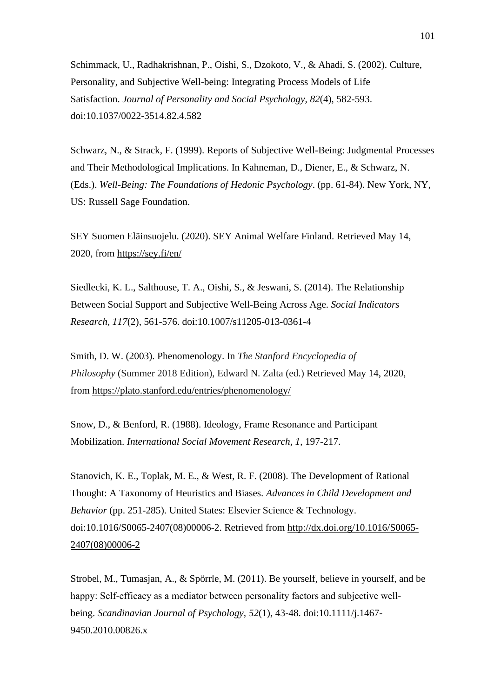Schimmack, U., Radhakrishnan, P., Oishi, S., Dzokoto, V., & Ahadi, S. (2002). Culture, Personality, and Subjective Well-being: Integrating Process Models of Life Satisfaction. *Journal of Personality and Social Psychology, 82*(4), 582-593. doi:10.1037/0022-3514.82.4.582

Schwarz, N., & Strack, F. (1999). Reports of Subjective Well-Being: Judgmental Processes and Their Methodological Implications. In Kahneman, D., Diener, E., & Schwarz, N. (Eds.). *Well-Being: The Foundations of Hedonic Psychology*. (pp. 61-84). New York, NY, US: Russell Sage Foundation.

SEY Suomen Eläinsuojelu. (2020). SEY Animal Welfare Finland. Retrieved May 14, 2020, from <https://sey.fi/en/>

Siedlecki, K. L., Salthouse, T. A., Oishi, S., & Jeswani, S. (2014). The Relationship Between Social Support and Subjective Well-Being Across Age. *Social Indicators Research, 117*(2), 561-576. doi:10.1007/s11205-013-0361-4

Smith, D. W. (2003). Phenomenology. In *The Stanford Encyclopedia of Philosophy* (Summer 2018 Edition), Edward N. Zalta (ed.) Retrieved May 14, 2020, from <https://plato.stanford.edu/entries/phenomenology/>

Snow, D., & Benford, R. (1988). Ideology, Frame Resonance and Participant Mobilization. *International Social Movement Research, 1*, 197-217.

Stanovich, K. E., Toplak, M. E., & West, R. F. (2008). The Development of Rational Thought: A Taxonomy of Heuristics and Biases. *Advances in Child Development and Behavior* (pp. 251-285). United States: Elsevier Science & Technology. doi:10.1016/S0065-2407(08)00006-2. Retrieved from [http://dx.doi.org/10.1016/S0065-](http://dx.doi.org/10.1016/S0065-2407(08)00006-2) [2407\(08\)00006-2](http://dx.doi.org/10.1016/S0065-2407(08)00006-2)

Strobel, M., Tumasjan, A., & Spörrle, M. (2011). Be yourself, believe in yourself, and be happy: Self-efficacy as a mediator between personality factors and subjective wellbeing. *Scandinavian Journal of Psychology, 52*(1), 43-48. doi:10.1111/j.1467- 9450.2010.00826.x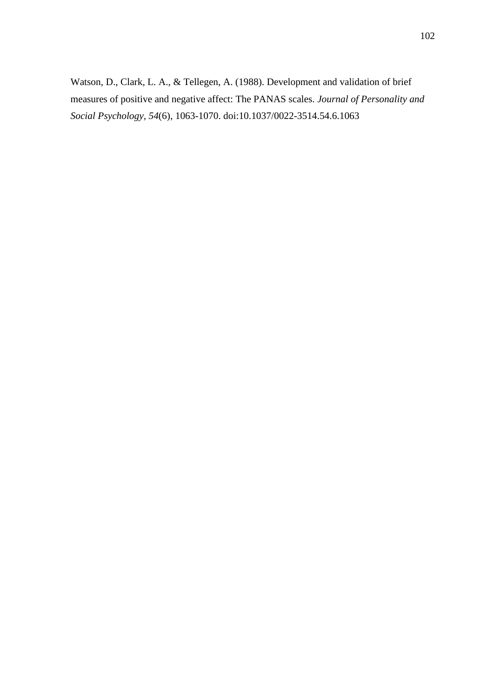Watson, D., Clark, L. A., & Tellegen, A. (1988). Development and validation of brief measures of positive and negative affect: The PANAS scales. *Journal of Personality and Social Psychology, 54*(6), 1063-1070. doi:10.1037/0022-3514.54.6.1063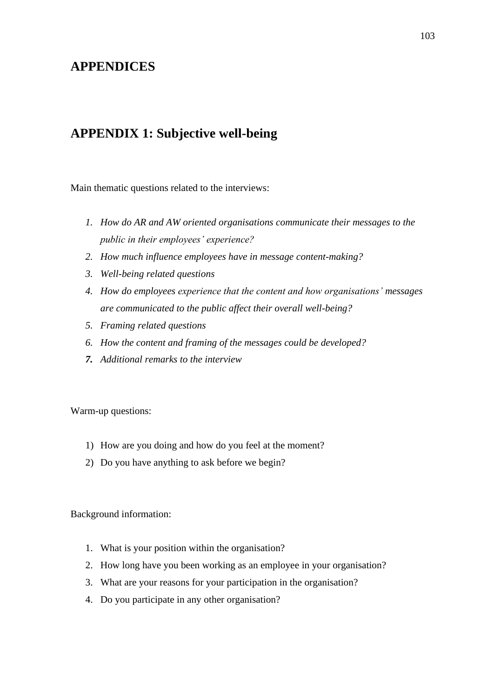# **APPENDICES**

# **APPENDIX 1: Subjective well-being**

Main thematic questions related to the interviews:

- *1. How do AR and AW oriented organisations communicate their messages to the public in their employees' experience?*
- *2. How much influence employees have in message content-making?*
- *3. Well-being related questions*
- *4. How do employees experience that the content and how organisations' messages are communicated to the public affect their overall well-being?*
- *5. Framing related questions*
- *6. How the content and framing of the messages could be developed?*
- *7. Additional remarks to the interview*

Warm-up questions:

- 1) How are you doing and how do you feel at the moment?
- 2) Do you have anything to ask before we begin?

Background information:

- 1. What is your position within the organisation?
- 2. How long have you been working as an employee in your organisation?
- 3. What are your reasons for your participation in the organisation?
- 4. Do you participate in any other organisation?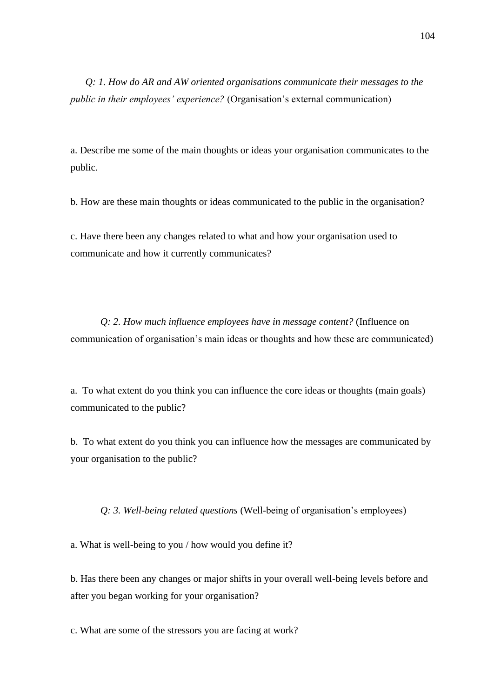*Q: 1. How do AR and AW oriented organisations communicate their messages to the public in their employees' experience?* (Organisation's external communication)

a. Describe me some of the main thoughts or ideas your organisation communicates to the public.

b. How are these main thoughts or ideas communicated to the public in the organisation?

c. Have there been any changes related to what and how your organisation used to communicate and how it currently communicates?

*Q: 2. How much influence employees have in message content?* (Influence on communication of organisation's main ideas or thoughts and how these are communicated)

a. To what extent do you think you can influence the core ideas or thoughts (main goals) communicated to the public?

b. To what extent do you think you can influence how the messages are communicated by your organisation to the public?

*Q: 3. Well-being related questions* (Well-being of organisation's employees)

a. What is well-being to you / how would you define it?

b. Has there been any changes or major shifts in your overall well-being levels before and after you began working for your organisation?

c. What are some of the stressors you are facing at work?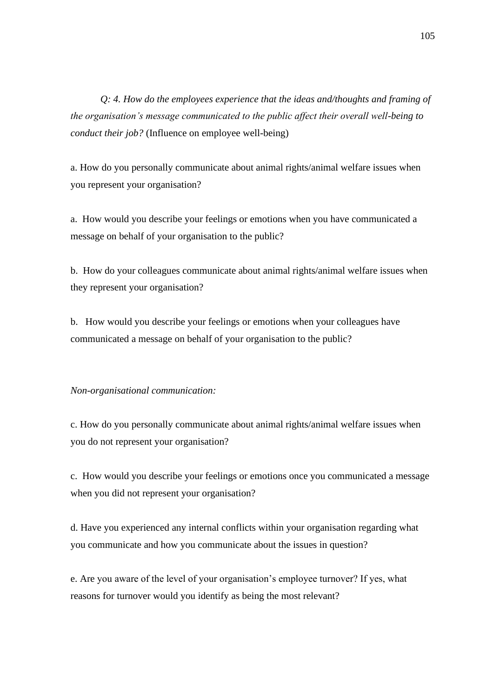*Q: 4. How do the employees experience that the ideas and/thoughts and framing of the organisation's message communicated to the public affect their overall well-being to conduct their job?* (Influence on employee well-being)

a. How do you personally communicate about animal rights/animal welfare issues when you represent your organisation?

a. How would you describe your feelings or emotions when you have communicated a message on behalf of your organisation to the public?

b. How do your colleagues communicate about animal rights/animal welfare issues when they represent your organisation?

b. How would you describe your feelings or emotions when your colleagues have communicated a message on behalf of your organisation to the public?

### *Non-organisational communication:*

c. How do you personally communicate about animal rights/animal welfare issues when you do not represent your organisation?

c. How would you describe your feelings or emotions once you communicated a message when you did not represent your organisation?

d. Have you experienced any internal conflicts within your organisation regarding what you communicate and how you communicate about the issues in question?

e. Are you aware of the level of your organisation's employee turnover? If yes, what reasons for turnover would you identify as being the most relevant?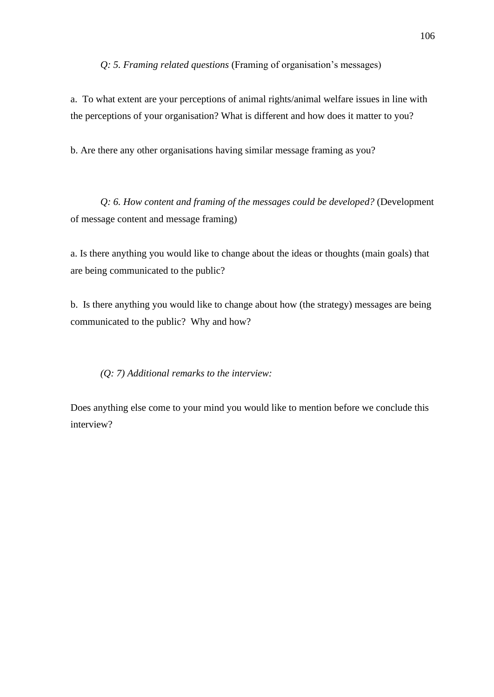*Q: 5. Framing related questions* (Framing of organisation's messages)

a. To what extent are your perceptions of animal rights/animal welfare issues in line with the perceptions of your organisation? What is different and how does it matter to you?

b. Are there any other organisations having similar message framing as you?

*Q: 6. How content and framing of the messages could be developed?* (Development of message content and message framing)

a. Is there anything you would like to change about the ideas or thoughts (main goals) that are being communicated to the public?

b. Is there anything you would like to change about how (the strategy) messages are being communicated to the public? Why and how?

*(Q: 7) Additional remarks to the interview:*

Does anything else come to your mind you would like to mention before we conclude this interview?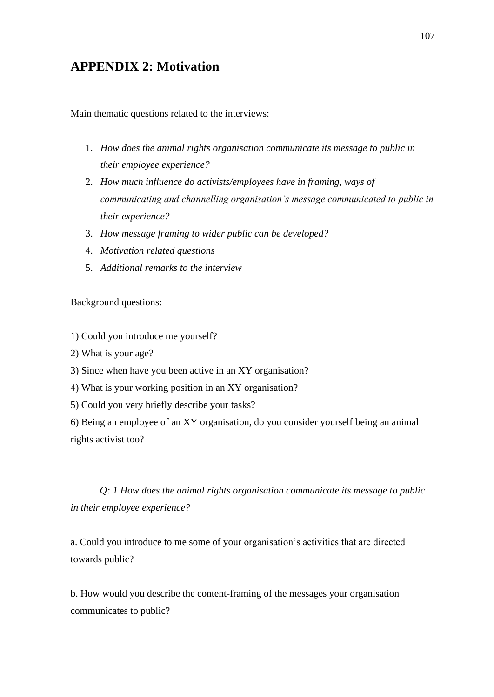# **APPENDIX 2: Motivation**

Main thematic questions related to the interviews:

- 1. *How does the animal rights organisation communicate its message to public in their employee experience?*
- 2. *How much influence do activists/employees have in framing, ways of communicating and channelling organisation's message communicated to public in their experience?*
- 3. *How message framing to wider public can be developed?*
- 4. *Motivation related questions*
- 5. *Additional remarks to the interview*

Background questions:

1) Could you introduce me yourself?

2) What is your age?

3) Since when have you been active in an XY organisation?

4) What is your working position in an XY organisation?

5) Could you very briefly describe your tasks?

6) Being an employee of an XY organisation, do you consider yourself being an animal rights activist too?

*Q: 1 How does the animal rights organisation communicate its message to public in their employee experience?*

a. Could you introduce to me some of your organisation's activities that are directed towards public?

b. How would you describe the content-framing of the messages your organisation communicates to public?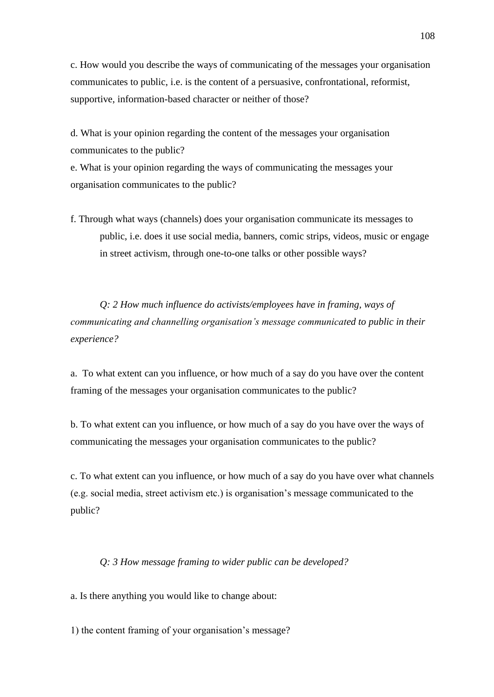c. How would you describe the ways of communicating of the messages your organisation communicates to public, i.e. is the content of a persuasive, confrontational, reformist, supportive, information-based character or neither of those?

d. What is your opinion regarding the content of the messages your organisation communicates to the public?

e. What is your opinion regarding the ways of communicating the messages your organisation communicates to the public?

f. Through what ways (channels) does your organisation communicate its messages to public, i.e. does it use social media, banners, comic strips, videos, music or engage in street activism, through one-to-one talks or other possible ways?

*Q: 2 How much influence do activists/employees have in framing, ways of communicating and channelling organisation's message communicated to public in their experience?* 

a. To what extent can you influence, or how much of a say do you have over the content framing of the messages your organisation communicates to the public?

b. To what extent can you influence, or how much of a say do you have over the ways of communicating the messages your organisation communicates to the public?

c. To what extent can you influence, or how much of a say do you have over what channels (e.g. social media, street activism etc.) is organisation's message communicated to the public?

*Q: 3 How message framing to wider public can be developed?*

a. Is there anything you would like to change about:

1) the content framing of your organisation's message?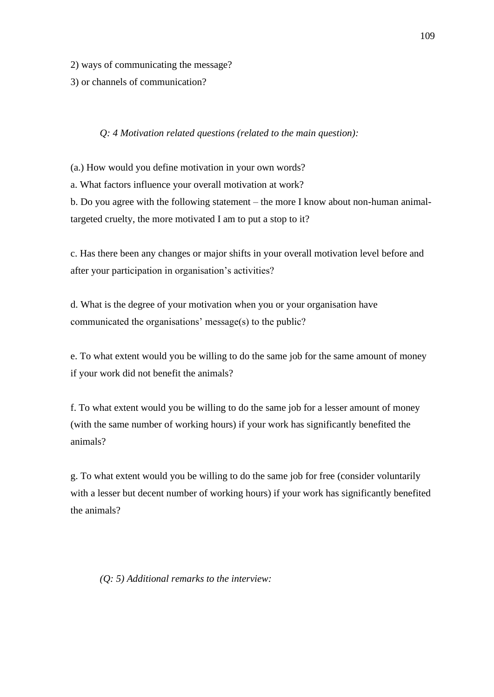2) ways of communicating the message?

3) or channels of communication?

## *Q: 4 Motivation related questions (related to the main question):*

(a.) How would you define motivation in your own words?

a. What factors influence your overall motivation at work?

b. Do you agree with the following statement – the more I know about non-human animaltargeted cruelty, the more motivated I am to put a stop to it?

c. Has there been any changes or major shifts in your overall motivation level before and after your participation in organisation's activities?

d. What is the degree of your motivation when you or your organisation have communicated the organisations' message(s) to the public?

e. To what extent would you be willing to do the same job for the same amount of money if your work did not benefit the animals?

f. To what extent would you be willing to do the same job for a lesser amount of money (with the same number of working hours) if your work has significantly benefited the animals?

g. To what extent would you be willing to do the same job for free (consider voluntarily with a lesser but decent number of working hours) if your work has significantly benefited the animals?

*(Q: 5) Additional remarks to the interview:*